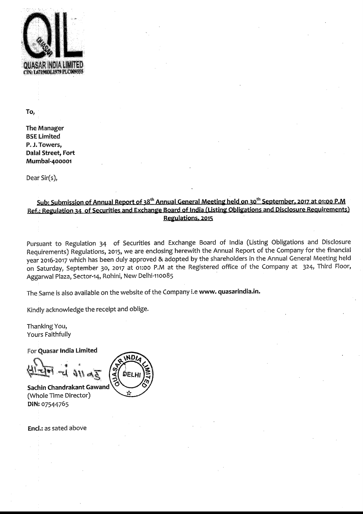

To.

**The Manager BSE Limited** P.J. Towers. Dalal Street, Fort Mumbai-400001

Dear Sir(s),

#### Sub: Submission of Annual Report of 38<sup>th</sup> Annual General Meeting held on 30<sup>th</sup> September, 2017 at 01:00 P.M Ref.: Regulation 34 of Securities and Exchange Board of India (Listing Obligations and Disclosure Requirements) Regulations, 2015

Pursuant to Regulation 34 of Securities and Exchange Board of India (Listing Obligations and Disclosure Requirements) Regulations, 2015, we are enclosing herewith the Annual Report of the Company for the financial year 2016-2017 which has been duly approved & adopted by the shareholders in the Annual General Meeting held on Saturday, September 30, 2017 at 01:00 P.M at the Registered office of the Company at 324, Third Floor, Aggarwal Plaza, Sector-14, Rohini, New Delhi-110085

The Same is also available on the website of the Company i.e www. quasarindia.in.

Kindly acknowledge the receipt and oblige.

Thanking You, Yours Faithfully

For Quasar India Limited

Sachin Chandrakant Gawand (Whole Time Director) DIN: 07544765



Encl.: as sated above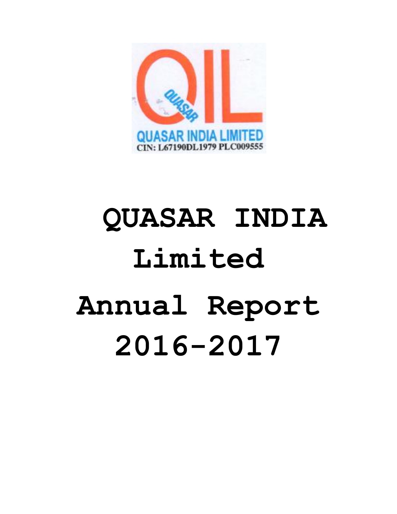

# **QUASAR INDIA Limited Annual Report 2016-2017**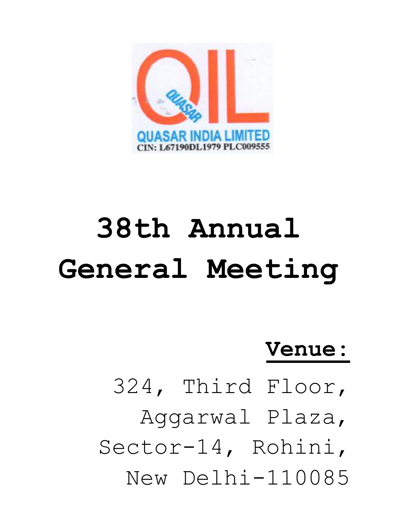

# **38th Annual General Meeting**

# **Venue:**

324, Third Floor,

Aggarwal Plaza,

Sector-14, Rohini,

New Delhi-110085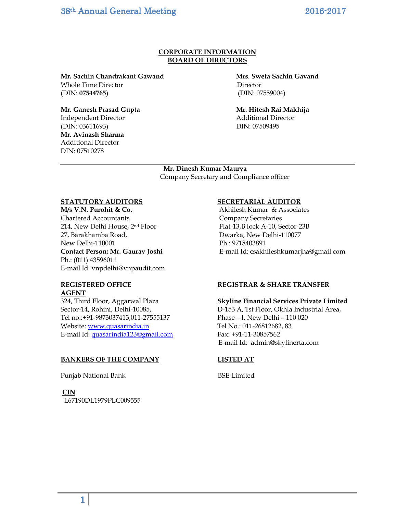#### **CORPORATE INFORMATION BOARD OF DIRECTORS**

**Mr. Sachin Chandrakant Gawand Mrs**. **Sweta Sachin Gavand**  Whole Time Director **Director** Director (DIN: **07544765**) (DIN: 07559004)

**Mr. Ganesh Prasad Gupta Mr. Hitesh Rai Makhija**  Independent Director **Additional Director** Additional Director (DIN: 03611693) DIN: 07509495 **Mr. Avinash Sharma**  Additional Director DIN: 07510278

 **Mr. Dinesh Kumar Maurya**  Company Secretary and Compliance officer

Chartered Accountants Company Secretaries 214, New Delhi House, 2nd Floor Flat-13,B lock A-10, Sector-23B 27, Barakhamba Road, Dwarka, New Delhi-110077 New Delhi-110001 Ph.: 9718403891 Ph.: (011) 43596011 E-mail Id: vnpdelhi@vnpaudit.com

## **AGENT**

Tel no.:+91-9873037413,011-27555137 Phase – I, New Delhi – 110 020 Website: www.quasarindia.in Tel No.: 011-26812682, 83 E-mail Id: quasarindia123@gmail.com Fax: +91-11-30857562

#### **BANKERS OF THE COMPANY LISTED AT**

Punjab National Bank BSE Limited

 **CIN** L67190DL1979PLC009555

#### **STATUTORY AUDITORS SECRETARIAL AUDITOR**

**M/s V.N. Purohit & Co. Akhilesh Kumar & Associates Contact Person: Mr. Gaurav Joshi** E-mail Id: csakhileshkumarjha@gmail.com

#### **REGISTERED OFFICE REGISTRAR & SHARE TRANSFER**

#### 324, Third Floor, Aggarwal Plaza **Skyline Financial Services Private Limited** Sector-14, Rohini, Delhi-10085, D-153 A, 1st Floor, Okhla Industrial Area,

E-mail Id: admin@skylinerta.com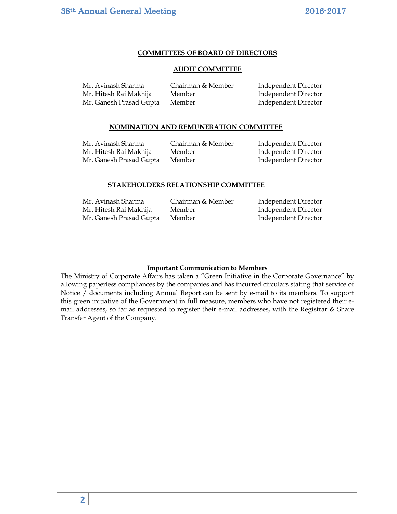#### **COMMITTEES OF BOARD OF DIRECTORS**

#### **AUDIT COMMITTEE**

| Mr. Avinash Sharma      | Chairman & Member | Independent Director |
|-------------------------|-------------------|----------------------|
| Mr. Hitesh Rai Makhija  | Member            | Independent Director |
| Mr. Ganesh Prasad Gupta | Member            | Independent Director |

#### **NOMINATION AND REMUNERATION COMMITTEE**

| Mr. Avinash Sharma      | Chairman & Member | <b>Independent Director</b> |
|-------------------------|-------------------|-----------------------------|
| Mr. Hitesh Rai Makhija  | Member            | Independent Director        |
| Mr. Ganesh Prasad Gupta | Member            | Independent Director        |

#### **STAKEHOLDERS RELATIONSHIP COMMITTEE**

| Mr. Avinash Sharma      | Chairman & Member | Independent Director |
|-------------------------|-------------------|----------------------|
| Mr. Hitesh Rai Makhija  | Member            | Independent Director |
| Mr. Ganesh Prasad Gupta | Member            | Independent Director |

#### **Important Communication to Members**

The Ministry of Corporate Affairs has taken a "Green Initiative in the Corporate Governance" by allowing paperless compliances by the companies and has incurred circulars stating that service of Notice / documents including Annual Report can be sent by e-mail to its members. To support this green initiative of the Government in full measure, members who have not registered their email addresses, so far as requested to register their e-mail addresses, with the Registrar & Share Transfer Agent of the Company.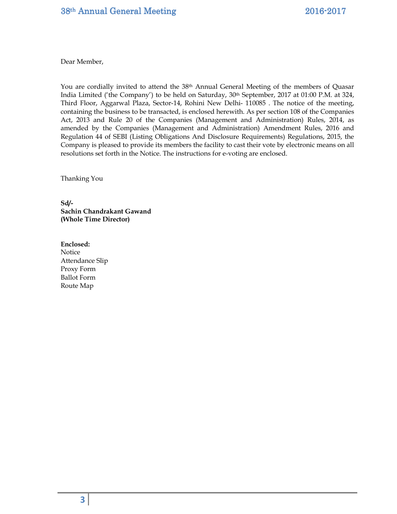Dear Member,

You are cordially invited to attend the 38<sup>th</sup> Annual General Meeting of the members of Quasar India Limited ('the Company') to be held on Saturday, 30<sup>th</sup> September, 2017 at 01:00 P.M. at 324, Third Floor, Aggarwal Plaza, Sector-14, Rohini New Delhi- 110085 . The notice of the meeting, containing the business to be transacted, is enclosed herewith. As per section 108 of the Companies Act, 2013 and Rule 20 of the Companies (Management and Administration) Rules, 2014, as amended by the Companies (Management and Administration) Amendment Rules, 2016 and Regulation 44 of SEBI (Listing Obligations And Disclosure Requirements) Regulations, 2015, the Company is pleased to provide its members the facility to cast their vote by electronic means on all resolutions set forth in the Notice. The instructions for e-voting are enclosed.

Thanking You

**Sd/- Sachin Chandrakant Gawand (Whole Time Director)** 

**Enclosed: Notice** Attendance Slip Proxy Form Ballot Form Route Map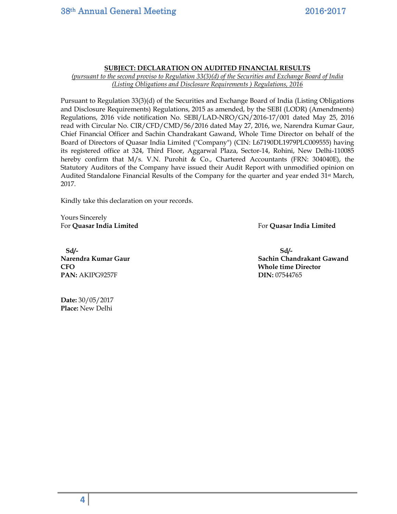#### **SUBJECT: DECLARATION ON AUDITED FINANCIAL RESULTS**

*(pursuant to the second proviso to Regulation 33(3)(d) of the Securities and Exchange Board of India (Listing Obligations and Disclosure Requirements ) Regulations, 2016*

Pursuant to Regulation 33(3)(d) of the Securities and Exchange Board of India (Listing Obligations and Disclosure Requirements) Regulations, 2015 as amended, by the SEBI (LODR) (Amendments) Regulations, 2016 vide notification No. SEBI/LAD-NRO/GN/2016-17/001 dated May 25, 2016 read with Circular No. CIR/CFD/CMD/56/2016 dated May 27, 2016, we, Narendra Kumar Gaur, Chief Financial Officer and Sachin Chandrakant Gawand, Whole Time Director on behalf of the Board of Directors of Quasar India Limited ("Company") (CIN: L67190DL1979PLC009555) having its registered office at 324, Third Floor, Aggarwal Plaza, Sector-14, Rohini, New Delhi-110085 hereby confirm that M/s. V.N. Purohit & Co., Chartered Accountants (FRN: 304040E), the Statutory Auditors of the Company have issued their Audit Report with unmodified opinion on Audited Standalone Financial Results of the Company for the quarter and year ended 31<sup>st</sup> March, 2017.

Kindly take this declaration on your records.

Yours Sincerely For **Quasar India Limited** For **Quasar India Limited** 

 **Sd/- Sd/- CFO Whole time Director PAN:** AKIPG9257F **DIN:** 07544765

**Narendra Kumar Gaur Sachin Chandrakant Gawand** 

**Date:** 30/05/2017 **Place:** New Delhi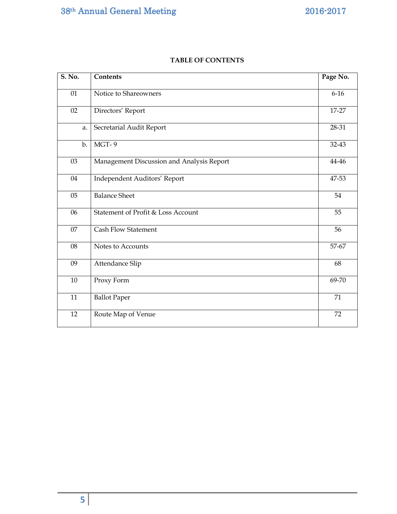| S. No. | <b>Contents</b>                           | Page No. |
|--------|-------------------------------------------|----------|
| 01     | Notice to Shareowners                     | $6 - 16$ |
| 02     | Directors' Report                         | 17-27    |
| a.     | Secretarial Audit Report                  | 28-31    |
| $b$ .  | MGT-9                                     | 32-43    |
| 03     | Management Discussion and Analysis Report | 44-46    |
| 04     | Independent Auditors' Report              | 47-53    |
| 05     | <b>Balance Sheet</b>                      | 54       |
| 06     | Statement of Profit & Loss Account        | 55       |
| 07     | <b>Cash Flow Statement</b>                | 56       |
| 08     | Notes to Accounts                         | 57-67    |
| 09     | Attendance Slip                           | 68       |
| 10     | Proxy Form                                | 69-70    |
| 11     | <b>Ballot Paper</b>                       | 71       |
| 12     | Route Map of Venue                        | 72       |

#### **TABLE OF CONTENTS**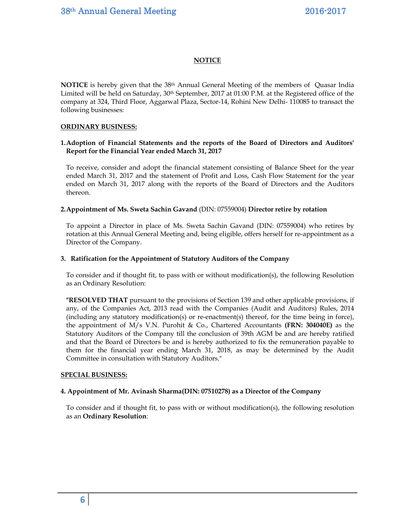#### **NOTICE**

**NOTICE** is hereby given that the 38th Annual General Meeting of the members of Quasar India Limited will be held on Saturday, 30<sup>th</sup> September, 2017 at 01:00 P.M. at the Registered office of the company at 324, Third Floor, Aggarwal Plaza, Sector-14, Rohini New Delhi- 110085 to transact the following businesses:

#### **ORDINARY BUSINESS:**

#### **1.Adoption of Financial Statements and the reports of the Board of Directors and Auditors' Report for the Financial Year ended March 31, 2017**

 To receive, consider and adopt the financial statement consisting of Balance Sheet for the year ended March 31, 2017 and the statement of Profit and Loss, Cash Flow Statement for the year ended on March 31, 2017 along with the reports of the Board of Directors and the Auditors thereon.

#### **2.Appointment of Ms. Sweta Sachin Gavand** (DIN: 07559004) **Director retire by rotation**

 To appoint a Director in place of Ms. Sweta Sachin Gavand (DIN: 07559004) who retires by rotation at this Annual General Meeting and, being eligible, offers herself for re-appointment as a Director of the Company.

#### **3. Ratification for the Appointment of Statutory Auditors of the Company**

 To consider and if thought fit, to pass with or without modification(s), the following Resolution as an Ordinary Resolution:

 **"RESOLVED THAT** pursuant to the provisions of Section 139 and other applicable provisions, if any, of the Companies Act, 2013 read with the Companies (Audit and Auditors) Rules, 2014 (including any statutory modification(s) or re-enactment(s) thereof, for the time being in force), the appointment of M/s V.N. Purohit & Co., Chartered Accountants **(FRN: 304040E)** as the Statutory Auditors of the Company till the conclusion of 39th AGM be and are hereby ratified and that the Board of Directors be and is hereby authorized to fix the remuneration payable to them for the financial year ending March 31, 2018, as may be determined by the Audit Committee in consultation with Statutory Auditors."

#### **SPECIAL BUSINESS:**

#### **4. Appointment of Mr. Avinash Sharma(DIN: 07510278) as a Director of the Company**

 To consider and if thought fit, to pass with or without modification(s), the following resolution as an **Ordinary Resolution**: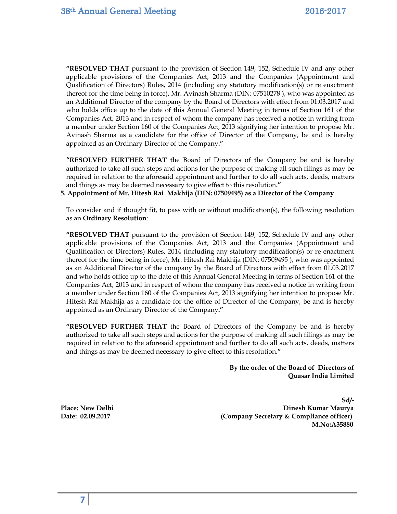**"RESOLVED THAT** pursuant to the provision of Section 149, 152, Schedule IV and any other applicable provisions of the Companies Act, 2013 and the Companies (Appointment and Qualification of Directors) Rules, 2014 (including any statutory modification(s) or re enactment thereof for the time being in force), Mr. Avinash Sharma (DIN: 07510278 ), who was appointed as an Additional Director of the company by the Board of Directors with effect from 01.03.2017 and who holds office up to the date of this Annual General Meeting in terms of Section 161 of the Companies Act, 2013 and in respect of whom the company has received a notice in writing from a member under Section 160 of the Companies Act, 2013 signifying her intention to propose Mr. Avinash Sharma as a candidate for the office of Director of the Company, be and is hereby appointed as an Ordinary Director of the Company**."**

 **"RESOLVED FURTHER THAT** the Board of Directors of the Company be and is hereby authorized to take all such steps and actions for the purpose of making all such filings as may be required in relation to the aforesaid appointment and further to do all such acts, deeds, matters and things as may be deemed necessary to give effect to this resolution.**"** 

**5. Appointment of Mr. Hitesh Rai Makhija (DIN: 07509495) as a Director of the Company** 

 To consider and if thought fit, to pass with or without modification(s), the following resolution as an **Ordinary Resolution**:

 **"RESOLVED THAT** pursuant to the provision of Section 149, 152, Schedule IV and any other applicable provisions of the Companies Act, 2013 and the Companies (Appointment and Qualification of Directors) Rules, 2014 (including any statutory modification(s) or re enactment thereof for the time being in force), Mr. Hitesh Rai Makhija (DIN: 07509495 ), who was appointed as an Additional Director of the company by the Board of Directors with effect from 01.03.2017 and who holds office up to the date of this Annual General Meeting in terms of Section 161 of the Companies Act, 2013 and in respect of whom the company has received a notice in writing from a member under Section 160 of the Companies Act, 2013 signifying her intention to propose Mr. Hitesh Rai Makhija as a candidate for the office of Director of the Company, be and is hereby appointed as an Ordinary Director of the Company**."**

 **"RESOLVED FURTHER THAT** the Board of Directors of the Company be and is hereby authorized to take all such steps and actions for the purpose of making all such filings as may be required in relation to the aforesaid appointment and further to do all such acts, deeds, matters and things as may be deemed necessary to give effect to this resolution.**"** 

#### **By the order of the Board of Directors of Quasar India Limited**

 **Sd/- Place: New Delhi Dinesh Kumar Maurya Date: 02.09.2017 (Company Secretary & Compliance officer) M.No:A35880**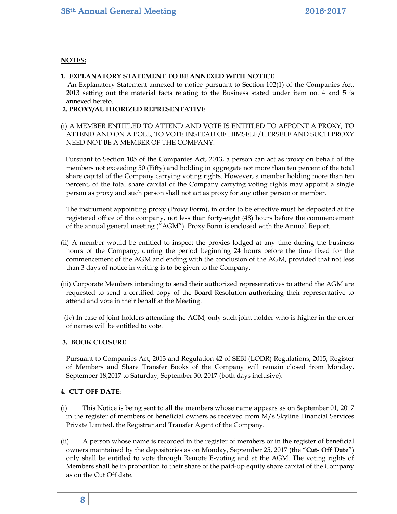#### **NOTES:**

#### **1. EXPLANATORY STATEMENT TO BE ANNEXED WITH NOTICE**

 An Explanatory Statement annexed to notice pursuant to Section 102(1) of the Companies Act, 2013 setting out the material facts relating to the Business stated under item no. 4 and 5 is annexed hereto.

#### **2. PROXY/AUTHORIZED REPRESENTATIVE**

(i) A MEMBER ENTITLED TO ATTEND AND VOTE IS ENTITLED TO APPOINT A PROXY, TO ATTEND AND ON A POLL, TO VOTE INSTEAD OF HIMSELF/HERSELF AND SUCH PROXY NEED NOT BE A MEMBER OF THE COMPANY.

 Pursuant to Section 105 of the Companies Act, 2013, a person can act as proxy on behalf of the members not exceeding 50 (Fifty) and holding in aggregate not more than ten percent of the total share capital of the Company carrying voting rights. However, a member holding more than ten percent, of the total share capital of the Company carrying voting rights may appoint a single person as proxy and such person shall not act as proxy for any other person or member.

 The instrument appointing proxy (Proxy Form), in order to be effective must be deposited at the registered office of the company, not less than forty-eight (48) hours before the commencement of the annual general meeting ("AGM"). Proxy Form is enclosed with the Annual Report.

- (ii) A member would be entitled to inspect the proxies lodged at any time during the business hours of the Company, during the period beginning 24 hours before the time fixed for the commencement of the AGM and ending with the conclusion of the AGM, provided that not less than 3 days of notice in writing is to be given to the Company.
- (iii) Corporate Members intending to send their authorized representatives to attend the AGM are requested to send a certified copy of the Board Resolution authorizing their representative to attend and vote in their behalf at the Meeting.

 (iv) In case of joint holders attending the AGM, only such joint holder who is higher in the order of names will be entitled to vote.

#### **3. BOOK CLOSURE**

 Pursuant to Companies Act, 2013 and Regulation 42 of SEBI (LODR) Regulations, 2015, Register of Members and Share Transfer Books of the Company will remain closed from Monday, September 18,2017 to Saturday, September 30, 2017 (both days inclusive).

#### **4. CUT OFF DATE:**

- (i) This Notice is being sent to all the members whose name appears as on September 01, 2017 in the register of members or beneficial owners as received from M/s Skyline Financial Services Private Limited, the Registrar and Transfer Agent of the Company.
- (ii) A person whose name is recorded in the register of members or in the register of beneficial owners maintained by the depositories as on Monday, September 25, 2017 (the "**Cut- Off Date**") only shall be entitled to vote through Remote E-voting and at the AGM. The voting rights of Members shall be in proportion to their share of the paid-up equity share capital of the Company as on the Cut Off date.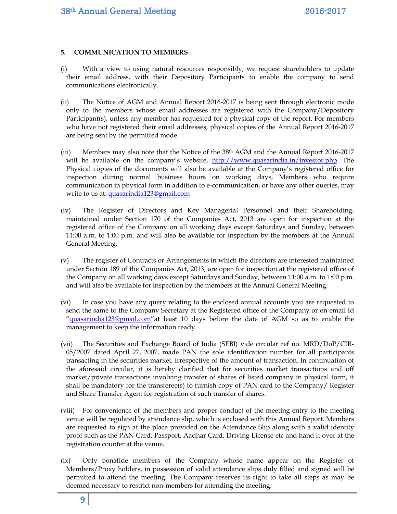#### **5. COMMUNICATION TO MEMBERS**

- (i) With a view to using natural resources responsibly, we request shareholders to update their email address, with their Depository Participants to enable the company to send communications electronically.
- (ii) The Notice of AGM and Annual Report 2016-2017 is being sent through electronic mode only to the members whose email addresses are registered with the Company/Depository Participant(s), unless any member has requested for a physical copy of the report. For members who have not registered their email addresses, physical copies of the Annual Report 2016-2017 are being sent by the permitted mode.
- (iii) Members may also note that the Notice of the 38th AGM and the Annual Report 2016-2017 will be available on the company's website, http://www.quasarindia.in/investor.php .The Physical copies of the documents will also be available at the Company's registered office for inspection during normal business hours on working days, Members who require communication in physical form in addition to e-communication, or have any other queries, may write to us at: quasarindia123@gmail.com
- (iv) The Register of Directors and Key Managerial Personnel and their Shareholding, maintained under Section 170 of the Companies Act, 2013 are open for inspection at the registered office of the Company on all working days except Saturdays and Sunday, between 11:00 a.m. to 1:00 p.m. and will also be available for inspection by the members at the Annual General Meeting.
- (v) The register of Contracts or Arrangements in which the directors are interested maintained under Section 189 of the Companies Act, 2013, are open for inspection at the registered office of the Company on all working days except Saturdays and Sunday, between 11:00 a.m. to 1:00 p.m. and will also be available for inspection by the members at the Annual General Meeting.
- (vi) In case you have any query relating to the enclosed annual accounts you are requested to send the same to the Company Secretary at the Registered office of the Company or on email Id "quasarindia123@gmail.com"at least 10 days before the date of AGM so as to enable the management to keep the information ready.
- (vii) The Securities and Exchange Board of India (SEBI) vide circular ref no. MRD/DoP/CIR-05/2007 dated April 27, 2007, made PAN the sole identification number for all participants transacting in the securities market, irrespective of the amount of transaction. In continuation of the aforesaid circular, it is hereby clarified that for securities market transactions and off market/private transactions involving transfer of shares of listed company in physical form, it shall be mandatory for the transferee(s) to furnish copy of PAN card to the Company/ Register and Share Transfer Agent for registration of such transfer of shares.
- (viii) For convenience of the members and proper conduct of the meeting entry to the meeting venue will be regulated by attendance slip, which is enclosed with this Annual Report. Members are requested to sign at the place provided on the Attendance Slip along with a valid identity proof such as the PAN Card, Passport, Aadhar Card, Driving License etc and hand it over at the registration counter at the venue.
- (ix) Only bonafide members of the Company whose name appear on the Register of Members/Proxy holders, in possession of valid attendance slips duly filled and signed will be permitted to attend the meeting. The Company reserves its right to take all steps as may be deemed necessary to restrict non-members for attending the meeting.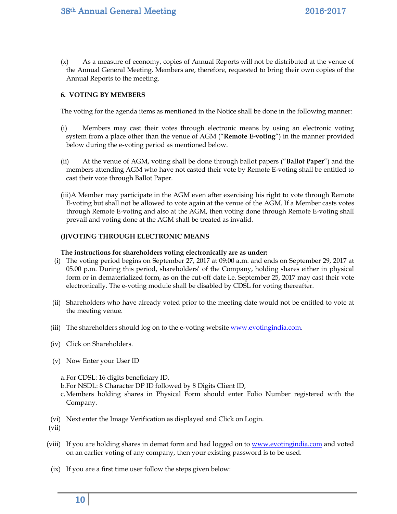(x) As a measure of economy, copies of Annual Reports will not be distributed at the venue of the Annual General Meeting. Members are, therefore, requested to bring their own copies of the Annual Reports to the meeting.

#### **6. VOTING BY MEMBERS**

The voting for the agenda items as mentioned in the Notice shall be done in the following manner:

- (i) Members may cast their votes through electronic means by using an electronic voting system from a place other than the venue of AGM ("**Remote E-voting**") in the manner provided below during the e-voting period as mentioned below.
- (ii) At the venue of AGM, voting shall be done through ballot papers ("**Ballot Paper**") and the members attending AGM who have not casted their vote by Remote E-voting shall be entitled to cast their vote through Ballot Paper.
- (iii)A Member may participate in the AGM even after exercising his right to vote through Remote E-voting but shall not be allowed to vote again at the venue of the AGM. If a Member casts votes through Remote E-voting and also at the AGM, then voting done through Remote E-voting shall prevail and voting done at the AGM shall be treated as invalid.

#### **(I)VOTING THROUGH ELECTRONIC MEANS**

#### **The instructions for shareholders voting electronically are as under:**

- (i) The voting period begins on September 27, 2017 at 09:00 a.m. and ends on September 29, 2017 at 05.00 p.m. During this period, shareholders' of the Company, holding shares either in physical form or in dematerialized form, as on the cut-off date i.e. September 25, 2017 may cast their vote electronically. The e-voting module shall be disabled by CDSL for voting thereafter.
- (ii) Shareholders who have already voted prior to the meeting date would not be entitled to vote at the meeting venue.
- (iii) The shareholders should log on to the e-voting website www.evotingindia.com.
- (iv) Click on Shareholders.
- (v) Now Enter your User ID
	- a.For CDSL: 16 digits beneficiary ID,
	- b.For NSDL: 8 Character DP ID followed by 8 Digits Client ID,
	- c.Members holding shares in Physical Form should enter Folio Number registered with the Company.
- (vi) Next enter the Image Verification as displayed and Click on Login.
- (vii)
- (viii) If you are holding shares in demat form and had logged on to www.evotingindia.com and voted on an earlier voting of any company, then your existing password is to be used.
- (ix) If you are a first time user follow the steps given below: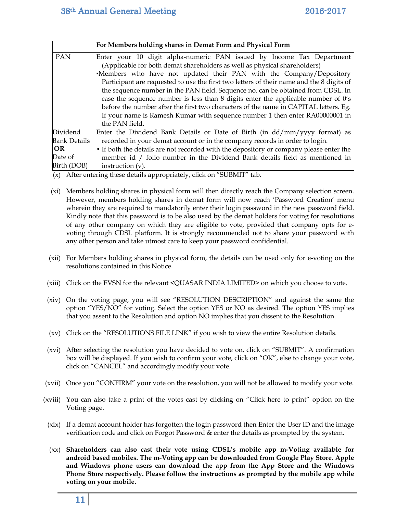|                     | For Members holding shares in Demat Form and Physical Form                               |  |
|---------------------|------------------------------------------------------------------------------------------|--|
| PAN                 | Enter your 10 digit alpha-numeric PAN issued by Income Tax Department                    |  |
|                     | (Applicable for both demat shareholders as well as physical shareholders)                |  |
|                     | •Members who have not updated their PAN with the Company/Depository                      |  |
|                     | Participant are requested to use the first two letters of their name and the 8 digits of |  |
|                     | the sequence number in the PAN field. Sequence no. can be obtained from CDSL. In         |  |
|                     | case the sequence number is less than 8 digits enter the applicable number of 0's        |  |
|                     | before the number after the first two characters of the name in CAPITAL letters. Eg.     |  |
|                     | If your name is Ramesh Kumar with sequence number 1 then enter RA00000001 in             |  |
|                     | the PAN field.                                                                           |  |
| Dividend            | Enter the Dividend Bank Details or Date of Birth (in dd/mm/yyyy format) as               |  |
| <b>Bank Details</b> | recorded in your demat account or in the company records in order to login.              |  |
| <b>OR</b>           | • If both the details are not recorded with the depository or company please enter the   |  |
| Date of             | member id / folio number in the Dividend Bank details field as mentioned in              |  |
| Birth (DOB)         | instruction (v).                                                                         |  |

(x) After entering these details appropriately, click on "SUBMIT" tab.

- (xi) Members holding shares in physical form will then directly reach the Company selection screen. However, members holding shares in demat form will now reach 'Password Creation' menu wherein they are required to mandatorily enter their login password in the new password field. Kindly note that this password is to be also used by the demat holders for voting for resolutions of any other company on which they are eligible to vote, provided that company opts for evoting through CDSL platform. It is strongly recommended not to share your password with any other person and take utmost care to keep your password confidential.
- (xii) For Members holding shares in physical form, the details can be used only for e-voting on the resolutions contained in this Notice.
- (xiii) Click on the EVSN for the relevant <QUASAR INDIA LIMITED> on which you choose to vote.
- (xiv) On the voting page, you will see "RESOLUTION DESCRIPTION" and against the same the option "YES/NO" for voting. Select the option YES or NO as desired. The option YES implies that you assent to the Resolution and option NO implies that you dissent to the Resolution.
- (xv) Click on the "RESOLUTIONS FILE LINK" if you wish to view the entire Resolution details.
- (xvi) After selecting the resolution you have decided to vote on, click on "SUBMIT". A confirmation box will be displayed. If you wish to confirm your vote, click on "OK", else to change your vote, click on "CANCEL" and accordingly modify your vote.
- (xvii) Once you "CONFIRM" your vote on the resolution, you will not be allowed to modify your vote.
- (xviii) You can also take a print of the votes cast by clicking on "Click here to print" option on the Voting page.
	- (xix) If a demat account holder has forgotten the login password then Enter the User ID and the image verification code and click on Forgot Password & enter the details as prompted by the system.
	- (xx) **Shareholders can also cast their vote using CDSL's mobile app m-Voting available for android based mobiles. The m-Voting app can be downloaded from Google Play Store. Apple and Windows phone users can download the app from the App Store and the Windows Phone Store respectively. Please follow the instructions as prompted by the mobile app while voting on your mobile.**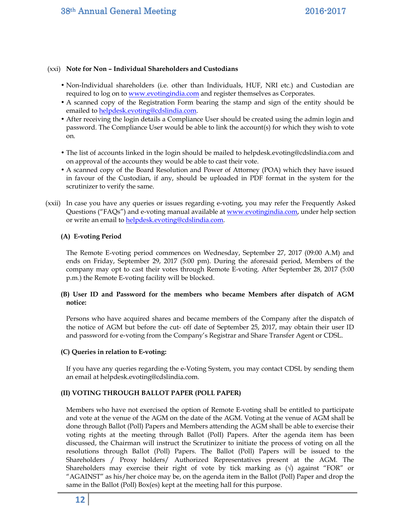#### (xxi) **Note for Non – Individual Shareholders and Custodians**

- Non-Individual shareholders (i.e. other than Individuals, HUF, NRI etc.) and Custodian are required to log on to www.evotingindia.com and register themselves as Corporates.
- A scanned copy of the Registration Form bearing the stamp and sign of the entity should be emailed to helpdesk.evoting@cdslindia.com.
- After receiving the login details a Compliance User should be created using the admin login and password. The Compliance User would be able to link the account(s) for which they wish to vote on.
- The list of accounts linked in the login should be mailed to helpdesk.evoting@cdslindia.com and on approval of the accounts they would be able to cast their vote.
- A scanned copy of the Board Resolution and Power of Attorney (POA) which they have issued in favour of the Custodian, if any, should be uploaded in PDF format in the system for the scrutinizer to verify the same.
- (xxii) In case you have any queries or issues regarding e-voting, you may refer the Frequently Asked Questions ("FAQs") and e-voting manual available at www.evotingindia.com, under help section or write an email to helpdesk.evoting@cdslindia.com.

#### **(A) E-voting Period**

 The Remote E-voting period commences on Wednesday, September 27, 2017 (09:00 A.M) and ends on Friday, September 29, 2017 (5:00 pm). During the aforesaid period, Members of the company may opt to cast their votes through Remote E-voting. After September 28, 2017 (5:00 p.m.) the Remote E-voting facility will be blocked.

#### **(B) User ID and Password for the members who became Members after dispatch of AGM notice:**

 Persons who have acquired shares and became members of the Company after the dispatch of the notice of AGM but before the cut- off date of September 25, 2017, may obtain their user ID and password for e-voting from the Company's Registrar and Share Transfer Agent or CDSL.

#### **(C) Queries in relation to E-voting:**

 If you have any queries regarding the e-Voting System, you may contact CDSL by sending them an email at helpdesk.evoting@cdslindia.com.

#### **(II) VOTING THROUGH BALLOT PAPER (POLL PAPER)**

 Members who have not exercised the option of Remote E-voting shall be entitled to participate and vote at the venue of the AGM on the date of the AGM. Voting at the venue of AGM shall be done through Ballot (Poll) Papers and Members attending the AGM shall be able to exercise their voting rights at the meeting through Ballot (Poll) Papers. After the agenda item has been discussed, the Chairman will instruct the Scrutinizer to initiate the process of voting on all the resolutions through Ballot (Poll) Papers. The Ballot (Poll) Papers will be issued to the Shareholders / Proxy holders/ Authorized Representatives present at the AGM. The Shareholders may exercise their right of vote by tick marking as  $(\sqrt{)}$  against "FOR" or "AGAINST" as his/her choice may be, on the agenda item in the Ballot (Poll) Paper and drop the same in the Ballot (Poll) Box(es) kept at the meeting hall for this purpose.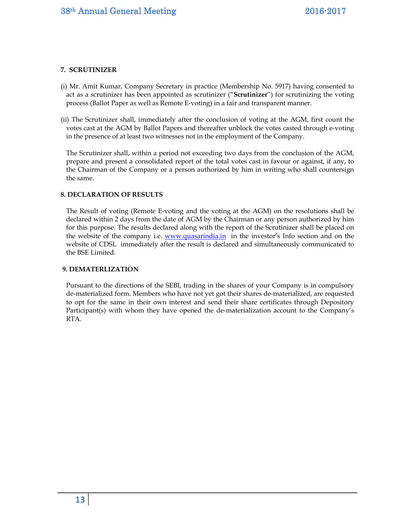#### **7. SCRUTINIZER**

- (i) Mr. Amit Kumar, Company Secretary in practice (Membership No. 5917) having consented to act as a scrutinizer has been appointed as scrutinizer ("**Scrutinizer**") for scrutinizing the voting process (Ballot Paper as well as Remote E-voting) in a fair and transparent manner.
- (ii) The Scrutinizer shall, immediately after the conclusion of voting at the AGM, first count the votes cast at the AGM by Ballot Papers and thereafter unblock the votes casted through e-voting in the presence of at least two witnesses not in the employment of the Company.

 The Scrutinizer shall, within a period not exceeding two days from the conclusion of the AGM, prepare and present a consolidated report of the total votes cast in favour or against, if any, to the Chairman of the Company or a person authorized by him in writing who shall countersign the same.

#### **8. DECLARATION OF RESULTS**

 The Result of voting (Remote E-voting and the voting at the AGM) on the resolutions shall be declared within 2 days from the date of AGM by the Chairman or any person authorized by him for this purpose. The results declared along with the report of the Scrutinizer shall be placed on the website of the company i.e. www.quasarindia.in in the investor's Info section and on the website of CDSL immediately after the result is declared and simultaneously communicated to the BSE Limited.

#### **9. DEMATERLIZATION**

 Pursuant to the directions of the SEBI, trading in the shares of your Company is in compulsory de-materialized form. Members who have not yet got their shares de-materialized, are requested to opt for the same in their own interest and send their share certificates through Depository Participant(s) with whom they have opened the de-materialization account to the Company's RTA.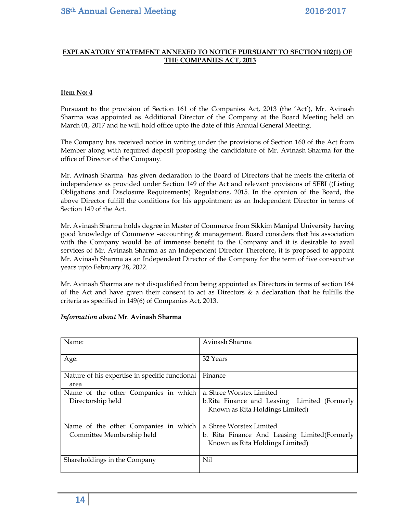#### **EXPLANATORY STATEMENT ANNEXED TO NOTICE PURSUANT TO SECTION 102(1) OF THE COMPANIES ACT, 2013**

#### **Item No: 4**

Pursuant to the provision of Section 161 of the Companies Act, 2013 (the 'Act'), Mr. Avinash Sharma was appointed as Additional Director of the Company at the Board Meeting held on March 01, 2017 and he will hold office upto the date of this Annual General Meeting.

The Company has received notice in writing under the provisions of Section 160 of the Act from Member along with required deposit proposing the candidature of Mr. Avinash Sharma for the office of Director of the Company.

Mr. Avinash Sharma has given declaration to the Board of Directors that he meets the criteria of independence as provided under Section 149 of the Act and relevant provisions of SEBI ((Listing Obligations and Disclosure Requirements) Regulations, 2015. In the opinion of the Board, the above Director fulfill the conditions for his appointment as an Independent Director in terms of Section 149 of the Act.

Mr. Avinash Sharma holds degree in Master of Commerce from Sikkim Manipal University having good knowledge of Commerce –accounting & management. Board considers that his association with the Company would be of immense benefit to the Company and it is desirable to avail services of Mr. Avinash Sharma as an Independent Director Therefore, it is proposed to appoint Mr. Avinash Sharma as an Independent Director of the Company for the term of five consecutive years upto February 28, 2022.

Mr. Avinash Sharma are not disqualified from being appointed as Directors in terms of section 164 of the Act and have given their consent to act as Directors  $\&$  a declaration that he fulfills the criteria as specified in 149(6) of Companies Act, 2013.

#### *Information about* **Mr**. **Avinash Sharma**

| Name:                                                  | Avinash Sharma                                |
|--------------------------------------------------------|-----------------------------------------------|
| Age:                                                   | 32 Years                                      |
| Nature of his expertise in specific functional<br>area | Finance                                       |
| Name of the other Companies in which                   | a. Shree Worstex Limited                      |
| Directorship held                                      | b. Rita Finance and Leasing Limited (Formerly |
|                                                        | Known as Rita Holdings Limited)               |
|                                                        | a. Shree Worstex Limited                      |
| Name of the other Companies in which                   |                                               |
| Committee Membership held                              | b. Rita Finance And Leasing Limited (Formerly |
|                                                        | Known as Rita Holdings Limited)               |
|                                                        |                                               |
| Shareholdings in the Company                           | Nil                                           |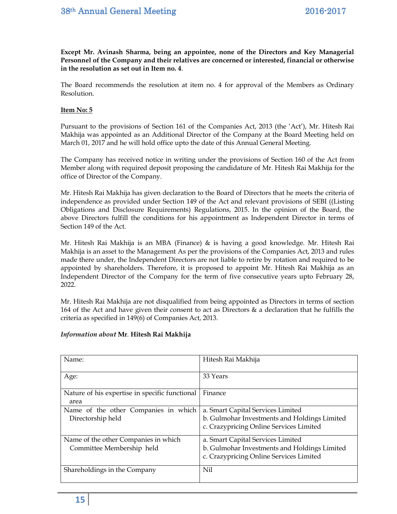**Except Mr. Avinash Sharma, being an appointee, none of the Directors and Key Managerial Personnel of the Company and their relatives are concerned or interested, financial or otherwise in the resolution as set out in Item no. 4**.

The Board recommends the resolution at item no. 4 for approval of the Members as Ordinary Resolution.

#### **Item No: 5**

Pursuant to the provisions of Section 161 of the Companies Act, 2013 (the 'Act'), Mr. Hitesh Rai Makhija was appointed as an Additional Director of the Company at the Board Meeting held on March 01, 2017 and he will hold office upto the date of this Annual General Meeting.

The Company has received notice in writing under the provisions of Section 160 of the Act from Member along with required deposit proposing the candidature of Mr. Hitesh Rai Makhija for the office of Director of the Company.

Mr. Hitesh Rai Makhija has given declaration to the Board of Directors that he meets the criteria of independence as provided under Section 149 of the Act and relevant provisions of SEBI ((Listing Obligations and Disclosure Requirements) Regulations, 2015. In the opinion of the Board, the above Directors fulfill the conditions for his appointment as Independent Director in terms of Section 149 of the Act.

Mr. Hitesh Rai Makhija is an MBA (Finance) & is having a good knowledge. Mr. Hitesh Rai Makhija is an asset to the Management As per the provisions of the Companies Act, 2013 and rules made there under, the Independent Directors are not liable to retire by rotation and required to be appointed by shareholders. Therefore, it is proposed to appoint Mr. Hitesh Rai Makhija as an Independent Director of the Company for the term of five consecutive years upto February 28, 2022.

Mr. Hitesh Rai Makhija are not disqualified from being appointed as Directors in terms of section 164 of the Act and have given their consent to act as Directors & a declaration that he fulfills the criteria as specified in 149(6) of Companies Act, 2013.

| Name:                                                             | Hitesh Rai Makhija                                                                                                           |
|-------------------------------------------------------------------|------------------------------------------------------------------------------------------------------------------------------|
| Age:                                                              | 33 Years                                                                                                                     |
| Nature of his expertise in specific functional<br>area            | Finance                                                                                                                      |
| Name of the other Companies in which<br>Directorship held         | a. Smart Capital Services Limited<br>b. Gulmohar Investments and Holdings Limited<br>c. Crazypricing Online Services Limited |
| Name of the other Companies in which<br>Committee Membership held | a. Smart Capital Services Limited<br>b. Gulmohar Investments and Holdings Limited<br>c. Crazypricing Online Services Limited |
| Shareholdings in the Company                                      | Nil                                                                                                                          |

#### *Information about* **Mr**. **Hitesh Rai Makhija**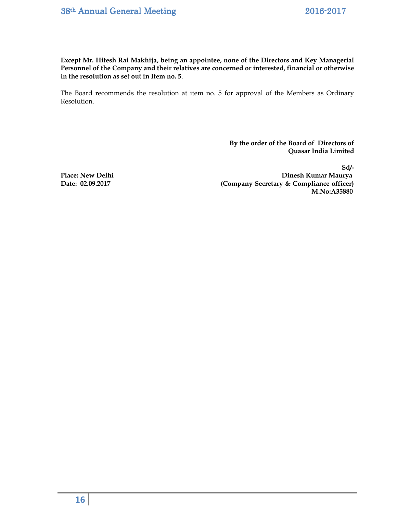**Except Mr. Hitesh Rai Makhija, being an appointee, none of the Directors and Key Managerial Personnel of the Company and their relatives are concerned or interested, financial or otherwise in the resolution as set out in Item no. 5**.

The Board recommends the resolution at item no. 5 for approval of the Members as Ordinary Resolution.

> **By the order of the Board of Directors of Quasar India Limited**

 **Sd/-**  Place: New Delhi **Dinesh Kumar Maurya Date: 02.09.2017 (Company Secretary & Compliance officer) M.No:A35880**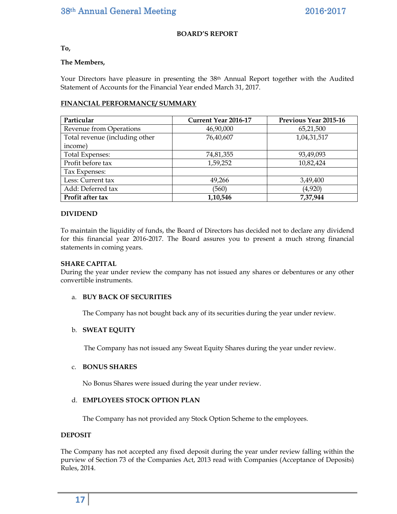#### **BOARD'S REPORT**

**To,** 

#### **The Members,**

Your Directors have pleasure in presenting the 38<sup>th</sup> Annual Report together with the Audited Statement of Accounts for the Financial Year ended March 31, 2017.

#### **FINANCIAL PERFORMANCE/ SUMMARY**

| Particular                     | <b>Current Year 2016-17</b> | Previous Year 2015-16 |
|--------------------------------|-----------------------------|-----------------------|
| Revenue from Operations        | 46,90,000                   | 65,21,500             |
| Total revenue (including other | 76,40,607                   | 1,04,31,517           |
| income)                        |                             |                       |
| Total Expenses:                | 74,81,355                   | 93,49,093             |
| Profit before tax              | 1,59,252                    | 10,82,424             |
| Tax Expenses:                  |                             |                       |
| Less: Current tax              | 49,266                      | 3,49,400              |
| Add: Deferred tax              | (560)                       | (4,920)               |
| Profit after tax               | 1,10,546                    | 7,37,944              |

#### **DIVIDEND**

To maintain the liquidity of funds, the Board of Directors has decided not to declare any dividend for this financial year 2016-2017. The Board assures you to present a much strong financial statements in coming years.

#### **SHARE CAPITAL**

During the year under review the company has not issued any shares or debentures or any other convertible instruments.

#### a. **BUY BACK OF SECURITIES**

The Company has not bought back any of its securities during the year under review.

#### b. **SWEAT EQUITY**

The Company has not issued any Sweat Equity Shares during the year under review.

#### c. **BONUS SHARES**

No Bonus Shares were issued during the year under review.

#### d. **EMPLOYEES STOCK OPTION PLAN**

The Company has not provided any Stock Option Scheme to the employees.

#### **DEPOSIT**

The Company has not accepted any fixed deposit during the year under review falling within the purview of Section 73 of the Companies Act, 2013 read with Companies (Acceptance of Deposits) Rules, 2014.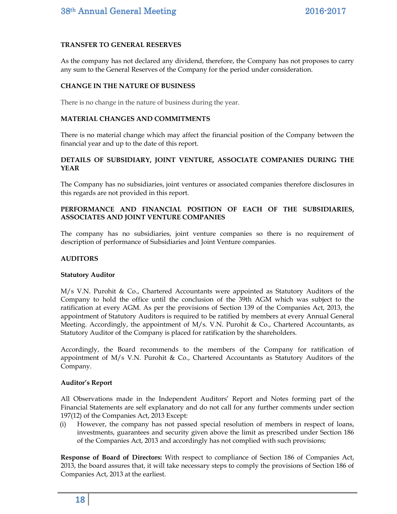#### **TRANSFER TO GENERAL RESERVES**

As the company has not declared any dividend, therefore, the Company has not proposes to carry any sum to the General Reserves of the Company for the period under consideration.

#### **CHANGE IN THE NATURE OF BUSINESS**

There is no change in the nature of business during the year.

#### **MATERIAL CHANGES AND COMMITMENTS**

There is no material change which may affect the financial position of the Company between the financial year and up to the date of this report.

#### **DETAILS OF SUBSIDIARY, JOINT VENTURE, ASSOCIATE COMPANIES DURING THE YEAR**

The Company has no subsidiaries, joint ventures or associated companies therefore disclosures in this regards are not provided in this report.

#### **PERFORMANCE AND FINANCIAL POSITION OF EACH OF THE SUBSIDIARIES, ASSOCIATES AND JOINT VENTURE COMPANIES**

The company has no subsidiaries, joint venture companies so there is no requirement of description of performance of Subsidiaries and Joint Venture companies.

#### **AUDITORS**

#### **Statutory Auditor**

M/s V.N. Purohit & Co., Chartered Accountants were appointed as Statutory Auditors of the Company to hold the office until the conclusion of the 39th AGM which was subject to the ratification at every AGM. As per the provisions of Section 139 of the Companies Act, 2013, the appointment of Statutory Auditors is required to be ratified by members at every Annual General Meeting. Accordingly, the appointment of M/s. V.N. Purohit & Co., Chartered Accountants, as Statutory Auditor of the Company is placed for ratification by the shareholders.

Accordingly, the Board recommends to the members of the Company for ratification of appointment of  $M/s$  V.N. Purohit & Co., Chartered Accountants as Statutory Auditors of the Company.

#### **Auditor's Report**

All Observations made in the Independent Auditors' Report and Notes forming part of the Financial Statements are self explanatory and do not call for any further comments under section 197(12) of the Companies Act, 2013 Except:

(i) However, the company has not passed special resolution of members in respect of loans, investments, guarantees and security given above the limit as prescribed under Section 186 of the Companies Act, 2013 and accordingly has not complied with such provisions;

**Response of Board of Directors:** With respect to compliance of Section 186 of Companies Act, 2013, the board assures that, it will take necessary steps to comply the provisions of Section 186 of Companies Act, 2013 at the earliest.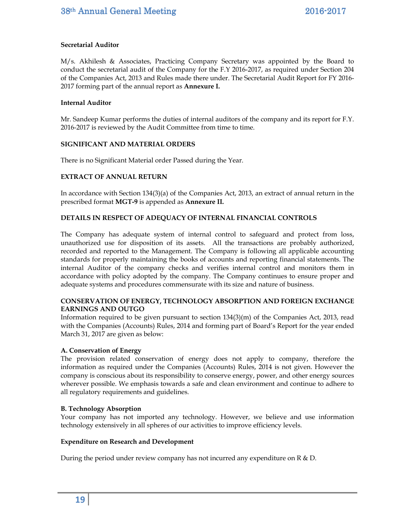#### **Secretarial Auditor**

M/s. Akhilesh & Associates, Practicing Company Secretary was appointed by the Board to conduct the secretarial audit of the Company for the F.Y 2016-2017, as required under Section 204 of the Companies Act, 2013 and Rules made there under. The Secretarial Audit Report for FY 2016- 2017 forming part of the annual report as **Annexure I.**

#### **Internal Auditor**

Mr. Sandeep Kumar performs the duties of internal auditors of the company and its report for F.Y. 2016-2017 is reviewed by the Audit Committee from time to time.

#### **SIGNIFICANT AND MATERIAL ORDERS**

There is no Significant Material order Passed during the Year.

#### **EXTRACT OF ANNUAL RETURN**

In accordance with Section 134(3)(a) of the Companies Act, 2013, an extract of annual return in the prescribed format **MGT-9** is appended as **Annexure II.**

#### **DETAILS IN RESPECT OF ADEQUACY OF INTERNAL FINANCIAL CONTROLS**

The Company has adequate system of internal control to safeguard and protect from loss, unauthorized use for disposition of its assets. All the transactions are probably authorized, recorded and reported to the Management. The Company is following all applicable accounting standards for properly maintaining the books of accounts and reporting financial statements. The internal Auditor of the company checks and verifies internal control and monitors them in accordance with policy adopted by the company. The Company continues to ensure proper and adequate systems and procedures commensurate with its size and nature of business.

#### **CONSERVATION OF ENERGY, TECHNOLOGY ABSORPTION AND FOREIGN EXCHANGE EARNINGS AND OUTGO**

Information required to be given pursuant to section 134(3)(m) of the Companies Act, 2013, read with the Companies (Accounts) Rules, 2014 and forming part of Board's Report for the year ended March 31, 2017 are given as below:

#### **A. Conservation of Energy**

The provision related conservation of energy does not apply to company, therefore the information as required under the Companies (Accounts) Rules, 2014 is not given. However the company is conscious about its responsibility to conserve energy, power, and other energy sources wherever possible. We emphasis towards a safe and clean environment and continue to adhere to all regulatory requirements and guidelines.

#### **B. Technology Absorption**

Your company has not imported any technology. However, we believe and use information technology extensively in all spheres of our activities to improve efficiency levels.

#### **Expenditure on Research and Development**

During the period under review company has not incurred any expenditure on R & D.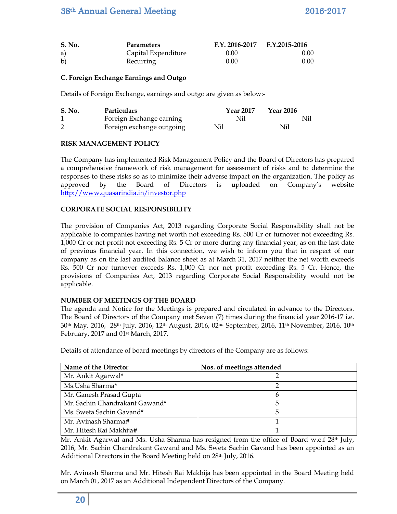| S. No.       | <b>Parameters</b>   | $F.Y. 2016-2017$ $F.Y.2015-2016$ |                   |
|--------------|---------------------|----------------------------------|-------------------|
| a)           | Capital Expenditure | 0.00                             | $0.00^{\circ}$    |
| $\mathbf{b}$ | Recurring           | 0.00                             | 0.00 <sub>1</sub> |

#### **C. Foreign Exchange Earnings and Outgo**

Details of Foreign Exchange, earnings and outgo are given as below:-

| <b>S. No.</b> | <b>Particulars</b>        | <b>Year 2017</b> | <b>Year 2016</b> |
|---------------|---------------------------|------------------|------------------|
|               | Foreign Exchange earning  | Nil              | Nil              |
|               | Foreign exchange outgoing | Nil              | Nil              |

#### **RISK MANAGEMENT POLICY**

The Company has implemented Risk Management Policy and the Board of Directors has prepared a comprehensive framework of risk management for assessment of risks and to determine the responses to these risks so as to minimize their adverse impact on the organization. The policy as approved by the Board of Directors is uploaded on Company's website http://www.quasarindia.in/investor.php

#### **CORPORATE SOCIAL RESPONSIBILITY**

The provision of Companies Act, 2013 regarding Corporate Social Responsibility shall not be applicable to companies having net worth not exceeding Rs. 500 Cr or turnover not exceeding Rs. 1,000 Cr or net profit not exceeding Rs. 5 Cr or more during any financial year, as on the last date of previous financial year. In this connection, we wish to inform you that in respect of our company as on the last audited balance sheet as at March 31, 2017 neither the net worth exceeds Rs. 500 Cr nor turnover exceeds Rs. 1,000 Cr nor net profit exceeding Rs. 5 Cr. Hence, the provisions of Companies Act, 2013 regarding Corporate Social Responsibility would not be applicable.

#### **NUMBER OF MEETINGS OF THE BOARD**

The agenda and Notice for the Meetings is prepared and circulated in advance to the Directors. The Board of Directors of the Company met Seven (7) times during the financial year 2016-17 i.e.  $30<sup>th</sup>$  May, 2016, 28<sup>th</sup> July, 2016, 12<sup>th</sup> August, 2016, 02<sup>nd</sup> September, 2016, 11<sup>th</sup> November, 2016, 10<sup>th</sup> February, 2017 and 01st March, 2017.

| Name of the Director           | Nos. of meetings attended |  |
|--------------------------------|---------------------------|--|
| Mr. Ankit Agarwal*             |                           |  |
| Ms.Usha Sharma*                |                           |  |
| Mr. Ganesh Prasad Gupta        |                           |  |
| Mr. Sachin Chandrakant Gawand* |                           |  |
| Ms. Sweta Sachin Gavand*       |                           |  |
| Mr. Avinash Sharma#            |                           |  |
| Mr. Hitesh Rai Makhija#        |                           |  |

Details of attendance of board meetings by directors of the Company are as follows:

Mr. Ankit Agarwal and Ms. Usha Sharma has resigned from the office of Board w.e.f 28th July, 2016, Mr. Sachin Chandrakant Gawand and Ms. Sweta Sachin Gavand has been appointed as an Additional Directors in the Board Meeting held on 28<sup>th</sup> July, 2016.

Mr. Avinash Sharma and Mr. Hitesh Rai Makhija has been appointed in the Board Meeting held on March 01, 2017 as an Additional Independent Directors of the Company.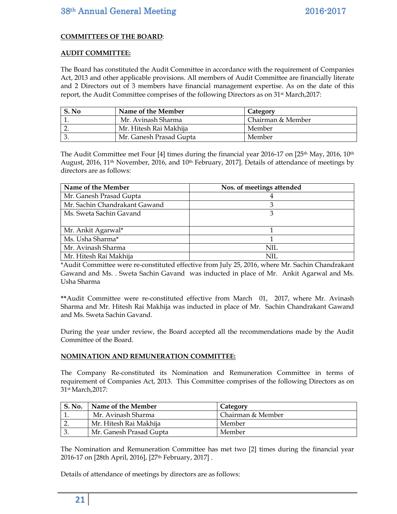#### **COMMITTEES OF THE BOARD**:

#### **AUDIT COMMITTEE:**

The Board has constituted the Audit Committee in accordance with the requirement of Companies Act, 2013 and other applicable provisions. All members of Audit Committee are financially literate and 2 Directors out of 3 members have financial management expertise. As on the date of this report, the Audit Committee comprises of the following Directors as on 31<sup>st</sup> March,2017:

| S.No | Name of the Member      | Category          |
|------|-------------------------|-------------------|
|      | Mr. Avinash Sharma      | Chairman & Member |
|      | Mr. Hitesh Rai Makhija  | Member            |
|      | Mr. Ganesh Prasad Gupta | Member            |

The Audit Committee met Four [4] times during the financial year 2016-17 on [25<sup>th</sup> May, 2016, 10<sup>th</sup> August, 2016, 11<sup>th</sup> November, 2016, and 10<sup>th</sup> February, 2017]. Details of attendance of meetings by directors are as follows:

| Name of the Member            | Nos. of meetings attended |
|-------------------------------|---------------------------|
| Mr. Ganesh Prasad Gupta       |                           |
| Mr. Sachin Chandrakant Gawand |                           |
| Ms. Sweta Sachin Gavand       | З                         |
|                               |                           |
| Mr. Ankit Agarwal*            |                           |
| Ms. Usha Sharma*              |                           |
| Mr. Avinash Sharma            | NIL.                      |
| Mr. Hitesh Rai Makhija        | NII                       |

\*Audit Committee were re-constituted effective from July 25, 2016, where Mr. Sachin Chandrakant Gawand and Ms. . Sweta Sachin Gavand was inducted in place of Mr. Ankit Agarwal and Ms. Usha Sharma

**\*\***Audit Committee were re-constituted effective from March 01, 2017, where Mr. Avinash Sharma and Mr. Hitesh Rai Makhija was inducted in place of Mr. Sachin Chandrakant Gawand and Ms. Sweta Sachin Gavand.

During the year under review, the Board accepted all the recommendations made by the Audit Committee of the Board.

#### **NOMINATION AND REMUNERATION COMMITTEE:**

The Company Re-constituted its Nomination and Remuneration Committee in terms of requirement of Companies Act, 2013. This Committee comprises of the following Directors as on 31st March,2017:

| <b>S. No.</b> | Name of the Member      | Category          |
|---------------|-------------------------|-------------------|
|               | Mr. Avinash Sharma      | Chairman & Member |
|               | Mr. Hitesh Rai Makhija  | Member            |
|               | Mr. Ganesh Prasad Gupta | Member            |

The Nomination and Remuneration Committee has met two [2] times during the financial year 2016-17 on [28th April, 2016], [27th February, 2017] .

Details of attendance of meetings by directors are as follows: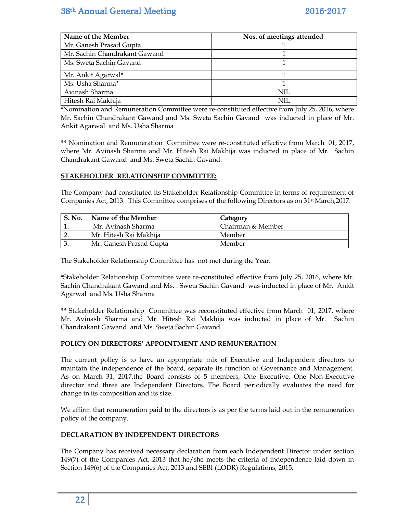## 38<sup>th</sup> Annual General Meeting 2016-2017

| Name of the Member            | Nos. of meetings attended |
|-------------------------------|---------------------------|
| Mr. Ganesh Prasad Gupta       |                           |
| Mr. Sachin Chandrakant Gawand |                           |
| Ms. Sweta Sachin Gavand       |                           |
| Mr. Ankit Agarwal*            |                           |
| Ms. Usha Sharma*              |                           |
| Avinash Sharma                | NIL.                      |
| Hitesh Rai Makhija            | NП                        |

\*Nomination and Remuneration Committee were re-constituted effective from July 25, 2016, where Mr. Sachin Chandrakant Gawand and Ms. Sweta Sachin Gavand was inducted in place of Mr. Ankit Agarwal and Ms. Usha Sharma

**\*\*** Nomination and Remuneration Committee were re-constituted effective from March 01, 2017, where Mr. Avinash Sharma and Mr. Hitesh Rai Makhija was inducted in place of Mr. Sachin Chandrakant Gawand and Ms. Sweta Sachin Gavand.

#### **STAKEHOLDER RELATIONSHIP COMMITTEE:**

The Company had constituted its Stakeholder Relationship Committee in terms of requirement of Companies Act, 2013. This Committee comprises of the following Directors as on 31st March,2017:

| <b>S. No.</b> | Name of the Member      | Category          |
|---------------|-------------------------|-------------------|
|               | Mr. Avinash Sharma      | Chairman & Member |
|               | Mr. Hitesh Rai Makhija  | Member            |
|               | Mr. Ganesh Prasad Gupta | Member            |

The Stakeholder Relationship Committee has not met during the Year.

\*Stakeholder Relationship Committee were re-constituted effective from July 25, 2016, where Mr. Sachin Chandrakant Gawand and Ms. . Sweta Sachin Gavand was inducted in place of Mr. Ankit Agarwal and Ms. Usha Sharma

**\*\*** Stakeholder Relationship Committee was reconstituted effective from March 01, 2017, where Mr. Avinash Sharma and Mr. Hitesh Rai Makhija was inducted in place of Mr. Sachin Chandrakant Gawand and Ms. Sweta Sachin Gavand.

#### **POLICY ON DIRECTORS' APPOINTMENT AND REMUNERATION**

The current policy is to have an appropriate mix of Executive and Independent directors to maintain the independence of the board, separate its function of Governance and Management. As on March 31, 2017,the Board consists of 5 members, One Executive, One Non-Executive director and three are Independent Directors. The Board periodically evaluates the need for change in its composition and its size.

We affirm that remuneration paid to the directors is as per the terms laid out in the remuneration policy of the company.

#### **DECLARATION BY INDEPENDENT DIRECTORS**

The Company has received necessary declaration from each Independent Director under section 149(7) of the Companies Act, 2013 that he/she meets the criteria of independence laid down in Section 149(6) of the Companies Act, 2013 and SEBI (LODR) Regulations, 2015.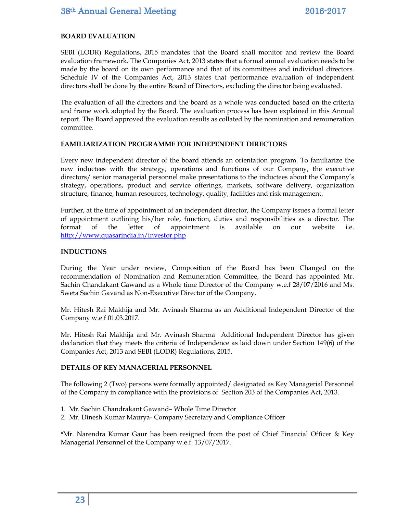#### **BOARD EVALUATION**

SEBI (LODR) Regulations, 2015 mandates that the Board shall monitor and review the Board evaluation framework. The Companies Act, 2013 states that a formal annual evaluation needs to be made by the board on its own performance and that of its committees and individual directors. Schedule IV of the Companies Act, 2013 states that performance evaluation of independent directors shall be done by the entire Board of Directors, excluding the director being evaluated.

The evaluation of all the directors and the board as a whole was conducted based on the criteria and frame work adopted by the Board. The evaluation process has been explained in this Annual report. The Board approved the evaluation results as collated by the nomination and remuneration committee.

#### **FAMILIARIZATION PROGRAMME FOR INDEPENDENT DIRECTORS**

Every new independent director of the board attends an orientation program. To familiarize the new inductees with the strategy, operations and functions of our Company, the executive directors/ senior managerial personnel make presentations to the inductees about the Company's strategy, operations, product and service offerings, markets, software delivery, organization structure, finance, human resources, technology, quality, facilities and risk management.

Further, at the time of appointment of an independent director, the Company issues a formal letter of appointment outlining his/her role, function, duties and responsibilities as a director. The format of the letter of appointment is available on our website i.e. http://www.quasarindia.in/investor.php

#### **INDUCTIONS**

During the Year under review, Composition of the Board has been Changed on the recommendation of Nomination and Remuneration Committee, the Board has appointed Mr. Sachin Chandakant Gawand as a Whole time Director of the Company w.e.f 28/07/2016 and Ms. Sweta Sachin Gavand as Non-Executive Director of the Company.

Mr. Hitesh Rai Makhija and Mr. Avinash Sharma as an Additional Independent Director of the Company w.e.f 01.03.2017.

Mr. Hitesh Rai Makhija and Mr. Avinash Sharma Additional Independent Director has given declaration that they meets the criteria of Independence as laid down under Section 149(6) of the Companies Act, 2013 and SEBI (LODR) Regulations, 2015.

#### **DETAILS OF KEY MANAGERIAL PERSONNEL**

The following 2 (Two) persons were formally appointed/ designated as Key Managerial Personnel of the Company in compliance with the provisions of Section 203 of the Companies Act, 2013.

- 1. Mr. Sachin Chandrakant Gawand– Whole Time Director
- 2. Mr. Dinesh Kumar Maurya- Company Secretary and Compliance Officer

\*Mr. Narendra Kumar Gaur has been resigned from the post of Chief Financial Officer & Key Managerial Personnel of the Company w.e.f. 13/07/2017.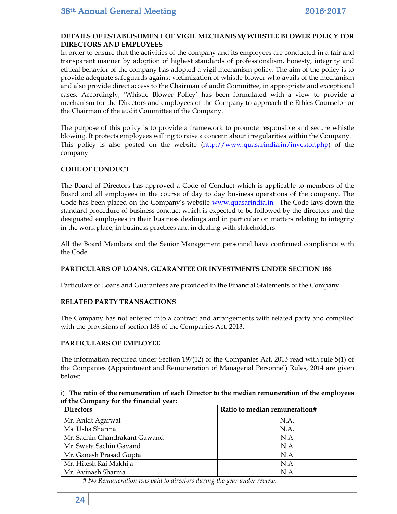#### **DETAILS OF ESTABLISHMENT OF VIGIL MECHANISM/ WHISTLE BLOWER POLICY FOR DIRECTORS AND EMPLOYEES**

In order to ensure that the activities of the company and its employees are conducted in a fair and transparent manner by adoption of highest standards of professionalism, honesty, integrity and ethical behavior of the company has adopted a vigil mechanism policy. The aim of the policy is to provide adequate safeguards against victimization of whistle blower who avails of the mechanism and also provide direct access to the Chairman of audit Committee, in appropriate and exceptional cases. Accordingly, 'Whistle Blower Policy' has been formulated with a view to provide a mechanism for the Directors and employees of the Company to approach the Ethics Counselor or the Chairman of the audit Committee of the Company.

The purpose of this policy is to provide a framework to promote responsible and secure whistle blowing. It protects employees willing to raise a concern about irregularities within the Company. This policy is also posted on the website (http://www.quasarindia.in/investor.php) of the company.

#### **CODE OF CONDUCT**

The Board of Directors has approved a Code of Conduct which is applicable to members of the Board and all employees in the course of day to day business operations of the company. The Code has been placed on the Company's website www.quasarindia.in. The Code lays down the standard procedure of business conduct which is expected to be followed by the directors and the designated employees in their business dealings and in particular on matters relating to integrity in the work place, in business practices and in dealing with stakeholders.

All the Board Members and the Senior Management personnel have confirmed compliance with the Code.

#### **PARTICULARS OF LOANS, GUARANTEE OR INVESTMENTS UNDER SECTION 186**

Particulars of Loans and Guarantees are provided in the Financial Statements of the Company.

#### **RELATED PARTY TRANSACTIONS**

The Company has not entered into a contract and arrangements with related party and complied with the provisions of section 188 of the Companies Act, 2013.

#### **PARTICULARS OF EMPLOYEE**

The information required under Section 197(12) of the Companies Act, 2013 read with rule 5(1) of the Companies (Appointment and Remuneration of Managerial Personnel) Rules, 2014 are given below:

|                                        | i) The ratio of the remuneration of each Director to the median remuneration of the employees |
|----------------------------------------|-----------------------------------------------------------------------------------------------|
| of the Company for the financial year: |                                                                                               |

| <b>Directors</b>              | Ratio to median remuneration# |
|-------------------------------|-------------------------------|
| Mr. Ankit Agarwal             | N.A.                          |
| Ms. Usha Sharma               | N.A.                          |
| Mr. Sachin Chandrakant Gawand | N.A                           |
| Mr. Sweta Sachin Gavand       | N.A                           |
| Mr. Ganesh Prasad Gupta       | N.A                           |
| Mr. Hitesh Rai Makhija        | N.A                           |
| Mr. Avinash Sharma            | N.A                           |

*# No Remuneration was paid to directors during the year under review.*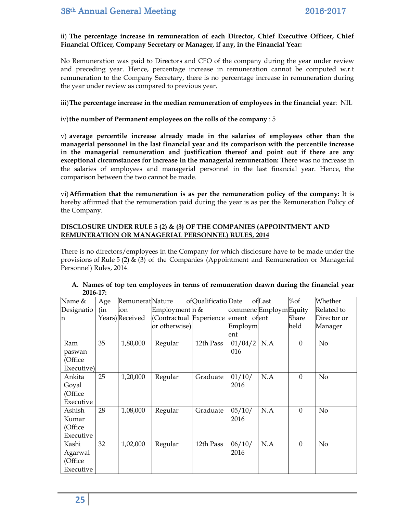#### ii) **The percentage increase in remuneration of each Director, Chief Executive Officer, Chief Financial Officer, Company Secretary or Manager, if any, in the Financial Year:**

No Remuneration was paid to Directors and CFO of the company during the year under review and preceding year. Hence, percentage increase in remuneration cannot be computed w.r.t remuneration to the Company Secretary, there is no percentage increase in remuneration during the year under review as compared to previous year.

#### iii)**The percentage increase in the median remuneration of employees in the financial year**: NIL

#### iv)**the number of Permanent employees on the rolls of the company** : 5

v) **average percentile increase already made in the salaries of employees other than the managerial personnel in the last financial year and its comparison with the percentile increase in the managerial remuneration and justification thereof and point out if there are any exceptional circumstances for increase in the managerial remuneration:** There was no increase in the salaries of employees and managerial personnel in the last financial year. Hence, the comparison between the two cannot be made.

vi)**Affirmation that the remuneration is as per the remuneration policy of the company:** It is hereby affirmed that the remuneration paid during the year is as per the Remuneration Policy of the Company.

#### **DISCLOSURE UNDER RULE 5 (2) & (3) OF THE COMPANIES (APPOINTMENT AND REMUNERATION OR MANAGERIAL PERSONNEL) RULES, 2014**

There is no directors/employees in the Company for which disclosure have to be made under the provisions of Rule 5 (2)  $\&$  (3) of the Companies (Appointment and Remuneration or Managerial Personnel) Rules, 2014.

| Name &     | Age | Remunerat Nature |                                      | ofQualificatioDate |         | ofLast                 | %of      | Whether        |
|------------|-----|------------------|--------------------------------------|--------------------|---------|------------------------|----------|----------------|
| Designatio | (in | ion              | Employment n &                       |                    |         | commenc Employm Equity |          | Related to     |
| n          |     | Years) Received  | (Contractual Experience ement offent |                    |         |                        | Share    | Director or    |
|            |     |                  | or otherwise)                        |                    | Employm |                        | held     | Manager        |
|            |     |                  |                                      |                    | ent     |                        |          |                |
| Ram        | 35  | 1,80,000         | Regular                              | 12th Pass          | 01/04/2 | N.A                    | $\Omega$ | N <sub>o</sub> |
| paswan     |     |                  |                                      |                    | 016     |                        |          |                |
| (Office    |     |                  |                                      |                    |         |                        |          |                |
| Executive) |     |                  |                                      |                    |         |                        |          |                |
| Ankita     | 25  | 1,20,000         | Regular                              | Graduate           | 01/10/  | N.A                    | $\Omega$ | N <sub>o</sub> |
| Goyal      |     |                  |                                      |                    | 2016    |                        |          |                |
| (Office    |     |                  |                                      |                    |         |                        |          |                |
| Executive  |     |                  |                                      |                    |         |                        |          |                |
| Ashish     | 28  | 1,08,000         | Regular                              | Graduate           | 05/10/  | N.A                    | $\Omega$ | No             |
| Kumar      |     |                  |                                      |                    | 2016    |                        |          |                |
| (Office    |     |                  |                                      |                    |         |                        |          |                |
| Executive  |     |                  |                                      |                    |         |                        |          |                |
| Kashi      | 32  | 1,02,000         | Regular                              | 12th Pass          | 06/10/  | N.A                    | $\Omega$ | No             |
| Agarwal    |     |                  |                                      |                    | 2016    |                        |          |                |
| (Office    |     |                  |                                      |                    |         |                        |          |                |
| Executive  |     |                  |                                      |                    |         |                        |          |                |

#### **A. Names of top ten employees in terms of remuneration drawn during the financial year 2016-17:**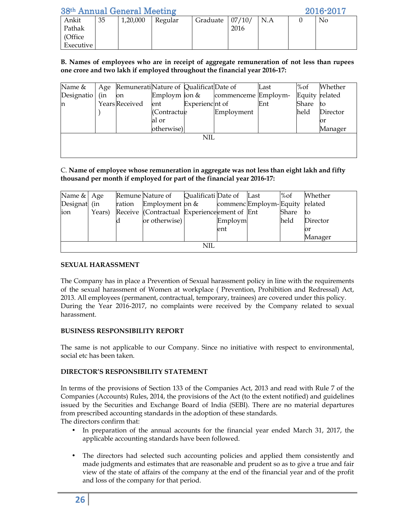#### $38th$  Annual General Meeting  $2016-2017$

|                  | <b><i>CO<sup>--</sup> Allitual General Meeting</i></b><br>2010201 |          |         |                   |      |       |  |                |
|------------------|-------------------------------------------------------------------|----------|---------|-------------------|------|-------|--|----------------|
| Ankit            | 35                                                                | 1,20,000 | Regular | Graduate $07/10/$ |      | I N.A |  | N <sub>o</sub> |
| Pathak           |                                                                   |          |         |                   | 2016 |       |  |                |
| (Office          |                                                                   |          |         |                   |      |       |  |                |
| <b>Executive</b> |                                                                   |          |         |                   |      |       |  |                |

#### **B. Names of employees who are in receipt of aggregate remuneration of not less than rupees one crore and two lakh if employed throughout the financial year 2016-17:**

| Name &     | Age | Remunerati Nature of Qualificat Date of |                 |                |                     | Last | %of   | Whether        |
|------------|-----|-----------------------------------------|-----------------|----------------|---------------------|------|-------|----------------|
| Designatio | (in | on                                      | Employm ion $&$ |                | commenceme Employm- |      |       | Equity related |
| In         |     | Years Received                          | ent             | Experiencnt of |                     | Ent  | Share | łю             |
|            |     |                                         | (Contractue     |                | Employment          |      | held  | Director       |
|            |     |                                         | al or           |                |                     |      |       | or             |
|            |     |                                         | otherwise)      |                |                     |      |       | Manager        |
|            |     |                                         |                 | NIL            |                     |      |       |                |
|            |     |                                         |                 |                |                     |      |       |                |
|            |     |                                         |                 |                |                     |      |       |                |

#### C. **Name of employee whose remuneration in aggregate was not less than eight lakh and fifty thousand per month if employed for part of the financial year 2016-17:**

| Name &   Age |  |  | Remune Nature of                                      | Qualificati Date of Last |         |  | % $of$ | Whether  |
|--------------|--|--|-------------------------------------------------------|--------------------------|---------|--|--------|----------|
| Designat (in |  |  | ration Employment on & commenc Employm-Equity related |                          |         |  |        |          |
| ion          |  |  | Years) Receive (Contractual Experience ement of Ent   |                          |         |  | Share  | to       |
|              |  |  | or otherwise)                                         |                          | Employm |  | held   | Director |
|              |  |  |                                                       |                          | lent    |  |        | Оľ       |
|              |  |  |                                                       |                          |         |  |        | Manager  |
| NIL          |  |  |                                                       |                          |         |  |        |          |

#### **SEXUAL HARASSMENT**

The Company has in place a Prevention of Sexual harassment policy in line with the requirements of the sexual harassment of Women at workplace ( Prevention, Prohibition and Redressal) Act, 2013. All employees (permanent, contractual, temporary, trainees) are covered under this policy. During the Year 2016-2017, no complaints were received by the Company related to sexual harassment.

#### **BUSINESS RESPONSIBILITY REPORT**

The same is not applicable to our Company. Since no initiative with respect to environmental, social etc has been taken.

#### **DIRECTOR'S RESPONSIBILITY STATEMENT**

In terms of the provisions of Section 133 of the Companies Act, 2013 and read with Rule 7 of the Companies (Accounts) Rules, 2014, the provisions of the Act (to the extent notified) and guidelines issued by the Securities and Exchange Board of India (SEBI). There are no material departures from prescribed accounting standards in the adoption of these standards. The directors confirm that:

- In preparation of the annual accounts for the financial year ended March 31, 2017, the applicable accounting standards have been followed.
- The directors had selected such accounting policies and applied them consistently and made judgments and estimates that are reasonable and prudent so as to give a true and fair view of the state of affairs of the company at the end of the financial year and of the profit and loss of the company for that period.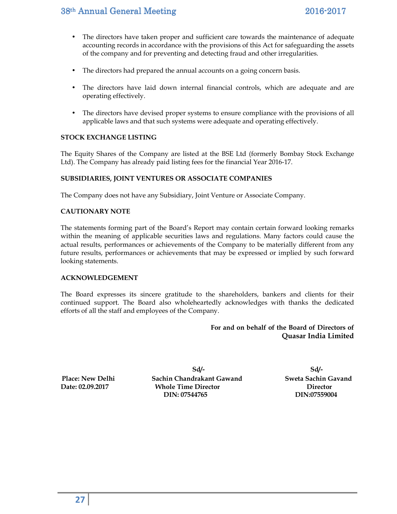### 38<sup>th</sup> Annual General Meeting 2016-2017

- The directors have taken proper and sufficient care towards the maintenance of adequate accounting records in accordance with the provisions of this Act for safeguarding the assets of the company and for preventing and detecting fraud and other irregularities.
- The directors had prepared the annual accounts on a going concern basis.
- The directors have laid down internal financial controls, which are adequate and are operating effectively.
- The directors have devised proper systems to ensure compliance with the provisions of all applicable laws and that such systems were adequate and operating effectively.

#### **STOCK EXCHANGE LISTING**

The Equity Shares of the Company are listed at the BSE Ltd (formerly Bombay Stock Exchange Ltd). The Company has already paid listing fees for the financial Year 2016-17.

#### **SUBSIDIARIES, JOINT VENTURES OR ASSOCIATE COMPANIES**

The Company does not have any Subsidiary, Joint Venture or Associate Company.

#### **CAUTIONARY NOTE**

The statements forming part of the Board's Report may contain certain forward looking remarks within the meaning of applicable securities laws and regulations. Many factors could cause the actual results, performances or achievements of the Company to be materially different from any future results, performances or achievements that may be expressed or implied by such forward looking statements.

#### **ACKNOWLEDGEMENT**

The Board expresses its sincere gratitude to the shareholders, bankers and clients for their continued support. The Board also wholeheartedly acknowledges with thanks the dedicated efforts of all the staff and employees of the Company.

> **For and on behalf of the Board of Directors of Quasar India Limited**

 **Sd/- Sd/- Place: New Delhi Sachin Chandrakant Gawand Sweta Sachin Gavand Date: 02.09.2017 Whole Time Director Director DIN: 07544765 DIN:07559004**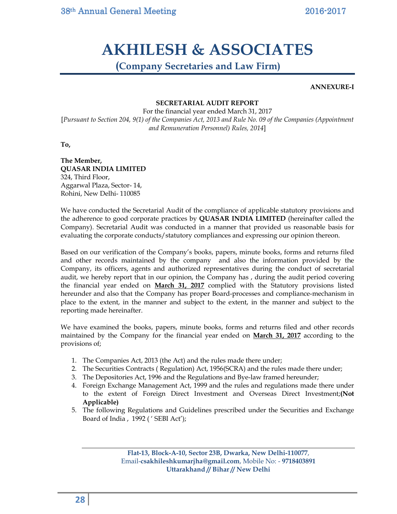# **AKHILESH & ASSOCIATES**

 **(Company Secretaries and Law Firm)**

#### **ANNEXURE-I**

#### **SECRETARIAL AUDIT REPORT**

For the financial year ended March 31, 2017 [*Pursuant to Section 204, 9(1) of the Companies Act, 2013 and Rule No. 09 of the Companies (Appointment and Remuneration Personnel) Rules, 2014*]

**To,** 

**The Member, QUASAR INDIA LIMITED** 324, Third Floor, Aggarwal Plaza, Sector- 14, Rohini, New Delhi- 110085

We have conducted the Secretarial Audit of the compliance of applicable statutory provisions and the adherence to good corporate practices by **QUASAR INDIA LIMITED** (hereinafter called the Company). Secretarial Audit was conducted in a manner that provided us reasonable basis for evaluating the corporate conducts/statutory compliances and expressing our opinion thereon.

Based on our verification of the Company's books, papers, minute books, forms and returns filed and other records maintained by the company and also the information provided by the Company, its officers, agents and authorized representatives during the conduct of secretarial audit, we hereby report that in our opinion, the Company has , during the audit period covering the financial year ended on **March 31, 2017** complied with the Statutory provisions listed hereunder and also that the Company has proper Board-processes and compliance-mechanism in place to the extent, in the manner and subject to the extent, in the manner and subject to the reporting made hereinafter.

We have examined the books, papers, minute books, forms and returns filed and other records maintained by the Company for the financial year ended on **March 31, 2017** according to the provisions of;

- 1. The Companies Act, 2013 (the Act) and the rules made there under;
- 2. The Securities Contracts ( Regulation) Act, 1956(SCRA) and the rules made there under;
- 3. The Depositories Act, 1996 and the Regulations and Bye-law framed hereunder;
- 4. Foreign Exchange Management Act, 1999 and the rules and regulations made there under to the extent of Foreign Direct Investment and Overseas Direct Investment;**(Not Applicable)**
- 5. The following Regulations and Guidelines prescribed under the Securities and Exchange Board of India, 1992 ('SEBI Act');

**Flat-13, Block-A-10, Sector 23B, Dwarka, New Delhi-110077**, Email-**csakhileshkumarjha@gmail.com**, Mobile No: - **9718403891 Uttarakhand // Bihar // New Delhi**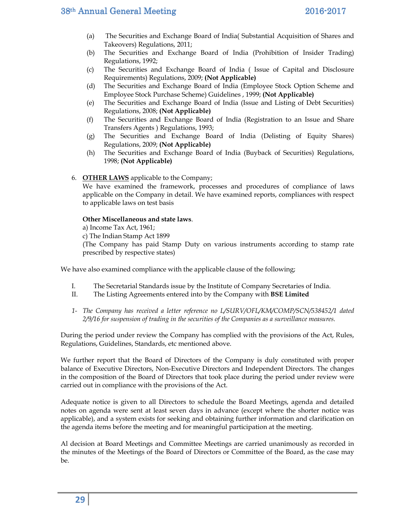## 38<sup>th</sup> Annual General Meeting 2016-2017

- (a) The Securities and Exchange Board of India( Substantial Acquisition of Shares and Takeovers) Regulations, 2011;
- (b) The Securities and Exchange Board of India (Prohibition of Insider Trading) Regulations, 1992;
- (c) The Securities and Exchange Board of India ( Issue of Capital and Disclosure Requirements) Regulations, 2009; **(Not Applicable)**
- (d) The Securities and Exchange Board of India (Employee Stock Option Scheme and Employee Stock Purchase Scheme) Guidelines , 1999; **(Not Applicable)**
- (e) The Securities and Exchange Board of India (Issue and Listing of Debt Securities) Regulations, 2008; **(Not Applicable)**
- (f) The Securities and Exchange Board of India (Registration to an Issue and Share Transfers Agents ) Regulations, 1993;
- (g) The Securities and Exchange Board of India (Delisting of Equity Shares) Regulations, 2009; **(Not Applicable)**
- (h) The Securities and Exchange Board of India (Buyback of Securities) Regulations, 1998; **(Not Applicable)**

#### 6. **OTHER LAWS** applicable to the Company;

We have examined the framework, processes and procedures of compliance of laws applicable on the Company in detail. We have examined reports, compliances with respect to applicable laws on test basis

#### **Other Miscellaneous and state laws**.

a) Income Tax Act, 1961;

c) The Indian Stamp Act 1899

(The Company has paid Stamp Duty on various instruments according to stamp rate prescribed by respective states)

We have also examined compliance with the applicable clause of the following;

- I. The Secretarial Standards issue by the Institute of Company Secretaries of India.
- II. The Listing Agreements entered into by the Company with **BSE Limited**
- *1- The Company has received a letter reference no L/SURV/OFL/KM/COMP/SCN/538452/1 dated 2/9/16 for suspension of trading in the securities of the Companies as a surveillance measures.*

During the period under review the Company has complied with the provisions of the Act, Rules, Regulations, Guidelines, Standards, etc mentioned above.

We further report that the Board of Directors of the Company is duly constituted with proper balance of Executive Directors, Non-Executive Directors and Independent Directors. The changes in the composition of the Board of Directors that took place during the period under review were carried out in compliance with the provisions of the Act.

Adequate notice is given to all Directors to schedule the Board Meetings, agenda and detailed notes on agenda were sent at least seven days in advance (except where the shorter notice was applicable), and a system exists for seeking and obtaining further information and clarification on the agenda items before the meeting and for meaningful participation at the meeting.

Al decision at Board Meetings and Committee Meetings are carried unanimously as recorded in the minutes of the Meetings of the Board of Directors or Committee of the Board, as the case may be.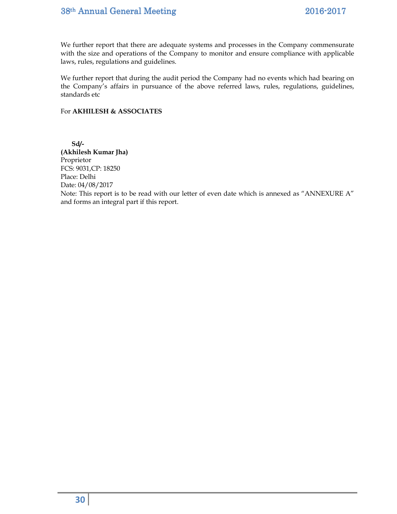#### 38<sup>th</sup> Annual General Meeting 2016-2017

We further report that there are adequate systems and processes in the Company commensurate with the size and operations of the Company to monitor and ensure compliance with applicable laws, rules, regulations and guidelines.

We further report that during the audit period the Company had no events which had bearing on the Company's affairs in pursuance of the above referred laws, rules, regulations, guidelines, standards etc

#### For **AKHILESH & ASSOCIATES**

**Sd/- (Akhilesh Kumar Jha)**  Proprietor FCS: 9031,CP: 18250 Place: Delhi Date: 04/08/2017 Note: This report is to be read with our letter of even date which is annexed as "ANNEXURE A" and forms an integral part if this report.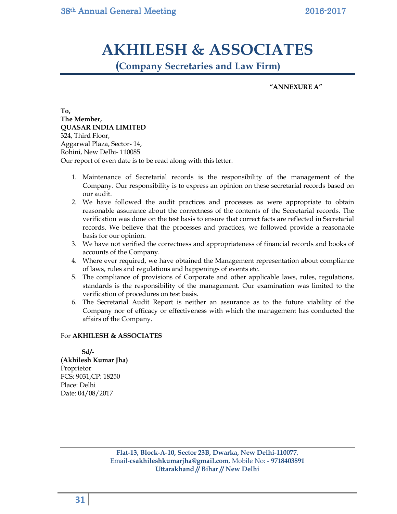## **AKHILESH & ASSOCIATES**

 **(Company Secretaries and Law Firm)**

 **"ANNEXURE A"** 

**To, The Member, QUASAR INDIA LIMITED** 324, Third Floor, Aggarwal Plaza, Sector- 14, Rohini, New Delhi- 110085 Our report of even date is to be read along with this letter.

- 1. Maintenance of Secretarial records is the responsibility of the management of the Company. Our responsibility is to express an opinion on these secretarial records based on our audit.
- 2. We have followed the audit practices and processes as were appropriate to obtain reasonable assurance about the correctness of the contents of the Secretarial records. The verification was done on the test basis to ensure that correct facts are reflected in Secretarial records. We believe that the processes and practices, we followed provide a reasonable basis for our opinion.
- 3. We have not verified the correctness and appropriateness of financial records and books of accounts of the Company.
- 4. Where ever required, we have obtained the Management representation about compliance of laws, rules and regulations and happenings of events etc.
- 5. The compliance of provisions of Corporate and other applicable laws, rules, regulations, standards is the responsibility of the management. Our examination was limited to the verification of procedures on test basis.
- 6. The Secretarial Audit Report is neither an assurance as to the future viability of the Company nor of efficacy or effectiveness with which the management has conducted the affairs of the Company.

#### For **AKHILESH & ASSOCIATES**

 **Sd/- (Akhilesh Kumar Jha)** Proprietor FCS: 9031,CP: 18250 Place: Delhi Date: 04/08/2017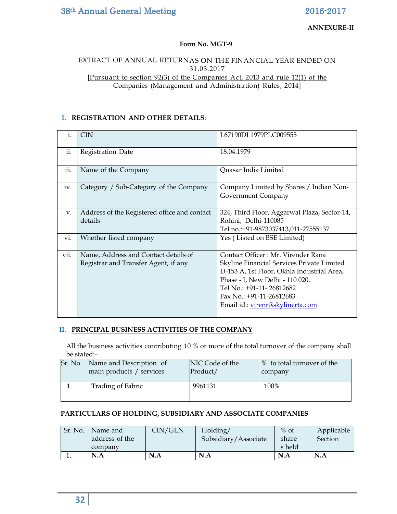## 38<sup>th</sup> Annual General Meeting 2016-2017

#### **ANNEXURE-II**

#### **Form No. MGT-9**

#### EXTRACT OF ANNUAL RETURNAS ON THE FINANCIAL YEAR ENDED ON 31.03.2017 [Pursuant to section 92(3) of the Companies Act, 2013 and rule 12(1) of the Companies (Management and Administration) Rules, 2014]

#### **I. REGISTRATION AND OTHER DETAILS**:

| i.   | <b>CIN</b>                                                                   | L67190DL1979PLC009555                                                                                                                                                                                                                                          |
|------|------------------------------------------------------------------------------|----------------------------------------------------------------------------------------------------------------------------------------------------------------------------------------------------------------------------------------------------------------|
| ii.  | Registration Date                                                            | 18.04.1979                                                                                                                                                                                                                                                     |
| iii. | Name of the Company                                                          | Quasar India Limited                                                                                                                                                                                                                                           |
| iv.  | Category / Sub-Category of the Company                                       | Company Limited by Shares / Indian Non-<br>Government Company                                                                                                                                                                                                  |
| V.   | Address of the Registered office and contact<br>details                      | 324, Third Floor, Aggarwal Plaza, Sector-14,<br>Rohini, Delhi-110085<br>Tel no.:+91-9873037413,011-27555137                                                                                                                                                    |
| vi.  | Whether listed company                                                       | Yes (Listed on BSE Limited)                                                                                                                                                                                                                                    |
| vii. | Name, Address and Contact details of<br>Registrar and Transfer Agent, if any | Contact Officer: Mr. Virender Rana<br>Skyline Financial Services Private Limited<br>D-153 A, 1st Floor, Okhla Industrial Area,<br>Phase - I, New Delhi - 110 020.<br>Tel No.: +91-11- 26812682<br>Fax No.: +91-11-26812683<br>Email id.: virenr@skylinerta.com |

#### **II. PRINCIPAL BUSINESS ACTIVITIES OF THE COMPANY**

All the business activities contributing 10 % or more of the total turnover of the company shall be stated:-

| Sr. No | Name and Description of  | NIC Code of the | % to total turnover of the |
|--------|--------------------------|-----------------|----------------------------|
|        | main products / services | Product/        | company                    |
|        |                          |                 |                            |
|        | Trading of Fabric        | 9961131         | 100%                       |
|        |                          |                 |                            |

#### **PARTICULARS OF HOLDING, SUBSIDIARY AND ASSOCIATE COMPANIES**

| Sr. No. | Name and       | CIN/GLN | Holding/             | $%$ of | Applicable |
|---------|----------------|---------|----------------------|--------|------------|
|         | address of the |         | Subsidiary/Associate | share  | Section    |
|         | company        |         |                      | s held |            |
|         | N.A            | N.A     | N.A                  | N.A    | N.A        |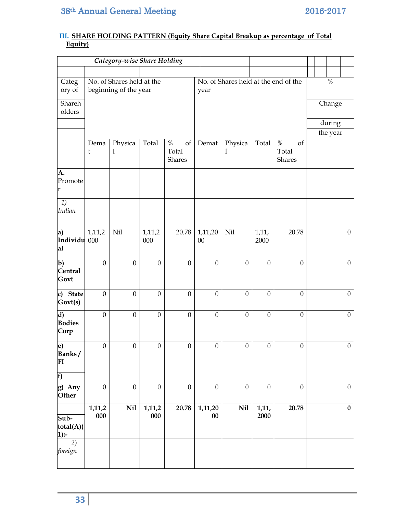## 38<sup>th</sup> Annual General Meeting 2016-2017

### **III. SHARE HOLDING PATTERN (Equity Share Capital Breakup as percentage of Total Equity)**

| Category-wise Share Holding                                       |                                                    |                        |                  |                                      |                                              |                  |                  |                                      |        |          |  |                  |
|-------------------------------------------------------------------|----------------------------------------------------|------------------------|------------------|--------------------------------------|----------------------------------------------|------------------|------------------|--------------------------------------|--------|----------|--|------------------|
|                                                                   |                                                    |                        |                  |                                      |                                              |                  |                  |                                      |        |          |  |                  |
| Categ<br>ory of                                                   | No. of Shares held at the<br>beginning of the year |                        |                  |                                      | No. of Shares held at the end of the<br>year |                  |                  |                                      | $\%$   |          |  |                  |
| Shareh<br>olders                                                  |                                                    |                        |                  |                                      |                                              |                  |                  |                                      | Change |          |  |                  |
|                                                                   |                                                    |                        |                  |                                      |                                              |                  |                  |                                      | during |          |  |                  |
|                                                                   |                                                    |                        |                  |                                      |                                              |                  |                  |                                      |        | the year |  |                  |
|                                                                   | Dema<br>t                                          | Physica<br>$\mathbf 1$ | Total            | $\%$<br>of<br>Total<br><b>Shares</b> | Demat                                        | Physica<br>1     | Total            | $\%$<br>of<br>Total<br><b>Shares</b> |        |          |  |                  |
| A.<br>Promote<br>r                                                |                                                    |                        |                  |                                      |                                              |                  |                  |                                      |        |          |  |                  |
| 1)<br><b>Indian</b>                                               |                                                    |                        |                  |                                      |                                              |                  |                  |                                      |        |          |  |                  |
| a)<br>Individu 000<br>al                                          | 1,11,2                                             | Nil                    | 1,11,2<br>000    | 20.78                                | 1,11,20<br>$00\,$                            | Nil              | 1,11,<br>2000    | 20.78                                |        |          |  | $\boldsymbol{0}$ |
| b)<br>Central<br>Govt                                             | $\boldsymbol{0}$                                   | $\mathbf{0}$           | $\mathbf{0}$     | $\mathbf{0}$                         | $\boldsymbol{0}$                             | $\mathbf{0}$     | $\boldsymbol{0}$ | $\boldsymbol{0}$                     |        |          |  | $0\,$            |
| c) State<br>Govt(s)                                               | $\boldsymbol{0}$                                   | $\boldsymbol{0}$       | $\boldsymbol{0}$ | $\boldsymbol{0}$                     | $\boldsymbol{0}$                             | $\boldsymbol{0}$ | $\boldsymbol{0}$ | $\boldsymbol{0}$                     |        |          |  | $\boldsymbol{0}$ |
| d)<br><b>Bodies</b><br>Corp                                       | $\boldsymbol{0}$                                   | $\boldsymbol{0}$       | $\boldsymbol{0}$ | $\boldsymbol{0}$                     | $\boldsymbol{0}$                             | $\boldsymbol{0}$ | $\boldsymbol{0}$ | $\boldsymbol{0}$                     |        |          |  | $\boldsymbol{0}$ |
| $\overline{e}$<br>Banks/<br>FI<br>f)                              | $\overline{0}$                                     | $\overline{0}$         | $\overline{0}$   | $\overline{0}$                       | $\overline{0}$                               | $\theta$         | $\overline{0}$   | $\boldsymbol{0}$                     |        |          |  | $\boldsymbol{0}$ |
| g) Any<br>Other                                                   | $\boldsymbol{0}$                                   | $\boldsymbol{0}$       | $\boldsymbol{0}$ | $\boldsymbol{0}$                     | $\boldsymbol{0}$                             | $\boldsymbol{0}$ | $\boldsymbol{0}$ | $\boldsymbol{0}$                     |        |          |  | $\boldsymbol{0}$ |
| $\overline{\text{Sub}}$<br>total(A)(<br>$1):=$<br>$\overline{2)}$ | 1,11,2<br>000                                      | Nil                    | 1,11,2<br>000    | 20.78                                | 1,11,20<br>$00\,$                            | <b>Nil</b>       | 1,11,<br>2000    | 20.78                                |        |          |  | $\pmb{0}$        |
| foreign                                                           |                                                    |                        |                  |                                      |                                              |                  |                  |                                      |        |          |  |                  |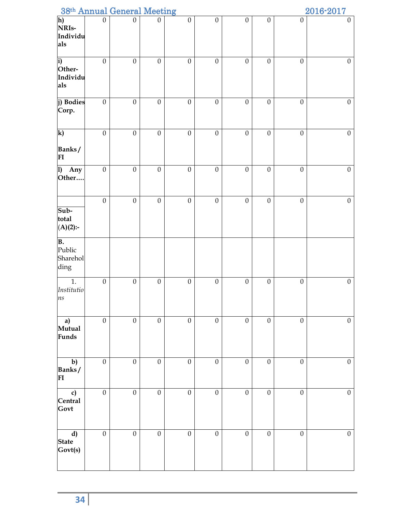|                                                         |                  | 38th Annual General Meeting |                  |                  |                  |                  |                  |                  | 2016-2017        |
|---------------------------------------------------------|------------------|-----------------------------|------------------|------------------|------------------|------------------|------------------|------------------|------------------|
| h)<br>NRIs-<br>Individu<br>als                          | $\Omega$         | $\mathbf{0}$                | $\overline{0}$   | $\boldsymbol{0}$ | $\boldsymbol{0}$ | $\boldsymbol{0}$ | $\boldsymbol{0}$ | $\boldsymbol{0}$ | $\theta$         |
| i)<br>Other-<br>Individu<br>als                         | $\boldsymbol{0}$ | $\boldsymbol{0}$            | $\boldsymbol{0}$ | $\boldsymbol{0}$ | $\boldsymbol{0}$ | $\boldsymbol{0}$ | $\boldsymbol{0}$ | $\boldsymbol{0}$ | $\boldsymbol{0}$ |
| j) Bodies<br>Corp.                                      | $\boldsymbol{0}$ | $\boldsymbol{0}$            | $\boldsymbol{0}$ | $\boldsymbol{0}$ | $\boldsymbol{0}$ | $\boldsymbol{0}$ | $\boldsymbol{0}$ | $\boldsymbol{0}$ | $\boldsymbol{0}$ |
| $\overline{\mathbf{k}}$<br>Banks/<br>FI                 | $\boldsymbol{0}$ | $\boldsymbol{0}$            | $\boldsymbol{0}$ | $\boldsymbol{0}$ | $\boldsymbol{0}$ | $\boldsymbol{0}$ | $\boldsymbol{0}$ | $\boldsymbol{0}$ | $\boldsymbol{0}$ |
| 1)<br>Any<br>Other                                      | $\boldsymbol{0}$ | $\boldsymbol{0}$            | $\boldsymbol{0}$ | $\boldsymbol{0}$ | $\boldsymbol{0}$ | $\boldsymbol{0}$ | $\boldsymbol{0}$ | $\boldsymbol{0}$ | $\boldsymbol{0}$ |
| Sub-<br>total<br>$(A)(2)$ :-                            | $\boldsymbol{0}$ | $\boldsymbol{0}$            | $\boldsymbol{0}$ | $\boldsymbol{0}$ | $\boldsymbol{0}$ | $\boldsymbol{0}$ | $\boldsymbol{0}$ | $\boldsymbol{0}$ | $\boldsymbol{0}$ |
| $\overline{\mathbf{B}}$ .<br>Public<br>Sharehol<br>ding |                  |                             |                  |                  |                  |                  |                  |                  |                  |
| 1.<br>Institutio<br>ns                                  | $\boldsymbol{0}$ | $\boldsymbol{0}$            | $\boldsymbol{0}$ | $\boldsymbol{0}$ | $\boldsymbol{0}$ | $\boldsymbol{0}$ | $\boldsymbol{0}$ | $\boldsymbol{0}$ | $\boldsymbol{0}$ |
| a)<br>Mutual<br>Funds                                   | $\boldsymbol{0}$ | $\boldsymbol{0}$            | $\boldsymbol{0}$ | $\boldsymbol{0}$ | $\boldsymbol{0}$ | $\boldsymbol{0}$ | $\boldsymbol{0}$ | $\boldsymbol{0}$ | $\boldsymbol{0}$ |
| $\overline{b}$<br>Banks/<br>FI                          | $\boldsymbol{0}$ | $\boldsymbol{0}$            | $\boldsymbol{0}$ | $\boldsymbol{0}$ | $\boldsymbol{0}$ | $\boldsymbol{0}$ | $\boldsymbol{0}$ | $\boldsymbol{0}$ | $\boldsymbol{0}$ |
| c)<br>Central<br>Govt                                   | $\boldsymbol{0}$ | $\boldsymbol{0}$            | $\boldsymbol{0}$ | $\boldsymbol{0}$ | $\boldsymbol{0}$ | $\boldsymbol{0}$ | $\boldsymbol{0}$ | $\boldsymbol{0}$ | $\boldsymbol{0}$ |
| d)<br><b>State</b><br>Govt(s)                           | $\boldsymbol{0}$ | $\boldsymbol{0}$            | $\boldsymbol{0}$ | $\boldsymbol{0}$ | $\boldsymbol{0}$ | $\boldsymbol{0}$ | $\boldsymbol{0}$ | $\boldsymbol{0}$ | $\boldsymbol{0}$ |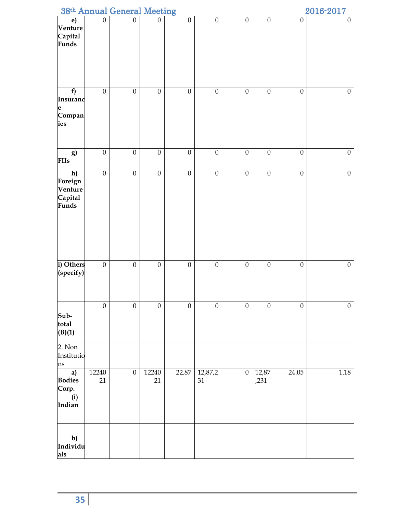|                                                                     |                  | 38th Annual General Meeting |                  |                  |                  |                  |                  |                  | 2016-2017        |
|---------------------------------------------------------------------|------------------|-----------------------------|------------------|------------------|------------------|------------------|------------------|------------------|------------------|
| e)<br>Venture<br>Capital<br>Funds                                   | $\theta$         | $\boldsymbol{0}$            | $\overline{0}$   | $\boldsymbol{0}$ | $\boldsymbol{0}$ | $\boldsymbol{0}$ | $\boldsymbol{0}$ | $\boldsymbol{0}$ | $\boldsymbol{0}$ |
| f)<br>Insuranc<br>e<br>Compan<br>ies                                | $\boldsymbol{0}$ | $\boldsymbol{0}$            | $\boldsymbol{0}$ | $\boldsymbol{0}$ | $\boldsymbol{0}$ | $\boldsymbol{0}$ | $\boldsymbol{0}$ | $\boldsymbol{0}$ | $\boldsymbol{0}$ |
| g)<br><b>FIIs</b>                                                   | $\boldsymbol{0}$ | $\boldsymbol{0}$            | $\boldsymbol{0}$ | $\boldsymbol{0}$ | $\boldsymbol{0}$ | $\boldsymbol{0}$ | $\boldsymbol{0}$ | $\boldsymbol{0}$ | $\boldsymbol{0}$ |
| $\overline{\mathbf{h}}$<br>Foreign<br>Venture<br>Capital<br>Funds   | $\boldsymbol{0}$ | $\boldsymbol{0}$            | $\boldsymbol{0}$ | $\boldsymbol{0}$ | $\boldsymbol{0}$ | $\boldsymbol{0}$ | $\boldsymbol{0}$ | $\boldsymbol{0}$ | $\boldsymbol{0}$ |
| i) Others<br>(specify)                                              | $\boldsymbol{0}$ | $\boldsymbol{0}$            | $\boldsymbol{0}$ | $\boldsymbol{0}$ | $\boldsymbol{0}$ | $\boldsymbol{0}$ | $\boldsymbol{0}$ | $\boldsymbol{0}$ | $\boldsymbol{0}$ |
| $\overline{\text{Sub}}$<br>total<br>(B)(1)                          | $\boldsymbol{0}$ | $\boldsymbol{0}$            | $\boldsymbol{0}$ | $\boldsymbol{0}$ | $\boldsymbol{0}$ | $\boldsymbol{0}$ | $\boldsymbol{0}$ | $\boldsymbol{0}$ | $\boldsymbol{0}$ |
| $2.$ Non<br>Institutio<br>ns                                        |                  |                             |                  |                  |                  |                  |                  |                  |                  |
| a)<br><b>Bodies</b><br>Corp.<br>$\overline{(\mathbf{i})}$<br>Indian | 12240<br>21      | $\boldsymbol{0}$            | 12240<br>21      | 22.87            | 12,87,2<br>31    | $\boldsymbol{0}$ | 12,87<br>,231    | 24.05            | $1.18\,$         |
|                                                                     |                  |                             |                  |                  |                  |                  |                  |                  |                  |
| $\mathbf{b}$<br>Individu<br>als                                     |                  |                             |                  |                  |                  |                  |                  |                  |                  |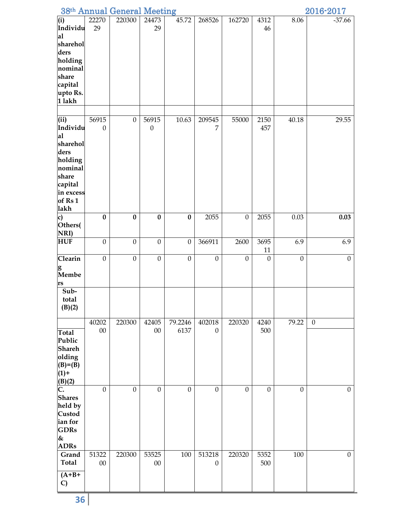|                                    |                  |                  | 38th Annual General Meeting<br>2016-2017 |                  |                  |                  |                  |                  |                  |  |  |
|------------------------------------|------------------|------------------|------------------------------------------|------------------|------------------|------------------|------------------|------------------|------------------|--|--|
| (i)                                | 22270            | 220300           | 24473                                    | 45.72            | 268526           | 162720           | 4312             | 8.06             | $-37.66$         |  |  |
| Individu                           | 29               |                  | 29                                       |                  |                  |                  | 46               |                  |                  |  |  |
| a1                                 |                  |                  |                                          |                  |                  |                  |                  |                  |                  |  |  |
| sharehol                           |                  |                  |                                          |                  |                  |                  |                  |                  |                  |  |  |
| ders                               |                  |                  |                                          |                  |                  |                  |                  |                  |                  |  |  |
| holding                            |                  |                  |                                          |                  |                  |                  |                  |                  |                  |  |  |
| nominal                            |                  |                  |                                          |                  |                  |                  |                  |                  |                  |  |  |
| share                              |                  |                  |                                          |                  |                  |                  |                  |                  |                  |  |  |
| capital                            |                  |                  |                                          |                  |                  |                  |                  |                  |                  |  |  |
| upto Rs.                           |                  |                  |                                          |                  |                  |                  |                  |                  |                  |  |  |
| 1 lakh                             |                  |                  |                                          |                  |                  |                  |                  |                  |                  |  |  |
|                                    |                  |                  |                                          |                  |                  |                  |                  |                  |                  |  |  |
| (iii)                              | 56915            | $\boldsymbol{0}$ | 56915                                    | 10.63            | 209545           | 55000            | 2150             | 40.18            | 29.55            |  |  |
| Individu                           | $\boldsymbol{0}$ |                  | $\boldsymbol{0}$                         |                  | 7                |                  | 457              |                  |                  |  |  |
| al                                 |                  |                  |                                          |                  |                  |                  |                  |                  |                  |  |  |
| sharehol                           |                  |                  |                                          |                  |                  |                  |                  |                  |                  |  |  |
| ders                               |                  |                  |                                          |                  |                  |                  |                  |                  |                  |  |  |
| holding                            |                  |                  |                                          |                  |                  |                  |                  |                  |                  |  |  |
| nominal<br>share                   |                  |                  |                                          |                  |                  |                  |                  |                  |                  |  |  |
|                                    |                  |                  |                                          |                  |                  |                  |                  |                  |                  |  |  |
| capital<br>in excess               |                  |                  |                                          |                  |                  |                  |                  |                  |                  |  |  |
| of Rs 1                            |                  |                  |                                          |                  |                  |                  |                  |                  |                  |  |  |
| lakh                               |                  |                  |                                          |                  |                  |                  |                  |                  |                  |  |  |
| c)                                 | $\bf{0}$         | $\bf{0}$         | $\bf{0}$                                 | $\bf{0}$         | 2055             | $\boldsymbol{0}$ | 2055             | 0.03             | 0.03             |  |  |
| Others(                            |                  |                  |                                          |                  |                  |                  |                  |                  |                  |  |  |
| NRI)                               |                  |                  |                                          |                  |                  |                  |                  |                  |                  |  |  |
| $H\overline{UF}$                   | $\boldsymbol{0}$ | $\boldsymbol{0}$ | $\boldsymbol{0}$                         | $\boldsymbol{0}$ | 366911           | 2600             | 3695             | 6.9              | 6.9              |  |  |
|                                    |                  |                  |                                          |                  |                  |                  | 11               |                  |                  |  |  |
| Clearin                            | $\boldsymbol{0}$ | $\boldsymbol{0}$ | $\boldsymbol{0}$                         | $\boldsymbol{0}$ | $\boldsymbol{0}$ | $\boldsymbol{0}$ | $\mathbf{0}$     | $\boldsymbol{0}$ | $\boldsymbol{0}$ |  |  |
| g                                  |                  |                  |                                          |                  |                  |                  |                  |                  |                  |  |  |
| Membe                              |                  |                  |                                          |                  |                  |                  |                  |                  |                  |  |  |
| rs                                 |                  |                  |                                          |                  |                  |                  |                  |                  |                  |  |  |
| Sub-                               |                  |                  |                                          |                  |                  |                  |                  |                  |                  |  |  |
| total                              |                  |                  |                                          |                  |                  |                  |                  |                  |                  |  |  |
| (B)(2)                             |                  |                  |                                          |                  |                  |                  |                  |                  |                  |  |  |
|                                    | 40202            | 220300           | 42405                                    | 79.2246          | 402018           | 220320           | 4240             | 79.22            | $\boldsymbol{0}$ |  |  |
| Total                              | $00\,$           |                  | $00\,$                                   | 6137             | $\boldsymbol{0}$ |                  | 500              |                  |                  |  |  |
| Public                             |                  |                  |                                          |                  |                  |                  |                  |                  |                  |  |  |
| <b>Shareh</b>                      |                  |                  |                                          |                  |                  |                  |                  |                  |                  |  |  |
| olding                             |                  |                  |                                          |                  |                  |                  |                  |                  |                  |  |  |
| $(B)=(B)$                          |                  |                  |                                          |                  |                  |                  |                  |                  |                  |  |  |
| $(1) +$                            |                  |                  |                                          |                  |                  |                  |                  |                  |                  |  |  |
| $\frac{\text{(B)}(2)}{\text{(C)}}$ |                  |                  |                                          |                  |                  |                  |                  |                  |                  |  |  |
|                                    | $\mathbf{0}$     | $\mathbf{0}$     | $\mathbf{0}$                             | $\boldsymbol{0}$ | $\boldsymbol{0}$ | $\boldsymbol{0}$ | $\boldsymbol{0}$ | $\mathbf{0}$     | $\boldsymbol{0}$ |  |  |
| <b>Shares</b>                      |                  |                  |                                          |                  |                  |                  |                  |                  |                  |  |  |
| held by                            |                  |                  |                                          |                  |                  |                  |                  |                  |                  |  |  |
| Custod                             |                  |                  |                                          |                  |                  |                  |                  |                  |                  |  |  |
| ian for                            |                  |                  |                                          |                  |                  |                  |                  |                  |                  |  |  |
| <b>GDRs</b>                        |                  |                  |                                          |                  |                  |                  |                  |                  |                  |  |  |
| $\&$                               |                  |                  |                                          |                  |                  |                  |                  |                  |                  |  |  |
| <b>ADRs</b><br>Grand               |                  | 220300           | 53525                                    | 100              | 513218           | 220320           | 5352             | 100              | $\boldsymbol{0}$ |  |  |
| <b>Total</b>                       | 51322<br>$00\,$  |                  | $00\,$                                   |                  | $\boldsymbol{0}$ |                  | 500              |                  |                  |  |  |
|                                    |                  |                  |                                          |                  |                  |                  |                  |                  |                  |  |  |
| $(A+B+$                            |                  |                  |                                          |                  |                  |                  |                  |                  |                  |  |  |
| $\mathbf{C}$                       |                  |                  |                                          |                  |                  |                  |                  |                  |                  |  |  |
|                                    |                  |                  |                                          |                  |                  |                  |                  |                  |                  |  |  |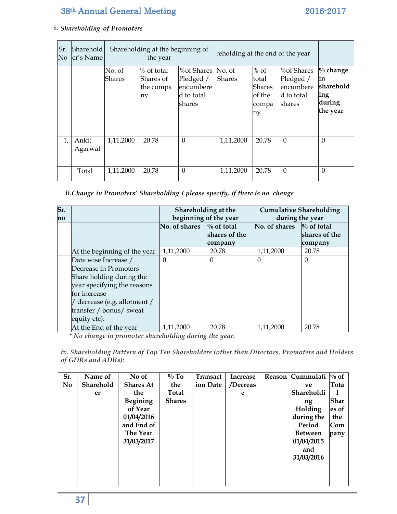### **i.** *Shareholding of Promoters*

| Sr.<br>No | Sharehold<br>er's Name | Shareholding at the beginning of<br>the year |                                            |                                                               | reholding at the end of the year |                                                           |                                                                 |                                                             |
|-----------|------------------------|----------------------------------------------|--------------------------------------------|---------------------------------------------------------------|----------------------------------|-----------------------------------------------------------|-----------------------------------------------------------------|-------------------------------------------------------------|
|           |                        | No. of<br><b>Shares</b>                      | % of total<br>Shares of<br>the compa<br>ny | % of Shares<br>Pledged /<br>encumbere<br>d to total<br>shares | No. of<br><b>Shares</b>          | $%$ of<br>total<br><b>Shares</b><br>of the<br>compa<br>ny | % of Shares<br>Pledged /<br>encumbere<br>ld to total<br>Ishares | $\%$ change<br>in<br>sharehold<br>ing<br>during<br>the year |
| 1.        | Ankit<br>Agarwal       | 1,11,2000                                    | 20.78                                      | $\theta$                                                      | 1,11,2000                        | 20.78                                                     | $\theta$                                                        | $\theta$                                                    |
|           | Total                  | 1,11,2000                                    | 20.78                                      | $\boldsymbol{0}$                                              | 1,11,2000                        | 20.78                                                     | $\theta$                                                        | $\theta$                                                    |

**ii.***Change in Promoters' Shareholding ( please specify, if there is no change*

| Sr.<br>no |                                                                                                                                                                                                     | Shareholding at the<br>beginning of the year |                                           | <b>Cumulative Shareholding</b><br>during the year |                                           |  |
|-----------|-----------------------------------------------------------------------------------------------------------------------------------------------------------------------------------------------------|----------------------------------------------|-------------------------------------------|---------------------------------------------------|-------------------------------------------|--|
|           |                                                                                                                                                                                                     | No. of shares                                | $\%$ of total<br>shares of the<br>company | No. of shares                                     | $\%$ of total<br>shares of the<br>company |  |
|           | At the beginning of the year                                                                                                                                                                        | 1,11,2000                                    | 20.78                                     | 1,11,2000                                         | 20.78                                     |  |
|           | Date wise Increase /<br>Decrease in Promoters<br>Share holding during the<br>year specifying the reasons<br>for increase<br>/ decrease (e.g. allotment /<br>transfer / bonus/ sweat<br>equity etc): | 0                                            | $\Omega$                                  | 0                                                 | $\Omega$                                  |  |
|           | At the End of the year                                                                                                                                                                              | 1,11,2000                                    | 20.78                                     | 1,11,2000                                         | 20.78                                     |  |

*\* No change in promoter shareholding during the year.* 

*iv. Shareholding Pattern of Top Ten Shareholders (other than Directors, Promoters and Holders of GDRs and ADRs):* 

| Sr.            | Name of   | No of            | $\%$ To       | <b>Transact</b> | <b>Increase</b> | Reason Cummulati | $\%$ of     |
|----------------|-----------|------------------|---------------|-----------------|-----------------|------------------|-------------|
| N <sub>0</sub> | Sharehold | <b>Shares At</b> | the           | ion Date        | /Decreas        | ve               | Tota        |
|                | er        | the              | <b>Total</b>  |                 | e               | Shareholdi       |             |
|                |           | <b>Begining</b>  | <b>Shares</b> |                 |                 | ng               | <b>Shar</b> |
|                |           | of Year          |               |                 |                 | Holding          | es of       |
|                |           | 01/04/2016       |               |                 |                 | during the       | the         |
|                |           | and End of       |               |                 |                 | Period           | Com         |
|                |           | The Year         |               |                 |                 | <b>Between</b>   | pany        |
|                |           | 31/03/2017       |               |                 |                 | 01/04/2015       |             |
|                |           |                  |               |                 |                 | and              |             |
|                |           |                  |               |                 |                 | 31/03/2016       |             |
|                |           |                  |               |                 |                 |                  |             |
|                |           |                  |               |                 |                 |                  |             |
|                |           |                  |               |                 |                 |                  |             |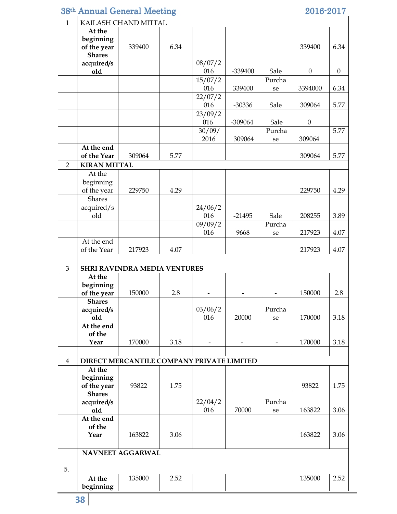|                |                          | 38th Annual General Meeting               |      |                             | 2016-2017 |                |                  |                  |
|----------------|--------------------------|-------------------------------------------|------|-----------------------------|-----------|----------------|------------------|------------------|
| $\mathbf{1}$   |                          | KAILASH CHAND MITTAL                      |      |                             |           |                |                  |                  |
|                | At the                   |                                           |      |                             |           |                |                  |                  |
|                | beginning                |                                           |      |                             |           |                |                  |                  |
|                | of the year              | 339400                                    | 6.34 |                             |           |                | 339400           | 6.34             |
|                | <b>Shares</b>            |                                           |      |                             |           |                |                  |                  |
|                | acquired/s<br>old        |                                           |      | 08/07/2<br>016              | -339400   | Sale           | $\boldsymbol{0}$ | $\boldsymbol{0}$ |
|                |                          |                                           |      | $\frac{15}{07}/2$           |           | Purcha         |                  |                  |
|                |                          |                                           |      | 016                         | 339400    | se             | 3394000          | 6.34             |
|                |                          |                                           |      | 22/07/2                     |           |                |                  |                  |
|                |                          |                                           |      | 016                         | $-30336$  | Sale           | 309064           | 5.77             |
|                |                          |                                           |      | 23/09/2                     |           |                |                  |                  |
|                |                          |                                           |      | 016                         | -309064   | Sale           | $\boldsymbol{0}$ |                  |
|                |                          |                                           |      | $\frac{1}{30/09/1}$<br>2016 | 309064    | Purcha         | 309064           | 5.77             |
|                | At the end               |                                           |      |                             |           | se             |                  |                  |
|                | of the Year              | 309064                                    | 5.77 |                             |           |                | 309064           | 5.77             |
| $\overline{2}$ | <b>KIRAN MITTAL</b>      |                                           |      |                             |           |                |                  |                  |
|                | At the                   |                                           |      |                             |           |                |                  |                  |
|                | beginning                |                                           |      |                             |           |                |                  |                  |
|                | of the year              | 229750                                    | 4.29 |                             |           |                | 229750           | 4.29             |
|                | <b>Shares</b>            |                                           |      |                             |           |                |                  |                  |
|                | acquired/s               |                                           |      | 24/06/2                     |           |                |                  | 3.89             |
|                | old                      |                                           |      | 016<br>$\frac{09}{09/2}$    | $-21495$  | Sale<br>Purcha | 208255           |                  |
|                |                          |                                           |      | 016                         | 9668      | se             | 217923           | 4.07             |
|                | At the end               |                                           |      |                             |           |                |                  |                  |
|                | of the Year              | 217923                                    | 4.07 |                             |           |                | 217923           | 4.07             |
|                |                          |                                           |      |                             |           |                |                  |                  |
| $\mathfrak{B}$ |                          | <b>SHRI RAVINDRA MEDIA VENTURES</b>       |      |                             |           |                |                  |                  |
|                | At the                   |                                           |      |                             |           |                |                  |                  |
|                | beginning<br>of the year | 150000                                    | 2.8  |                             |           |                | 150000           | 2.8              |
|                | <b>Shares</b>            |                                           |      |                             |           |                |                  |                  |
|                | acquired/s               |                                           |      | 03/06/2                     |           | Purcha         |                  |                  |
|                | old                      |                                           |      | 016                         | 20000     | se             | 170000           | 3.18             |
|                | At the end               |                                           |      |                             |           |                |                  |                  |
|                | of the                   | 170000                                    |      |                             |           |                |                  |                  |
|                | Year                     |                                           | 3.18 |                             |           |                | 170000           | 3.18             |
| $\overline{4}$ |                          | DIRECT MERCANTILE COMPANY PRIVATE LIMITED |      |                             |           |                |                  |                  |
|                | At the                   |                                           |      |                             |           |                |                  |                  |
|                | beginning                |                                           |      |                             |           |                |                  |                  |
|                | of the year              | 93822                                     | 1.75 |                             |           |                | 93822            | 1.75             |
|                | <b>Shares</b>            |                                           |      |                             |           |                |                  |                  |
|                | acquired/s<br>old        |                                           |      | 22/04/2<br>016              | 70000     | Purcha         | 163822           | 3.06             |
|                | At the end               |                                           |      |                             |           | se             |                  |                  |
|                | of the                   |                                           |      |                             |           |                |                  |                  |
|                | Year                     | 163822                                    | 3.06 |                             |           |                | 163822           | 3.06             |
|                |                          |                                           |      |                             |           |                |                  |                  |
|                |                          | NAVNEET AGGARWAL                          |      |                             |           |                |                  |                  |
|                |                          |                                           |      |                             |           |                |                  |                  |
| 5.             | At the                   | 135000                                    | 2.52 |                             |           |                | 135000           | 2.52             |
|                | beginning                |                                           |      |                             |           |                |                  |                  |
|                |                          |                                           |      |                             |           |                |                  |                  |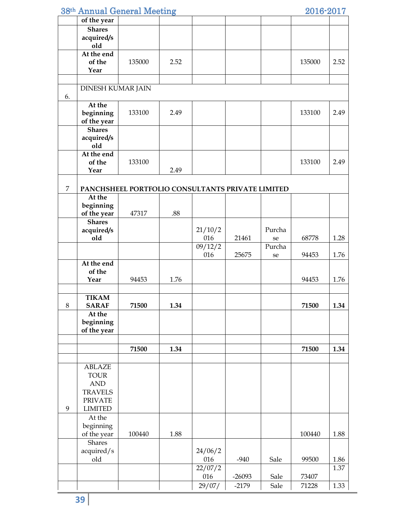|                |                          | Thinkar Gonoral McComp                           |      |                    |                     |              |                | ---          |
|----------------|--------------------------|--------------------------------------------------|------|--------------------|---------------------|--------------|----------------|--------------|
|                | of the year              |                                                  |      |                    |                     |              |                |              |
|                | <b>Shares</b>            |                                                  |      |                    |                     |              |                |              |
|                | acquired/s               |                                                  |      |                    |                     |              |                |              |
|                | old                      |                                                  |      |                    |                     |              |                |              |
|                | At the end               |                                                  |      |                    |                     |              |                |              |
|                | of the                   | 135000                                           | 2.52 |                    |                     |              | 135000         | 2.52         |
|                | Year                     |                                                  |      |                    |                     |              |                |              |
|                |                          |                                                  |      |                    |                     |              |                |              |
|                | DINESH KUMAR JAIN        |                                                  |      |                    |                     |              |                |              |
| 6.             |                          |                                                  |      |                    |                     |              |                |              |
|                | At the                   |                                                  |      |                    |                     |              |                |              |
|                | beginning                | 133100                                           | 2.49 |                    |                     |              | 133100         | 2.49         |
|                | of the year              |                                                  |      |                    |                     |              |                |              |
|                | <b>Shares</b>            |                                                  |      |                    |                     |              |                |              |
|                | acquired/s               |                                                  |      |                    |                     |              |                |              |
|                | old                      |                                                  |      |                    |                     |              |                |              |
|                | At the end               |                                                  |      |                    |                     |              |                |              |
|                | of the                   | 133100                                           |      |                    |                     |              | 133100         | 2.49         |
|                | Year                     |                                                  | 2.49 |                    |                     |              |                |              |
|                |                          |                                                  |      |                    |                     |              |                |              |
| $\overline{7}$ |                          | PANCHSHEEL PORTFOLIO CONSULTANTS PRIVATE LIMITED |      |                    |                     |              |                |              |
|                | At the                   |                                                  |      |                    |                     |              |                |              |
|                | beginning                |                                                  |      |                    |                     |              |                |              |
|                | of the year              | 47317                                            | .88  |                    |                     |              |                |              |
|                | <b>Shares</b>            |                                                  |      |                    |                     |              |                |              |
|                | acquired/s               |                                                  |      | 21/10/2            |                     | Purcha       |                |              |
|                | old                      |                                                  |      | 016                | 21461               | se           | 68778          | 1.28         |
|                |                          |                                                  |      | $\frac{09}{12}{2}$ |                     | Purcha       |                |              |
|                |                          |                                                  |      | 016                | 25675               | se           | 94453          | 1.76         |
|                | At the end               |                                                  |      |                    |                     |              |                |              |
|                | of the                   |                                                  |      |                    |                     |              |                |              |
|                | Year                     | 94453                                            | 1.76 |                    |                     |              | 94453          | 1.76         |
|                |                          |                                                  |      |                    |                     |              |                |              |
|                |                          |                                                  |      |                    |                     |              |                |              |
|                | <b>TIKAM</b>             | 71500                                            | 1.34 |                    |                     |              |                |              |
| $8\,$          | <b>SARAF</b>             |                                                  |      |                    |                     |              | 71500          | 1.34         |
|                |                          |                                                  |      |                    |                     |              |                |              |
|                | At the                   |                                                  |      |                    |                     |              |                |              |
|                | beginning                |                                                  |      |                    |                     |              |                |              |
|                | of the year              |                                                  |      |                    |                     |              |                |              |
|                |                          |                                                  |      |                    |                     |              |                |              |
|                |                          | 71500                                            | 1.34 |                    |                     |              | 71500          | 1.34         |
|                |                          |                                                  |      |                    |                     |              |                |              |
|                | <b>ABLAZE</b>            |                                                  |      |                    |                     |              |                |              |
|                | <b>TOUR</b>              |                                                  |      |                    |                     |              |                |              |
|                | <b>AND</b>               |                                                  |      |                    |                     |              |                |              |
|                | <b>TRAVELS</b>           |                                                  |      |                    |                     |              |                |              |
|                | <b>PRIVATE</b>           |                                                  |      |                    |                     |              |                |              |
| 9              | <b>LIMITED</b>           |                                                  |      |                    |                     |              |                |              |
|                | At the                   |                                                  |      |                    |                     |              |                |              |
|                |                          |                                                  |      |                    |                     |              |                |              |
|                | beginning<br>of the year | 100440                                           | 1.88 |                    |                     |              | 100440         | 1.88         |
|                | Shares                   |                                                  |      |                    |                     |              |                |              |
|                |                          |                                                  |      |                    |                     |              |                |              |
|                | acquired/s<br>old        |                                                  |      | 24/06/2<br>016     | $-940$              |              | 99500          |              |
|                |                          |                                                  |      |                    |                     | Sale         |                |              |
|                |                          |                                                  |      | 22/07/2            |                     |              |                | 1.86<br>1.37 |
|                |                          |                                                  |      | 016<br>29/07/      | $-26093$<br>$-2179$ | Sale<br>Sale | 73407<br>71228 | 1.33         |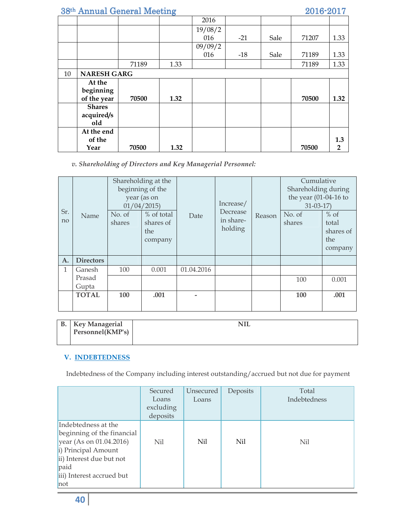|    |                    | -------- |      |         |       |      |       |                |
|----|--------------------|----------|------|---------|-------|------|-------|----------------|
|    |                    |          |      | 2016    |       |      |       |                |
|    |                    |          |      | 19/08/2 |       |      |       |                |
|    |                    |          |      | 016     | $-21$ | Sale | 71207 | 1.33           |
|    |                    |          |      | 09/09/2 |       |      |       |                |
|    |                    |          |      | 016     | $-18$ | Sale | 71189 | 1.33           |
|    |                    | 71189    | 1.33 |         |       |      | 71189 | 1.33           |
| 10 | <b>NARESH GARG</b> |          |      |         |       |      |       |                |
|    | At the             |          |      |         |       |      |       |                |
|    | beginning          |          |      |         |       |      |       |                |
|    | of the year        | 70500    | 1.32 |         |       |      | 70500 | 1.32           |
|    | <b>Shares</b>      |          |      |         |       |      |       |                |
|    | acquired/s         |          |      |         |       |      |       |                |
|    | old                |          |      |         |       |      |       |                |
|    | At the end         |          |      |         |       |      |       |                |
|    | of the             |          |      |         |       |      |       | 1.3            |
|    | Year               | 70500    | 1.32 |         |       |      | 70500 | $\overline{2}$ |

*v. Shareholding of Directors and Key Managerial Personnel:* 

| Sr.<br>no    | Name             | No. of<br>shares | Shareholding at the<br>beginning of the<br>year (as on<br>01/04/2015<br>% of total<br>shares of<br>the<br>company | Date       | Increase/<br>Decrease<br>in share-<br>holding | Reason | Cumulative<br>Shareholding during<br>the year (01-04-16 to<br>$31 - 03 - 17$<br>No. of<br>shares | $%$ of<br>total<br>shares of<br>the<br>company |
|--------------|------------------|------------------|-------------------------------------------------------------------------------------------------------------------|------------|-----------------------------------------------|--------|--------------------------------------------------------------------------------------------------|------------------------------------------------|
| A.           | <b>Directors</b> |                  |                                                                                                                   |            |                                               |        |                                                                                                  |                                                |
| $\mathbf{1}$ | Ganesh           | 100              | 0.001                                                                                                             | 01.04.2016 |                                               |        |                                                                                                  |                                                |
|              | Prasad           |                  |                                                                                                                   |            |                                               |        | 100                                                                                              | 0.001                                          |
|              | Gupta            |                  |                                                                                                                   |            |                                               |        |                                                                                                  |                                                |
|              | <b>TOTAL</b>     | 100              | .001                                                                                                              |            |                                               |        | 100                                                                                              | .001                                           |
|              |                  |                  |                                                                                                                   |            |                                               |        |                                                                                                  |                                                |

| <b>B.</b> Key Managerial<br>Personnel(KMP's) |  |
|----------------------------------------------|--|
|                                              |  |

## **V. INDEBTEDNESS**

Indebtedness of the Company including interest outstanding/accrued but not due for payment

|                                                                                                                                                                             | Secured<br>Loans<br>excluding<br>deposits | Unsecured<br>Loans | Deposits | Total<br>Indebtedness |
|-----------------------------------------------------------------------------------------------------------------------------------------------------------------------------|-------------------------------------------|--------------------|----------|-----------------------|
| Indebtedness at the<br>beginning of the financial<br>year (As on 01.04.2016)<br>i) Principal Amount<br>ii) Interest due but not<br>paid<br>iii) Interest accrued but<br>not | Nil                                       | Nil                | Nil      | Nil                   |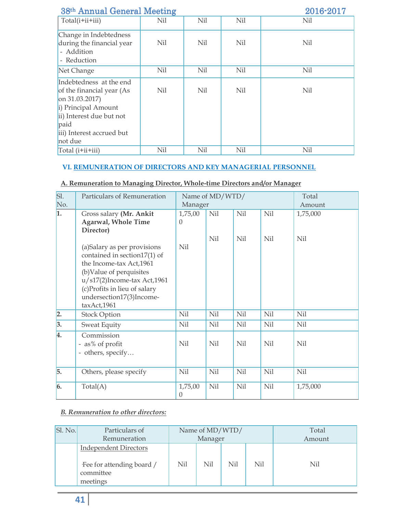| 38 <sup>th</sup> Annual General Meeting                                                                                                                                   |     |     | 2016-2017 |     |
|---------------------------------------------------------------------------------------------------------------------------------------------------------------------------|-----|-----|-----------|-----|
| Total(i+ii+iii)                                                                                                                                                           | Nil | Nil | Nil       | Nil |
| Change in Indebtedness<br>during the financial year<br>- Addition<br>- Reduction                                                                                          | Nil | Nil | Nil       | Nil |
| Net Change                                                                                                                                                                | Nil | Nil | Nil       | Nil |
| Indebtedness at the end<br>of the financial year (As<br>on 31.03.2017)<br>i) Principal Amount<br>ii) Interest due but not<br>paid<br>iii) Interest accrued but<br>not due | Nil | Nil | Nil       | Nil |
| Total (i+ii+iii)                                                                                                                                                          | Nil | Nil | Nil       | Nil |

### **VI. REMUNERATION OF DIRECTORS AND KEY MANAGERIAL PERSONNEL**

# **A. Remuneration to Managing Director, Whole-time Directors and/or Manager**

| SI.              | Particulars of Remuneration                                                                                                                                                                                                        |                     | Name of MD/WTD/ | Total      |            |                 |
|------------------|------------------------------------------------------------------------------------------------------------------------------------------------------------------------------------------------------------------------------------|---------------------|-----------------|------------|------------|-----------------|
| No.              |                                                                                                                                                                                                                                    | Manager             |                 |            |            | Amount          |
| $\overline{1}$ . | Gross salary (Mr. Ankit<br><b>Agarwal, Whole Time</b><br>Director)                                                                                                                                                                 | 1,75,00<br>$\Omega$ | Nil<br>Nil      | Nil<br>Nil | Nil<br>Nil | 1,75,000<br>Nil |
|                  | (a) Salary as per provisions<br>contained in section17(1) of<br>the Income-tax Act, 1961<br>(b) Value of perquisites<br>$u/s17(2)$ Income-tax Act,1961<br>(c) Profits in lieu of salary<br>undersection17(3)Income-<br>taxAct,1961 | Nil                 |                 |            |            |                 |
| $\vert$ 2.       | <b>Stock Option</b>                                                                                                                                                                                                                | Nil                 | Nil             | Nil        | <b>Nil</b> | Nil             |
| 3.               | Sweat Equity                                                                                                                                                                                                                       | <b>Nil</b>          | Nil             | Nil        | Nil        | Nil             |
| 4.               | Commission<br>- as% of profit<br>- others, specify                                                                                                                                                                                 | Nil                 | Nil             | Nil        | Nil        | Nil             |
| 5.               | Others, please specify                                                                                                                                                                                                             | Nil                 | Nil             | Nil        | Nil        | <b>Nil</b>      |
| 6.               | Total(A)                                                                                                                                                                                                                           | 1,75,00<br>$\theta$ | Nil             | <b>Nil</b> | Nil        | 1,75,000        |

# *B. Remuneration to other directors:*

| Sl. No. | Particulars of                                                                     | Name of MD/WTD/ |     |     | Total  |     |
|---------|------------------------------------------------------------------------------------|-----------------|-----|-----|--------|-----|
|         | Remuneration                                                                       | Manager         |     |     | Amount |     |
|         | <b>Independent Directors</b><br>Fee for attending board /<br>committee<br>meetings | Nil             | Nil | Nil | Nil    | Nil |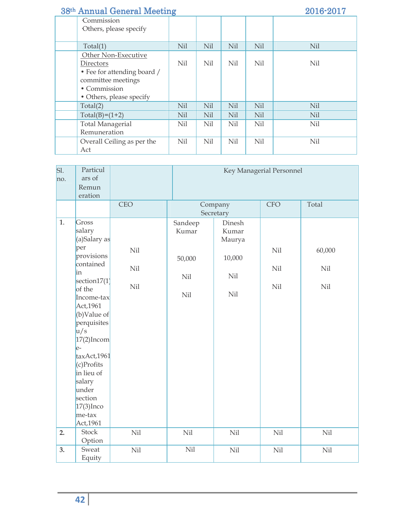| Commission<br>Others, please specify                                                                                              |     |     |     |            |     |
|-----------------------------------------------------------------------------------------------------------------------------------|-----|-----|-----|------------|-----|
| Total(1)                                                                                                                          | Nil | Nil | Nil | <b>Nil</b> | Nil |
| Other Non-Executive<br>Directors<br>• Fee for attending board /<br>committee meetings<br>• Commission<br>• Others, please specify | Nil | Nil | Nil | Nil        | Nil |
| Total(2)                                                                                                                          | Nil | Nil | Nil | <b>Nil</b> | Nil |
| $Total(B)=(1+2)$                                                                                                                  | Nil | Nil | Nil | <b>Nil</b> | Nil |
| <b>Total Managerial</b><br>Remuneration                                                                                           | Nil | Nil | Nil | Nil        | Nil |
| Overall Ceiling as per the<br>Act                                                                                                 | Nil | Nil | Nil | Nil        | Nil |

| SI.<br>no. | Particul<br>ars of<br>Remun<br>eration                                                                                                                                                                                                                                                                              |                   |                                          |                                                   | Key Managerial Personnel |                      |
|------------|---------------------------------------------------------------------------------------------------------------------------------------------------------------------------------------------------------------------------------------------------------------------------------------------------------------------|-------------------|------------------------------------------|---------------------------------------------------|--------------------------|----------------------|
|            |                                                                                                                                                                                                                                                                                                                     | <b>CEO</b>        |                                          | Company<br>Secretary                              | <b>CFO</b>               | Total                |
| 1.         | Gross<br>salary<br>(a)Salary as<br>per<br>provisions<br>contained<br>in<br>section $17(1)$<br>of the<br>Income-tax<br>Act, 1961<br>$(b)$ Value of<br>perquisites<br>u/s<br>$17(2)$ Incom<br>$e-$<br>taxAct,1961<br>$(c)$ Profits<br>in lieu of<br>salary<br>under<br>section<br>$17(3)$ Inco<br>me-tax<br>Act, 1961 | Nil<br>Nil<br>Nil | Sandeep<br>Kumar<br>50,000<br>Nil<br>Nil | Dinesh<br>Kumar<br>Maurya<br>10,000<br>Nil<br>Nil | Nil<br><b>Nil</b><br>Nil | 60,000<br>Nil<br>Nil |
| 2.         | <b>Stock</b><br>Option                                                                                                                                                                                                                                                                                              | Nil               | Nil                                      | Nil                                               | Nil                      | Nil                  |
| 3.         | Sweat<br>Equity                                                                                                                                                                                                                                                                                                     | Nil               | Nil                                      | Nil                                               | Nil                      | Nil                  |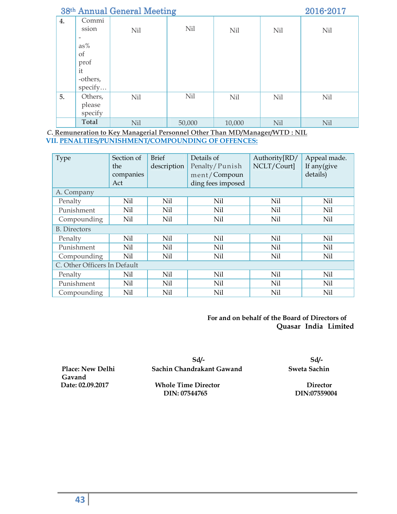| 4. | Commi<br>ssion<br>$\overline{\phantom{m}}$<br>$as\%$<br>$\sigma$<br>prof<br>it<br>-others,<br>specify | Nil        | Nil    | Nil    | Nil | Nil |
|----|-------------------------------------------------------------------------------------------------------|------------|--------|--------|-----|-----|
| 5. | Others,<br>please<br>specify                                                                          | Nil        | Nil    | Nil    | Nil | Nil |
|    | <b>Total</b>                                                                                          | <b>Nil</b> | 50,000 | 10,000 | Nil | Nil |

*C***. Remuneration to Key Managerial Personnel Other Than MD/Manager/WTD : NIL VII. PENALTIES/PUNISHMENT/COMPOUNDING OF OFFENCES:**

| Type                         | Section of       | <b>Brief</b> | Details of                     | Authority[RD/<br>NCLT/Court] | Appeal made.            |
|------------------------------|------------------|--------------|--------------------------------|------------------------------|-------------------------|
|                              | the<br>companies | description  | Penalty/Punish<br>ment/Compoun |                              | If any(give<br>details) |
|                              | Act              |              | ding fees imposed              |                              |                         |
| A. Company                   |                  |              |                                |                              |                         |
| Penalty                      | Nil              | Nil          | Nil                            | Nil                          | Nil                     |
| Punishment                   | Nil              | Nil          | Nil                            | Nil                          | Nil                     |
| Compounding                  | Nil              | Nil          | Nil                            | Nil                          | Nil                     |
| <b>B.</b> Directors          |                  |              |                                |                              |                         |
| Penalty                      | Nil              | Nil          | Nil                            | Nil                          | Nil                     |
| Punishment                   | Nil              | Nil          | Nil                            | Nil                          | Nil                     |
| Compounding                  | Nil              | Nil          | Nil                            | Nil                          | Nil                     |
| C. Other Officers In Default |                  |              |                                |                              |                         |
| Penalty                      | Nil              | Nil          | Nil                            | Nil                          | Nil                     |
| Punishment                   | Nil              | Nil          | Nil                            | Nil                          | Nil                     |
| Compounding                  | Nil              | Nil          | Nil                            | Nil                          | Nil                     |

 **For and on behalf of the Board of Directors of Quasar India Limited**

**Gavand** 

 **Sd/- Sd/- Place: New Delhi Sachin Chandrakant Gawand Sweta Sachin** 

Whole Time Director **Director** Director **DIN: 07544765 DIN: 07544765**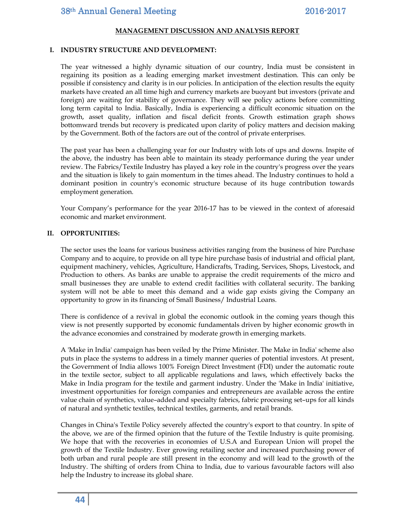#### **MANAGEMENT DISCUSSION AND ANALYSIS REPORT**

#### **I. INDUSTRY STRUCTURE AND DEVELOPMENT:**

The year witnessed a highly dynamic situation of our country, India must be consistent in regaining its position as a leading emerging market investment destination. This can only be possible if consistency and clarity is in our policies. In anticipation of the election results the equity markets have created an all time high and currency markets are buoyant but investors (private and foreign) are waiting for stability of governance. They will see policy actions before committing long term capital to India. Basically, India is experiencing a difficult economic situation on the growth, asset quality, inflation and fiscal deficit fronts. Growth estimation graph shows bottomward trends but recovery is predicated upon clarity of policy matters and decision making by the Government. Both of the factors are out of the control of private enterprises.

The past year has been a challenging year for our Industry with lots of ups and downs. Inspite of the above, the industry has been able to maintain its steady performance during the year under review. The Fabrics/Textile Industry has played a key role in the country's progress over the years and the situation is likely to gain momentum in the times ahead. The Industry continues to hold a dominant position in country's economic structure because of its huge contribution towards employment generation.

Your Company's performance for the year 2016-17 has to be viewed in the context of aforesaid economic and market environment.

#### **II. OPPORTUNITIES:**

The sector uses the loans for various business activities ranging from the business of hire Purchase Company and to acquire, to provide on all type hire purchase basis of industrial and official plant, equipment machinery, vehicles, Agriculture, Handicrafts, Trading, Services, Shops, Livestock, and Production to others. As banks are unable to appraise the credit requirements of the micro and small businesses they are unable to extend credit facilities with collateral security. The banking system will not be able to meet this demand and a wide gap exists giving the Company an opportunity to grow in its financing of Small Business/ Industrial Loans.

There is confidence of a revival in global the economic outlook in the coming years though this view is not presently supported by economic fundamentals driven by higher economic growth in the advance economies and constrained by moderate growth in emerging markets.

A 'Make in India' campaign has been veiled by the Prime Minister. The Make in India' scheme also puts in place the systems to address in a timely manner queries of potential investors. At present, the Government of India allows 100% Foreign Direct Investment (FDI) under the automatic route in the textile sector, subject to all applicable regulations and laws, which effectively backs the Make in India program for the textile and garment industry. Under the 'Make in India' initiative, investment opportunities for foreign companies and entrepreneurs are available across the entire value chain of synthetics, value–added and specialty fabrics, fabric processing set–ups for all kinds of natural and synthetic textiles, technical textiles, garments, and retail brands.

Changes in China's Textile Policy severely affected the country's export to that country. In spite of the above, we are of the firmed opinion that the future of the Textile Industry is quite promising. We hope that with the recoveries in economies of U.S.A and European Union will propel the growth of the Textile Industry. Ever growing retailing sector and increased purchasing power of both urban and rural people are still present in the economy and will lead to the growth of the Industry. The shifting of orders from China to India, due to various favourable factors will also help the Industry to increase its global share.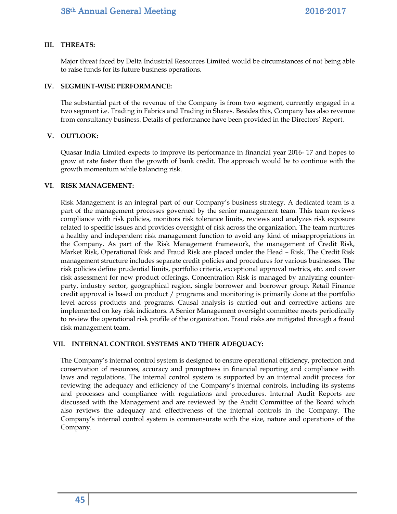#### **III. THREATS:**

Major threat faced by Delta Industrial Resources Limited would be circumstances of not being able to raise funds for its future business operations.

#### **IV. SEGMENT-WISE PERFORMANCE:**

The substantial part of the revenue of the Company is from two segment, currently engaged in a two segment i.e. Trading in Fabrics and Trading in Shares. Besides this, Company has also revenue from consultancy business. Details of performance have been provided in the Directors' Report.

#### **V. OUTLOOK:**

Quasar India Limited expects to improve its performance in financial year 2016- 17 and hopes to grow at rate faster than the growth of bank credit. The approach would be to continue with the growth momentum while balancing risk.

#### **VI. RISK MANAGEMENT:**

Risk Management is an integral part of our Company's business strategy. A dedicated team is a part of the management processes governed by the senior management team. This team reviews compliance with risk policies, monitors risk tolerance limits, reviews and analyzes risk exposure related to specific issues and provides oversight of risk across the organization. The team nurtures a healthy and independent risk management function to avoid any kind of misappropriations in the Company. As part of the Risk Management framework, the management of Credit Risk, Market Risk, Operational Risk and Fraud Risk are placed under the Head – Risk. The Credit Risk management structure includes separate credit policies and procedures for various businesses. The risk policies define prudential limits, portfolio criteria, exceptional approval metrics, etc. and cover risk assessment for new product offerings. Concentration Risk is managed by analyzing counterparty, industry sector, geographical region, single borrower and borrower group. Retail Finance credit approval is based on product / programs and monitoring is primarily done at the portfolio level across products and programs. Causal analysis is carried out and corrective actions are implemented on key risk indicators. A Senior Management oversight committee meets periodically to review the operational risk profile of the organization. Fraud risks are mitigated through a fraud risk management team.

#### **VII. INTERNAL CONTROL SYSTEMS AND THEIR ADEQUACY:**

The Company's internal control system is designed to ensure operational efficiency, protection and conservation of resources, accuracy and promptness in financial reporting and compliance with laws and regulations. The internal control system is supported by an internal audit process for reviewing the adequacy and efficiency of the Company's internal controls, including its systems and processes and compliance with regulations and procedures. Internal Audit Reports are discussed with the Management and are reviewed by the Audit Committee of the Board which also reviews the adequacy and effectiveness of the internal controls in the Company. The Company's internal control system is commensurate with the size, nature and operations of the Company.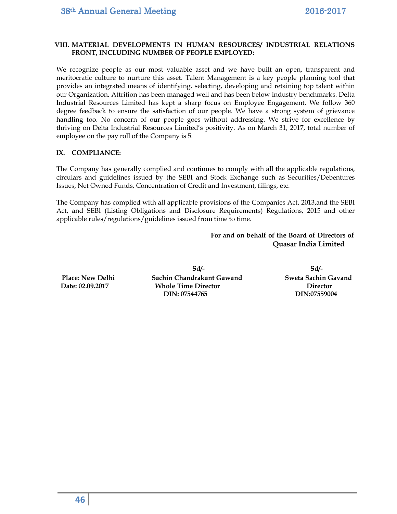#### **VIII. MATERIAL DEVELOPMENTS IN HUMAN RESOURCES/ INDUSTRIAL RELATIONS FRONT, INCLUDING NUMBER OF PEOPLE EMPLOYED:**

We recognize people as our most valuable asset and we have built an open, transparent and meritocratic culture to nurture this asset. Talent Management is a key people planning tool that provides an integrated means of identifying, selecting, developing and retaining top talent within our Organization. Attrition has been managed well and has been below industry benchmarks. Delta Industrial Resources Limited has kept a sharp focus on Employee Engagement. We follow 360 degree feedback to ensure the satisfaction of our people. We have a strong system of grievance handling too. No concern of our people goes without addressing. We strive for excellence by thriving on Delta Industrial Resources Limited's positivity. As on March 31, 2017, total number of employee on the pay roll of the Company is 5.

#### **IX. COMPLIANCE:**

The Company has generally complied and continues to comply with all the applicable regulations, circulars and guidelines issued by the SEBI and Stock Exchange such as Securities/Debentures Issues, Net Owned Funds, Concentration of Credit and Investment, filings, etc.

The Company has complied with all applicable provisions of the Companies Act, 2013,and the SEBI Act, and SEBI (Listing Obligations and Disclosure Requirements) Regulations, 2015 and other applicable rules/regulations/guidelines issued from time to time.

#### **For and on behalf of the Board of Directors of Quasar India Limited**

**Place: New Delhi Sachin Chandrakant Gawand Sweta Sachin Gavand Date: 02.09.2017 Whole Time Director Director DIN: 07544765 DIN:07559004** 

 **Sd/- Sd/-**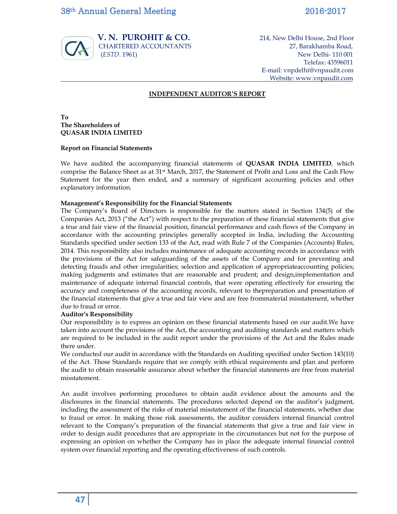

 Telefax: 43596011 E-mail: vnpdelhi@vnpaudit.com Website: www.vnpaudit.com

#### **INDEPENDENT AUDITOR'S REPORT**

**To The Shareholders of QUASAR INDIA LIMITED** 

#### **Report on Financial Statements**

We have audited the accompanying financial statements of **QUASAR INDIA LIMITED**, which comprise the Balance Sheet as at 31<sup>st</sup> March, 2017, the Statement of Profit and Loss and the Cash Flow Statement for the year then ended, and a summary of significant accounting policies and other explanatory information.

#### **Management's Responsibility for the Financial Statements**

The Company's Board of Directors is responsible for the matters stated in Section 134(5) of the Companies Act, 2013 ("the Act") with respect to the preparation of these financial statements that give a true and fair view of the financial position, financial performance and cash flows of the Company in accordance with the accounting principles generally accepted in India, including the Accounting Standards specified under section 133 of the Act, read with Rule 7 of the Companies (Accounts) Rules, 2014. This responsibility also includes maintenance of adequate accounting records in accordance with the provisions of the Act for safeguarding of the assets of the Company and for preventing and detecting frauds and other irregularities; selection and application of appropriateaccounting policies; making judgments and estimates that are reasonable and prudent; and design,implementation and maintenance of adequate internal financial controls, that were operating effectively for ensuring the accuracy and completeness of the accounting records, relevant to thepreparation and presentation of the financial statements that give a true and fair view and are free frommaterial misstatement, whether due to fraud or error.

#### **Auditor's Responsibility**

Our responsibility is to express an opinion on these financial statements based on our audit.We have taken into account the provisions of the Act, the accounting and auditing standards and matters which are required to be included in the audit report under the provisions of the Act and the Rules made there under.

We conducted our audit in accordance with the Standards on Auditing specified under Section 143(10) of the Act. Those Standards require that we comply with ethical requirements and plan and perform the audit to obtain reasonable assurance about whether the financial statements are free from material misstatement.

An audit involves performing procedures to obtain audit evidence about the amounts and the disclosures in the financial statements. The procedures selected depend on the auditor's judgment, including the assessment of the risks of material misstatement of the financial statements, whether due to fraud or error. In making those risk assessments, the auditor considers internal financial control relevant to the Company's preparation of the financial statements that give a true and fair view in order to design audit procedures that are appropriate in the circumstances but not for the purpose of expressing an opinion on whether the Company has in place the adequate internal financial control system over financial reporting and the operating effectiveness of such controls.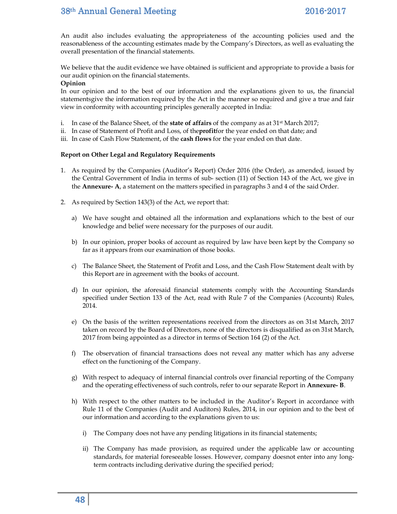An audit also includes evaluating the appropriateness of the accounting policies used and the reasonableness of the accounting estimates made by the Company's Directors, as well as evaluating the overall presentation of the financial statements.

We believe that the audit evidence we have obtained is sufficient and appropriate to provide a basis for our audit opinion on the financial statements.

#### **Opinion**

In our opinion and to the best of our information and the explanations given to us, the financial statementsgive the information required by the Act in the manner so required and give a true and fair view in conformity with accounting principles generally accepted in India:

- i. In case of the Balance Sheet, of the **state of affairs** of the company as at 31st March 2017;
- ii. In case of Statement of Profit and Loss, of the**profit**for the year ended on that date; and
- iii. In case of Cash Flow Statement, of the **cash flows** for the year ended on that date.

#### **Report on Other Legal and Regulatory Requirements**

- 1. As required by the Companies (Auditor's Report) Order 2016 (the Order), as amended, issued by the Central Government of India in terms of sub- section (11) of Section 143 of the Act, we give in the **Annexure- A**, a statement on the matters specified in paragraphs 3 and 4 of the said Order.
- 2. As required by Section 143(3) of the Act, we report that:
	- a) We have sought and obtained all the information and explanations which to the best of our knowledge and belief were necessary for the purposes of our audit.
	- b) In our opinion, proper books of account as required by law have been kept by the Company so far as it appears from our examination of those books.
	- c) The Balance Sheet, the Statement of Profit and Loss, and the Cash Flow Statement dealt with by this Report are in agreement with the books of account.
	- d) In our opinion, the aforesaid financial statements comply with the Accounting Standards specified under Section 133 of the Act, read with Rule 7 of the Companies (Accounts) Rules, 2014.
	- e) On the basis of the written representations received from the directors as on 31st March, 2017 taken on record by the Board of Directors, none of the directors is disqualified as on 31st March, 2017 from being appointed as a director in terms of Section 164 (2) of the Act.
	- f) The observation of financial transactions does not reveal any matter which has any adverse effect on the functioning of the Company.
	- g) With respect to adequacy of internal financial controls over financial reporting of the Company and the operating effectiveness of such controls, refer to our separate Report in **Annexure- B**.
	- h) With respect to the other matters to be included in the Auditor's Report in accordance with Rule 11 of the Companies (Audit and Auditors) Rules, 2014, in our opinion and to the best of our information and according to the explanations given to us:
		- i) The Company does not have any pending litigations in its financial statements;
		- ii) The Company has made provision, as required under the applicable law or accounting standards, for material foreseeable losses. However, company doesnot enter into any longterm contracts including derivative during the specified period;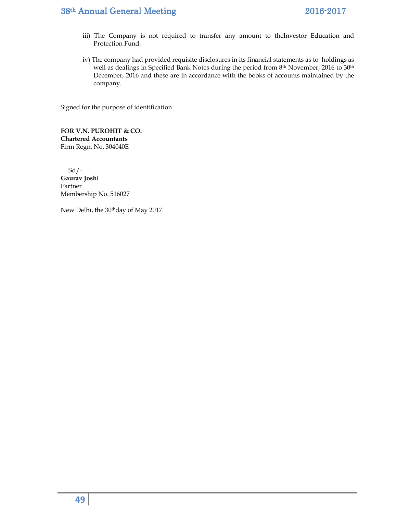- iii) The Company is not required to transfer any amount to theInvestor Education and Protection Fund.
- iv) The company had provided requisite disclosures in its financial statements as to holdings as well as dealings in Specified Bank Notes during the period from 8th November, 2016 to 30th December, 2016 and these are in accordance with the books of accounts maintained by the company.

Signed for the purpose of identification

**FOR V.N. PUROHIT & CO. Chartered Accountants**  Firm Regn. No. 304040E

 $Sd$  /-

**Gaurav Joshi**  Partner Membership No. 516027

New Delhi, the 30thday of May 2017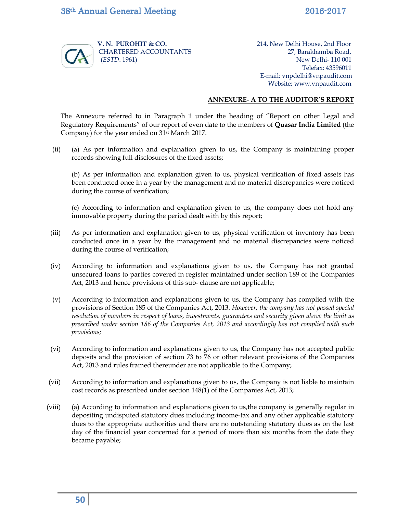

 **V. N. PUROHIT & CO.** 214, New Delhi House, 2nd Floor CHARTERED ACCOUNTANTS 27, Barakhamba Road, (*ESTD*. 1961) New Delhi- 110 001 Telefax: 43596011 E-mail: vnpdelhi@vnpaudit.com Website: www.vnpaudit.com

#### **ANNEXURE- A TO THE AUDITOR'S REPORT**

The Annexure referred to in Paragraph 1 under the heading of "Report on other Legal and Regulatory Requirements" of our report of even date to the members of **Quasar India Limited** (the Company) for the year ended on 31st March 2017.

(ii) (a) As per information and explanation given to us, the Company is maintaining proper records showing full disclosures of the fixed assets;

(b) As per information and explanation given to us, physical verification of fixed assets has been conducted once in a year by the management and no material discrepancies were noticed during the course of verification;

(c) According to information and explanation given to us, the company does not hold any immovable property during the period dealt with by this report;

- (iii) As per information and explanation given to us, physical verification of inventory has been conducted once in a year by the management and no material discrepancies were noticed during the course of verification;
- (iv) According to information and explanations given to us, the Company has not granted unsecured loans to parties covered in register maintained under section 189 of the Companies Act, 2013 and hence provisions of this sub- clause are not applicable;
- (v) According to information and explanations given to us, the Company has complied with the provisions of Section 185 of the Companies Act, 2013. *However, the company has not passed special resolution of members in respect of loans, investments, guarantees and security given above the limit as prescribed under section 186 of the Companies Act, 2013 and accordingly has not complied with such provisions;*
- (vi) According to information and explanations given to us, the Company has not accepted public deposits and the provision of section 73 to 76 or other relevant provisions of the Companies Act, 2013 and rules framed thereunder are not applicable to the Company;
- (vii) According to information and explanations given to us, the Company is not liable to maintain cost records as prescribed under section 148(1) of the Companies Act, 2013;
- (viii) (a) According to information and explanations given to us,the company is generally regular in depositing undisputed statutory dues including income-tax and any other applicable statutory dues to the appropriate authorities and there are no outstanding statutory dues as on the last day of the financial year concerned for a period of more than six months from the date they became payable;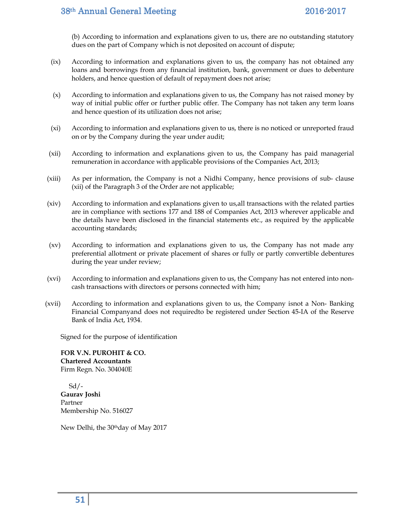(b) According to information and explanations given to us, there are no outstanding statutory dues on the part of Company which is not deposited on account of dispute;

- (ix) According to information and explanations given to us, the company has not obtained any loans and borrowings from any financial institution, bank, government or dues to debenture holders, and hence question of default of repayment does not arise;
- (x) According to information and explanations given to us, the Company has not raised money by way of initial public offer or further public offer. The Company has not taken any term loans and hence question of its utilization does not arise;
- (xi) According to information and explanations given to us, there is no noticed or unreported fraud on or by the Company during the year under audit;
- (xii) According to information and explanations given to us, the Company has paid managerial remuneration in accordance with applicable provisions of the Companies Act, 2013;
- (xiii) As per information, the Company is not a Nidhi Company, hence provisions of sub- clause (xii) of the Paragraph 3 of the Order are not applicable;
- (xiv) According to information and explanations given to us,all transactions with the related parties are in compliance with sections 177 and 188 of Companies Act, 2013 wherever applicable and the details have been disclosed in the financial statements etc., as required by the applicable accounting standards;
- (xv) According to information and explanations given to us, the Company has not made any preferential allotment or private placement of shares or fully or partly convertible debentures during the year under review;
- (xvi) According to information and explanations given to us, the Company has not entered into noncash transactions with directors or persons connected with him;
- (xvii) According to information and explanations given to us, the Company isnot a Non- Banking Financial Companyand does not requiredto be registered under Section 45-IA of the Reserve Bank of India Act, 1934.

Signed for the purpose of identification

**FOR V.N. PUROHIT & CO. Chartered Accountants**  Firm Regn. No. 304040E

 $Sd$  /-**Gaurav Joshi**  Partner Membership No. 516027

New Delhi, the 30thday of May 2017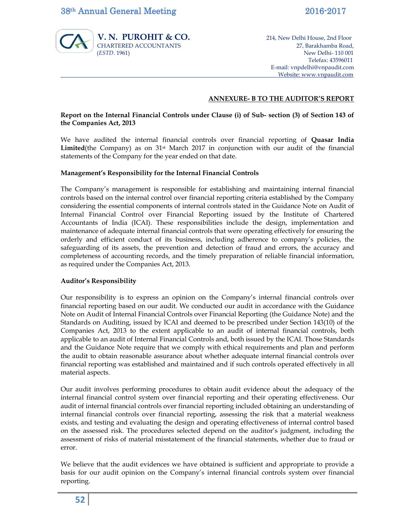

 Telefax: 43596011 E-mail: vnpdelhi@vnpaudit.com Website: www.vnpaudit.com

#### **ANNEXURE- B TO THE AUDITOR'S REPORT**

#### **Report on the Internal Financial Controls under Clause (i) of Sub- section (3) of Section 143 of the Companies Act, 2013**

We have audited the internal financial controls over financial reporting of **Quasar India Limited**(the Company) as on  $31<sup>st</sup>$  March 2017 in conjunction with our audit of the financial statements of the Company for the year ended on that date.

#### **Management's Responsibility for the Internal Financial Controls**

The Company's management is responsible for establishing and maintaining internal financial controls based on the internal control over financial reporting criteria established by the Company considering the essential components of internal controls stated in the Guidance Note on Audit of Internal Financial Control over Financial Reporting issued by the Institute of Chartered Accountants of India (ICAI). These responsibilities include the design, implementation and maintenance of adequate internal financial controls that were operating effectively for ensuring the orderly and efficient conduct of its business, including adherence to company's policies, the safeguarding of its assets, the prevention and detection of fraud and errors, the accuracy and completeness of accounting records, and the timely preparation of reliable financial information, as required under the Companies Act, 2013.

#### **Auditor's Responsibility**

Our responsibility is to express an opinion on the Company's internal financial controls over financial reporting based on our audit. We conducted our audit in accordance with the Guidance Note on Audit of Internal Financial Controls over Financial Reporting (the Guidance Note) and the Standards on Auditing, issued by ICAI and deemed to be prescribed under Section 143(10) of the Companies Act, 2013 to the extent applicable to an audit of internal financial controls, both applicable to an audit of Internal Financial Controls and, both issued by the ICAI. Those Standards and the Guidance Note require that we comply with ethical requirements and plan and perform the audit to obtain reasonable assurance about whether adequate internal financial controls over financial reporting was established and maintained and if such controls operated effectively in all material aspects.

Our audit involves performing procedures to obtain audit evidence about the adequacy of the internal financial control system over financial reporting and their operating effectiveness. Our audit of internal financial controls over financial reporting included obtaining an understanding of internal financial controls over financial reporting, assessing the risk that a material weakness exists, and testing and evaluating the design and operating effectiveness of internal control based on the assessed risk. The procedures selected depend on the auditor's judgment, including the assessment of risks of material misstatement of the financial statements, whether due to fraud or error.

We believe that the audit evidences we have obtained is sufficient and appropriate to provide a basis for our audit opinion on the Company's internal financial controls system over financial reporting.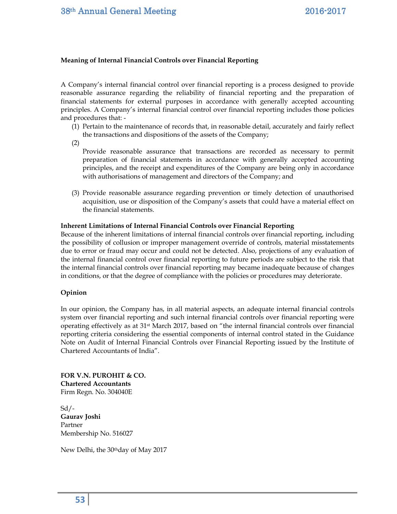#### **Meaning of Internal Financial Controls over Financial Reporting**

A Company's internal financial control over financial reporting is a process designed to provide reasonable assurance regarding the reliability of financial reporting and the preparation of financial statements for external purposes in accordance with generally accepted accounting principles. A Company's internal financial control over financial reporting includes those policies and procedures that: -

- (1) Pertain to the maintenance of records that, in reasonable detail, accurately and fairly reflect the transactions and dispositions of the assets of the Company;
- (2)

Provide reasonable assurance that transactions are recorded as necessary to permit preparation of financial statements in accordance with generally accepted accounting principles, and the receipt and expenditures of the Company are being only in accordance with authorisations of management and directors of the Company; and

(3) Provide reasonable assurance regarding prevention or timely detection of unauthorised acquisition, use or disposition of the Company's assets that could have a material effect on the financial statements.

#### **Inherent Limitations of Internal Financial Controls over Financial Reporting**

Because of the inherent limitations of internal financial controls over financial reporting, including the possibility of collusion or improper management override of controls, material misstatements due to error or fraud may occur and could not be detected. Also, projections of any evaluation of the internal financial control over financial reporting to future periods are subject to the risk that the internal financial controls over financial reporting may became inadequate because of changes in conditions, or that the degree of compliance with the policies or procedures may deteriorate.

#### **Opinion**

In our opinion, the Company has, in all material aspects, an adequate internal financial controls system over financial reporting and such internal financial controls over financial reporting were operating effectively as at 31st March 2017, based on "the internal financial controls over financial reporting criteria considering the essential components of internal control stated in the Guidance Note on Audit of Internal Financial Controls over Financial Reporting issued by the Institute of Chartered Accountants of India".

**FOR V.N. PUROHIT & CO. Chartered Accountants**  Firm Regn. No. 304040E

 $Sd$  /-**Gaurav Joshi**  Partner Membership No. 516027

New Delhi, the 30thday of May 2017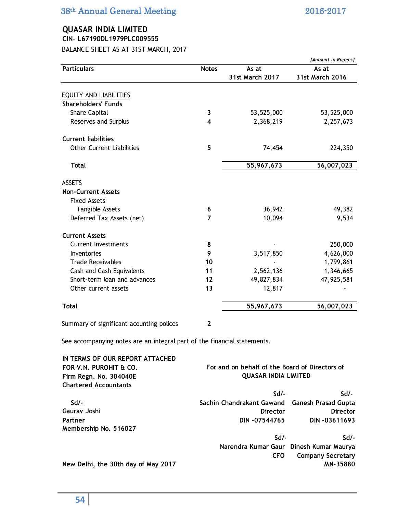# **QUASAR INDIA LIMITED**

# **CIN- L67190DL1979PLC009555**

BALANCE SHEET AS AT 31ST MARCH, 2017

|                                                                          |                             |                                                | [Amount in Rupees]         |
|--------------------------------------------------------------------------|-----------------------------|------------------------------------------------|----------------------------|
| <b>Particulars</b>                                                       | <b>Notes</b>                | As at                                          | As at                      |
|                                                                          |                             | 31st March 2017                                | 31st March 2016            |
|                                                                          |                             |                                                |                            |
| EQUITY AND LIABILITIES                                                   |                             |                                                |                            |
| <b>Shareholders' Funds</b>                                               |                             |                                                |                            |
| <b>Share Capital</b>                                                     | 3                           | 53,525,000                                     | 53,525,000                 |
| Reserves and Surplus                                                     | 4                           | 2,368,219                                      | 2,257,673                  |
| <b>Current liabilities</b>                                               |                             |                                                |                            |
| <b>Other Current Liabilities</b>                                         | 5                           | 74,454                                         | 224,350                    |
|                                                                          |                             |                                                |                            |
| <b>Total</b>                                                             |                             | 55,967,673                                     | 56,007,023                 |
| <b>ASSETS</b>                                                            |                             |                                                |                            |
| <b>Non-Current Assets</b>                                                |                             |                                                |                            |
| <b>Fixed Assets</b>                                                      |                             |                                                |                            |
| Tangible Assets                                                          | 6                           | 36,942                                         | 49,382                     |
| Deferred Tax Assets (net)                                                | 7                           | 10,094                                         | 9,534                      |
| <b>Current Assets</b>                                                    |                             |                                                |                            |
| <b>Current Investments</b>                                               | 8                           |                                                | 250,000                    |
| Inventories                                                              | 9                           | 3,517,850                                      | 4,626,000                  |
| <b>Trade Receivables</b>                                                 | 10                          |                                                | 1,799,861                  |
| Cash and Cash Equivalents                                                | 11                          | 2,562,136                                      | 1,346,665                  |
| Short-term loan and advances                                             | 12                          | 49,827,834                                     | 47,925,581                 |
| Other current assets                                                     | 13                          | 12,817                                         |                            |
| <b>Total</b>                                                             |                             | 55,967,673                                     | 56,007,023                 |
|                                                                          |                             |                                                |                            |
| Summary of significant acounting polices                                 | $\mathbf{2}$                |                                                |                            |
| See accompanying notes are an integral part of the financial statements. |                             |                                                |                            |
| IN TERMS OF OUR REPORT ATTACHED                                          |                             |                                                |                            |
| FOR V.N. PUROHIT & CO.                                                   |                             | For and on behalf of the Board of Directors of |                            |
| Firm Regn. No. 304040E                                                   | <b>QUASAR INDIA LIMITED</b> |                                                |                            |
| <b>Chartered Accountants</b>                                             |                             |                                                |                            |
|                                                                          |                             | $Sd$ /-                                        | $Sd$ /-                    |
| $Sd$ /-                                                                  |                             | Sachin Chandrakant Gawand                      | <b>Ganesh Prasad Gupta</b> |

**Gaurav Joshi Director Director Director Director Director Director Partner DIN -07544765 DIN -03611693 Membership No. 516027**

 **Sd/- Sd/- Sd/- Narendra Kumar Gaur Dinesh Kumar Maurya CFO Company Secretary** New Delhi, the 30th day of May 2017 and the state of MN-35880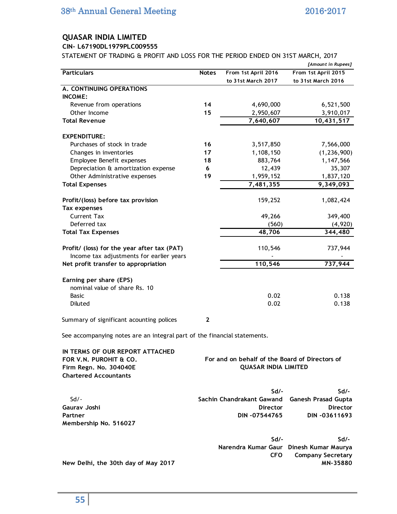### **QUASAR INDIA LIMITED**

#### **CIN- L67190DL1979PLC009555**

STATEMENT OF TRADING & PROFIT AND LOSS FOR THE PERIOD ENDED ON 31ST MARCH, 2017

|                                             |              |                     | [Amount in Rupees]  |
|---------------------------------------------|--------------|---------------------|---------------------|
| <b>Particulars</b>                          | <b>Notes</b> | From 1st April 2016 | From 1st April 2015 |
|                                             |              | to 31st March 2017  | to 31st March 2016  |
| A. CONTINUING OPERATIONS                    |              |                     |                     |
| <b>INCOME:</b>                              |              |                     |                     |
| Revenue from operations                     | 14           | 4,690,000           | 6,521,500           |
| Other Income                                | 15           | 2,950,607           | 3,910,017           |
| <b>Total Revenue</b>                        |              | 7,640,607           | 10,431,517          |
| <b>EXPENDITURE:</b>                         |              |                     |                     |
| Purchases of stock in trade                 | 16           | 3,517,850           | 7,566,000           |
| Changes in inventories                      | 17           | 1,108,150           | (1, 236, 900)       |
| Employee Benefit expenses                   | 18           | 883,764             | 1,147,566           |
| Depreciation & amortization expense         | 6            | 12,439              | 35,307              |
| Other Administrative expenses               | 19           | 1,959,152           | 1,837,120           |
| <b>Total Expenses</b>                       |              | 7,481,355           | 9,349,093           |
| Profit/(loss) before tax provision          |              | 159,252             | 1,082,424           |
| <b>Tax expenses</b>                         |              |                     |                     |
| <b>Current Tax</b>                          |              | 49,266              | 349,400             |
| Deferred tax                                |              | (560)               | (4,920)             |
| <b>Total Tax Expenses</b>                   |              | 48,706              | 344,480             |
| Profit/ (loss) for the year after tax (PAT) |              | 110,546             | 737,944             |
| Income tax adjustments for earlier years    |              |                     |                     |
| Net profit transfer to appropriation        |              | 110,546             | 737,944             |
| Earning per share (EPS)                     |              |                     |                     |
| nominal value of share Rs. 10               |              |                     |                     |
| <b>Basic</b>                                |              | 0.02                | 0.138               |
| Diluted                                     |              | 0.02                | 0.138               |
| Summary of significant acounting polices    | $\mathbf{2}$ |                     |                     |

See accompanying notes are an integral part of the financial statements.

| IN TERMS OF OUR REPORT ATTACHED |                                                |
|---------------------------------|------------------------------------------------|
| FOR V.N. PUROHIT & CO.          | For and on behalf of the Board of Directors of |
| Firm Regn. No. 304040E          | OUASAR INDIA LIMITED                           |
| <b>Chartered Accountants</b>    |                                                |

|                       | $Sd/-$                                        | Sd/-            |
|-----------------------|-----------------------------------------------|-----------------|
| $Sd$ .                | Sachin Chandrakant Gawand Ganesh Prasad Gupta |                 |
| Gaurav Joshi          | <b>Director</b>                               | <b>Director</b> |
| Partner               | DIN -07544765                                 | DIN-03611693    |
| Membership No. 516027 |                                               |                 |
|                       | $Sd$ /-                                       | $Sd/-$          |

**Narendra Kumar Gaur Dinesh Kumar Maurya CFO Company Secretary** New Delhi, the 30th day of May 2017 **MAX 19880 MN-35880**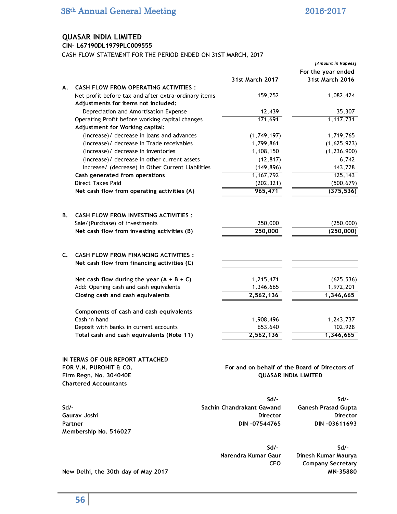#### **QUASAR INDIA LIMITED**

**CIN- L67190DL1979PLC009555**

CASH FLOW STATEMENT FOR THE PERIOD ENDED ON 31ST MARCH, 2017

|                |                                                      |                 | [Amount in Rupees] |
|----------------|------------------------------------------------------|-----------------|--------------------|
|                |                                                      |                 | For the year ended |
|                |                                                      | 31st March 2017 | 31st March 2016    |
| А.             | <b>CASH FLOW FROM OPERATING ACTIVITIES:</b>          |                 |                    |
|                | Net profit before tax and after extra-ordinary items | 159,252         | 1,082,424          |
|                | Adjustments for items not included:                  |                 |                    |
|                | Depreciation and Amortisation Expense                | 12,439          | 35,307             |
|                | Operating Profit before working capital changes      | 171,691         | 1, 117, 731        |
|                | Adjustment for Working capital:                      |                 |                    |
|                | (Increase)/ decrease in loans and advances           | (1,749,197)     | 1,719,765          |
|                | (Increase)/ decrease in Trade receivables            | 1,799,861       | (1,625,923)        |
|                | (Increase)/ decrease in inventories                  | 1,108,150       | (1, 236, 900)      |
|                | (Increase)/ decrease in other current assets         | (12, 817)       | 6,742              |
|                | Increase/ (decrease) in Other Current Liabilities    | (149, 896)      | 143,728            |
|                | Cash generated from operations                       | 1, 167, 792     | 125, 143           |
|                | <b>Direct Taxes Paid</b>                             | (202, 321)      | (500, 679)         |
|                | Net cash flow from operating activities (A)          | 965,471         | (375, 536)         |
|                |                                                      |                 |                    |
| В.             | <b>CASH FLOW FROM INVESTING ACTIVITIES :</b>         |                 |                    |
|                | Sale/(Purchase) of investments                       | 250,000         | (250,000)          |
|                | Net cash flow from investing activities (B)          | 250,000         | (250,000)          |
|                |                                                      |                 |                    |
| $\mathsf{C}$ . | <b>CASH FLOW FROM FINANCING ACTIVITIES:</b>          |                 |                    |
|                | Net cash flow from financing activities (C)          |                 |                    |
|                | Net cash flow during the year $(A + B + C)$          | 1,215,471       | (625, 536)         |
|                | Add: Opening cash and cash equivalents               | 1,346,665       | 1,972,201          |
|                | Closing cash and cash equivalents                    | 2,562,136       | 1,346,665          |
|                | Components of cash and cash equivalents              |                 |                    |
|                | Cash in hand                                         | 1,908,496       | 1,243,737          |
|                | Deposit with banks in current accounts               | 653,640         | 102,928            |
|                | Total cash and cash equivalents (Note 11)            | 2,562,136       | 1,346,665          |
|                |                                                      |                 |                    |
|                | IN TERMS OF OUR REPORT ATTACHED                      |                 |                    |

**FOR V.N. PUROHIT & CO. Firm Regn. No. 304040E Chartered Accountants**

**For and on behalf of the Board of Directors of QUASAR INDIA LIMITED**

|                       | $Sd$ /-                   | Sd/-                       |
|-----------------------|---------------------------|----------------------------|
| $Sd/-$                | Sachin Chandrakant Gawand | <b>Ganesh Prasad Gupta</b> |
| Gaurav Joshi          | <b>Director</b>           | <b>Director</b>            |
| Partner               | DIN -07544765             | DIN -03611693              |
| Membership No. 516027 |                           |                            |

**New Delhi, the 30th day of May 2017 MALE 2018 MALE 2018 MALE 2018 MALE 2018 MALE 2018 MALE 2018 MALE 2018 MALE 2018 MALE 2018 MALE 2018 MALE 2018 MALE 2018 MALE 2018 MALE 2018 MALE 2018 MAL** 

 **Sd/- Sd/- Narendra Kumar Gaur Dinesh Kumar Maurya CFO Company Secretary**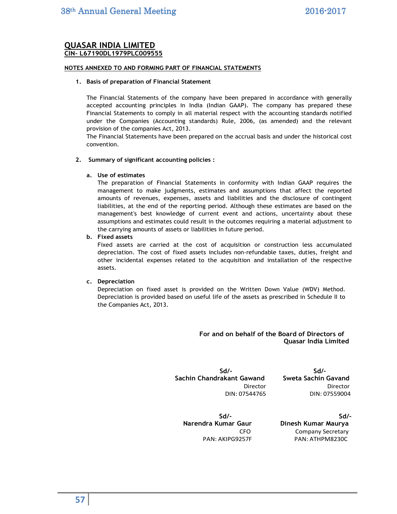#### **NOTES ANNEXED TO AND FORMING PART OF FINANCIAL STATEMENTS**

#### **1. Basis of preparation of Financial Statement**

The Financial Statements of the company have been prepared in accordance with generally accepted accounting principles in India (Indian GAAP). The company has prepared these Financial Statements to comply in all material respect with the accounting standards notified under the Companies (Accounting standards) Rule, 2006, (as amended) and the relevant provision of the companies Act, 2013.

The Financial Statements have been prepared on the accrual basis and under the historical cost convention.

#### **2. Summary of significant accounting policies :**

#### **a. Use of estimates**

The preparation of Financial Statements in conformity with Indian GAAP requires the management to make judgments, estimates and assumptions that affect the reported amounts of revenues, expenses, assets and liabilities and the disclosure of contingent liabilities, at the end of the reporting period. Although these estimates are based on the management's best knowledge of current event and actions, uncertainty about these assumptions and estimates could result in the outcomes requiring a material adjustment to the carrying amounts of assets or liabilities in future period.

#### **b. Fixed assets**

Fixed assets are carried at the cost of acquisition or construction less accumulated depreciation. The cost of fixed assets includes non-refundable taxes, duties, freight and other incidental expenses related to the acquisition and installation of the respective assets.

#### **c. Depreciation**

Depreciation on fixed asset is provided on the Written Down Value (WDV) Method. Depreciation is provided based on useful life of the assets as prescribed in Schedule II to the Companies Act, 2013.

> **For and on behalf of the Board of Directors of Quasar India Limited**

 **Sd/- Sd/-**  Sachin Chandrakant Gawand Sweta Sachin Gavand *Director* **Director Director Director** 

DIN: 07544765 DIN: 07559004

**Narendra Kumar Gaur Dinesh Kumar Maurya** 

 **Sd/- Sd/- CFO** Company Secretary PAN: AKIPG9257F PAN: ATHPM8230C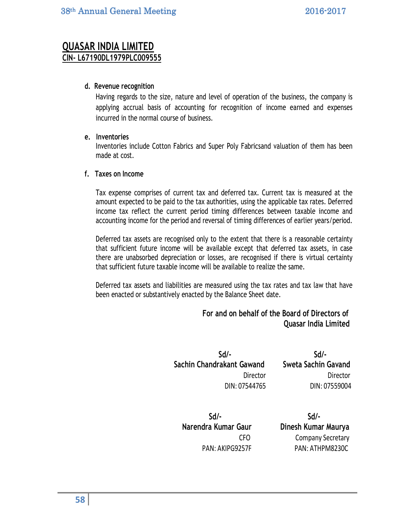### **d. Revenue recognition**

Having regards to the size, nature and level of operation of the business, the company is applying accrual basis of accounting for recognition of income earned and expenses incurred in the normal course of business.

### **e. Inventories**

Inventories include Cotton Fabrics and Super Poly Fabricsand valuation of them has been made at cost.

### **f. Taxes on Income**

Tax expense comprises of current tax and deferred tax. Current tax is measured at the amount expected to be paid to the tax authorities, using the applicable tax rates. Deferred income tax reflect the current period timing differences between taxable income and accounting income for the period and reversal of timing differences of earlier years/period.

Deferred tax assets are recognised only to the extent that there is a reasonable certainty that sufficient future income will be available except that deferred tax assets, in case there are unabsorbed depreciation or losses, are recognised if there is virtual certainty that sufficient future taxable income will be available to realize the same.

Deferred tax assets and liabilities are measured using the tax rates and tax law that have been enacted or substantively enacted by the Balance Sheet date.

> **For and on behalf of the Board of Directors of Quasar India Limited**

 **Sd/- Sd/- Sachin Chandrakant Gawand Sweta Sachin Gavand** Director Director

DIN: 07544765 DIN: 07559004

**Sd/- Sd/-** 

 **Narendra Kumar Gaur Dinesh Kumar Maurya CFO** Company Secretary PAN: AKIPG9257F PAN: ATHPM8230C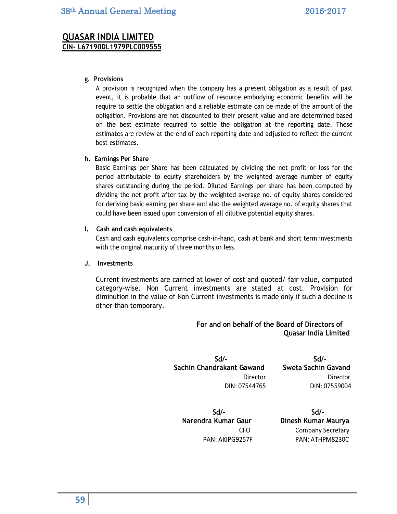#### **g. Provisions**

A provision is recognized when the company has a present obligation as a result of past event, it is probable that an outflow of resource embodying economic benefits will be require to settle the obligation and a reliable estimate can be made of the amount of the obligation. Provisions are not discounted to their present value and are determined based on the best estimate required to settle the obligation at the reporting date. These estimates are review at the end of each reporting date and adjusted to reflect the current best estimates.

#### **h. Earnings Per Share**

Basic Earnings per Share has been calculated by dividing the net profit or loss for the period attributable to equity shareholders by the weighted average number of equity shares outstanding during the period. Diluted Earnings per share has been computed by dividing the net profit after tax by the weighted average no. of equity shares considered for deriving basic earning per share and also the weighted average no. of equity shares that could have been issued upon conversion of all dilutive potential equity shares.

#### **I. Cash and cash equivalents**

Cash and cash equivalents comprise cash-in-hand, cash at bank and short term investments with the original maturity of three months or less.

#### **J. Investments**

Current investments are carried at lower of cost and quoted/ fair value, computed category-wise. Non Current investments are stated at cost. Provision for diminution in the value of Non Current investments is made only if such a decline is other than temporary.

> **For and on behalf of the Board of Directors of Quasar India Limited**

 **Sd/- Sd/- Sachin Chandrakant Gawand Sweta Sachin Gavand Properties Acceptance Director** Director **Contracts** Director

DIN: 07544765 DIN: 07559004

**Sd/- Sd/-** 

 **Narendra Kumar Gaur Dinesh Kumar Maurya CFO** Company Secretary PAN: AKIPG9257F PAN: ATHPM8230C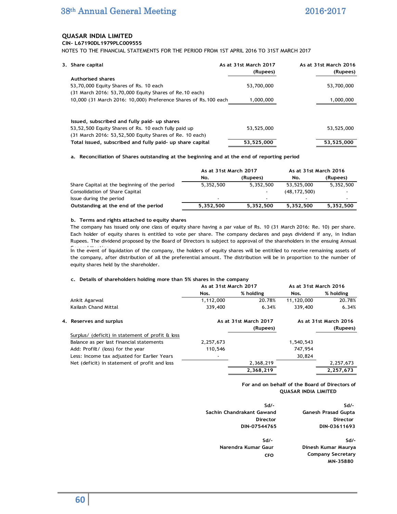#### **QUASAR INDIA LIMITED**

#### **CIN- L67190DL1979PLC009555**

NOTES TO THE FINANCIAL STATEMENTS FOR THE PERIOD FROM 1ST APRIL 2016 TO 31ST MARCH 2017

| 3. Share capital                                                | As at 31st March 2017<br>(Rupees) | As at 31st March 2016<br>(Rupees) |
|-----------------------------------------------------------------|-----------------------------------|-----------------------------------|
| <b>Authorised shares</b>                                        |                                   |                                   |
| 53,70,000 Equity Shares of Rs. 10 each                          | 53,700,000                        | 53,700,000                        |
| (31 March 2016: 53,70,000 Equity Shares of Re.10 each)          |                                   |                                   |
| 10,000 (31 March 2016: 10,000) Preference Shares of Rs.100 each | 1,000,000                         | 1,000,000                         |
|                                                                 |                                   |                                   |
| Issued, subscribed and fully paid- up shares                    |                                   |                                   |
| 53,52,500 Equity Shares of Rs. 10 each fully paid up            | 53,525,000                        | 53,525,000                        |
| (31 March 2016: 53,52,500 Equity Shares of Re. 10 each)         |                                   |                                   |
| Total issued, subscribed and fully paid- up share capital       | 53.525.000                        | 53.525.000                        |

**a. Reconciliation of Shares outstanding at the beginning and at the end of reporting period**

|                                              | As at 31st March 2017    |           | As at 31st March 2016 |           |
|----------------------------------------------|--------------------------|-----------|-----------------------|-----------|
|                                              | No.                      | (Rupees)  | No.                   | (Rupees)  |
| Share Capital at the beginning of the period | 5,352,500                | 5,352,500 | 53,525,000            | 5,352,500 |
| Consolidation of Share Capital               |                          |           | (48, 172, 500)        |           |
| Issue during the period                      | $\overline{\phantom{a}}$ |           | . .                   |           |
| Outstanding at the end of the period         | 5,352,500                | 5.352.500 | 5.352.500             | 5,352,500 |

#### **b. Terms and rights attached to equity shares**

The company has issued only one class of equity share having a par value of Rs. 10 (31 March 2016: Re. 10) per share. Each holder of equity shares is entitled to vote per share. The company declares and pays dividend if any, in Indian Rupees. The dividend proposed by the Board of Directors is subject to approval of the shareholders in the ensuing Annual

In the event of liquidation of the company, the holders of equity shares will be entitiled to receive remaining assets of the company, after distribution of all the preferential amount. The distribution will be in proportion to the number of equity shares held by the shareholder.

#### **c. Details of shareholders holding more than 5% shares in the company**

|                                                  | As at 31st March 2017 |                       | As at 31st March 2016 |                       |
|--------------------------------------------------|-----------------------|-----------------------|-----------------------|-----------------------|
|                                                  | Nos.                  | % holding             | Nos.                  | % holding             |
| Ankit Agarwal                                    | 1,112,000             | 20.78%                | 11,120,000            | 20.78%                |
| Kailash Chand Mittal                             | 339,400               | 6.34%                 | 339,400               | 6.34%                 |
| 4. Reserves and surplus                          |                       | As at 31st March 2017 |                       | As at 31st March 2016 |
|                                                  |                       | (Rupees)              |                       | (Rupees)              |
| Surplus/ (deficit) in statement of profit & loss |                       |                       |                       |                       |
| Balance as per last financial statements         | 2,257,673             |                       | 1,540,543             |                       |
| Add: Profilt/ (loss) for the year                | 110.546               |                       | 747.954               |                       |
| Less: Income tax adjusted for Earlier Years      |                       |                       | 30,824                |                       |
| Net (deficit) in statement of profit and loss    |                       | 2,368,219             |                       | 2,257,673             |
|                                                  |                       | 2.368.219             |                       | 2.257.673             |

 **For and on behalf of the Board of Directors of QUASAR INDIA LIMITED**

| $Sd/-$                   | $Sd/-$                    |
|--------------------------|---------------------------|
| Ganesh Prasad Gupta      | Sachin Chandrakant Gawand |
| <b>Director</b>          | <b>Director</b>           |
| DIN-03611693             | DIN-07544765              |
| $Sd$ /-                  | $Sd/-$                    |
| Dinesh Kumar Maurya      | Narendra Kumar Gaur       |
| <b>Company Secretary</b> | <b>CFO</b>                |
| MN-35880                 |                           |
|                          |                           |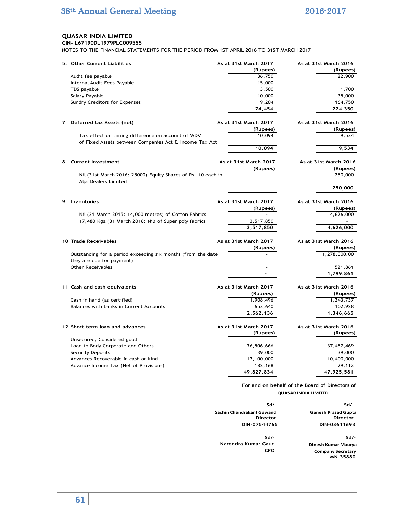#### **QUASAR INDIA LIMITED**

**CIN- L67190DL1979PLC009555**

NOTES TO THE FINANCIAL STATEMENTS FOR THE PERIOD FROM 1ST APRIL 2016 TO 31ST MARCH 2017

|   | 5. Other Current Liabilities                                                         | As at 31st March 2017 | As at 31st March 2016    |
|---|--------------------------------------------------------------------------------------|-----------------------|--------------------------|
|   |                                                                                      | (Rupees)              | (Rupees)                 |
|   | Audit fee payable                                                                    | 36,750                | 22,900                   |
|   | Internal Audit Fees Payable                                                          | 15,000                |                          |
|   | TDS payable                                                                          | 3,500                 | 1,700                    |
|   | Salary Payable                                                                       | 10,000                | 35,000                   |
|   | Sundry Creditors for Expenses                                                        | 9,204                 | 164,750                  |
|   |                                                                                      | 74,454                | 224,350                  |
|   | 7 Deferred tax Assets (net)                                                          | As at 31st March 2017 | As at 31st March 2016    |
|   |                                                                                      | (Rupees)              | (Rupees)                 |
|   | Tax effect on timing difference on account of WDV                                    | 10,094                | 9,534                    |
|   | of Fixed Assets between Companies Act & Income Tax Act                               |                       |                          |
|   |                                                                                      | 10,094                | 9,534                    |
| 8 | <b>Current Investment</b>                                                            | As at 31st March 2017 | As at 31st March 2016    |
|   |                                                                                      | (Rupees)              | (Rupees)                 |
|   | Nil (31st March 2016: 25000) Equity Shares of Rs. 10 each in<br>Alps Dealers Limited |                       | 250,000                  |
|   |                                                                                      |                       | 250,000                  |
|   |                                                                                      |                       |                          |
| 9 | Inventories                                                                          | As at 31st March 2017 | As at 31st March 2016    |
|   |                                                                                      | (Rupees)              | (Rupees)                 |
|   | Nil (31 March 2015: 14,000 metres) of Cotton Fabrics                                 |                       | 4,626,000                |
|   | 17,480 Kgs. (31 March 2016: Nil) of Super poly fabrics                               | 3,517,850             |                          |
|   |                                                                                      | 3,517,850             | 4,626,000                |
|   | 10 Trade Receivables                                                                 | As at 31st March 2017 | As at 31st March 2016    |
|   |                                                                                      | (Rupees)              |                          |
|   | Outstanding for a period exceeding six months (from the date                         |                       | (Rupees)<br>1,278,000.00 |
|   | they are due for payment)                                                            |                       |                          |
|   | <b>Other Receivables</b>                                                             |                       | 521,861                  |
|   |                                                                                      |                       | 1,799,861                |
|   | 11 Cash and cash equivalents                                                         | As at 31st March 2017 | As at 31st March 2016    |
|   |                                                                                      | (Rupees)              | (Rupees)                 |
|   | Cash in hand (as certified)                                                          | 1,908,496             | 1,243,737                |
|   | Balances with banks in Current Accounts                                              | 653,640               | 102,928                  |
|   |                                                                                      | 2,562,136             | 1,346,665                |
|   | 12 Short-term loan and advances                                                      | As at 31st March 2017 | As at 31st March 2016    |
|   |                                                                                      | (Rupees)              | (Rupees)                 |
|   | Unsecured, Considered good                                                           |                       |                          |
|   | Loan to Body Corporate and Others                                                    | 36,506,666            | 37,457,469               |
|   | Security Deposits                                                                    | 39,000                | 39,000                   |
|   | Advances Recoverable in cash or kind                                                 | 13,100,000            | 10,400,000               |
|   | Advance Income Tax (Net of Provisions)                                               | 182,168               | 29,112                   |
|   |                                                                                      | 49,827,834            | 47,925,581               |
|   |                                                                                      |                       |                          |

 **For and on behalf of the Board of Directors of QUASAR INDIA LIMITED**

| Sd/-                                          | Sd/-                                         |
|-----------------------------------------------|----------------------------------------------|
| <b>Ganesh Prasad Gupta</b><br><b>Director</b> | Sachin Chandrakant Gawand<br><b>Director</b> |
| DIN-03611693                                  | DIN-07544765                                 |
| $Sd/-$                                        | $Sd$ /-                                      |
| Dinesh Kumar Maurya                           | Narendra Kumar Gaur                          |
| <b>Company Secretary</b><br>MN-35880          | <b>CFO</b>                                   |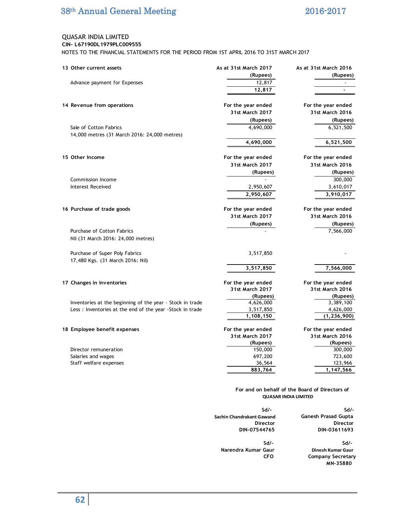#### QUASAR INDIA LIMITED

**CIN- L67190DL1979PLC009555**

NOTES TO THE FINANCIAL STATEMENTS FOR THE PERIOD FROM 1ST APRIL 2016 TO 31ST MARCH 2017

| 13 Other current assets                                                                                                | As at 31st March 2017  | As at 31st March 2016     |
|------------------------------------------------------------------------------------------------------------------------|------------------------|---------------------------|
|                                                                                                                        | (Rupees)               | (Rupees)                  |
| Advance payment for Expenses                                                                                           | 12,817                 |                           |
|                                                                                                                        | 12,817                 |                           |
| 14 Revenue from operations                                                                                             | For the year ended     | For the year ended        |
|                                                                                                                        | <b>31st March 2017</b> | 31st March 2016           |
|                                                                                                                        | (Rupees)               | (Rupees)                  |
| Sale of Cotton Fabrics                                                                                                 | 4,690,000              | $\overline{6}$ , 521, 500 |
| 14,000 metres (31 March 2016: 24,000 metres)                                                                           |                        |                           |
|                                                                                                                        | 4,690,000              | 6,521,500                 |
| 15 Other Income                                                                                                        | For the year ended     | For the year ended        |
|                                                                                                                        | 31st March 2017        | 31st March 2016           |
|                                                                                                                        | (Rupees)               | (Rupees)                  |
| Commission Income                                                                                                      |                        | 300,000                   |
| Interest Received                                                                                                      | 2,950,607              | 3,610,017                 |
|                                                                                                                        | $\overline{2,950,607}$ | 3,910,017                 |
| 16 Purchase of trade goods                                                                                             | For the year ended     | For the year ended        |
|                                                                                                                        | 31st March 2017        | 31st March 2016           |
|                                                                                                                        | (Rupees)               | (Rupees)                  |
| Purchase of Cotton Fabrics                                                                                             |                        | 7,566,000                 |
| Nil (31 March 2016: 24,000 metres)                                                                                     |                        |                           |
| Purchase of Super Poly Fabrics                                                                                         | 3,517,850              |                           |
| 17,480 Kgs. (31 March 2016: Nil)                                                                                       |                        |                           |
|                                                                                                                        | 3,517,850              | 7,566,000                 |
| 17 Changes in inventories                                                                                              | For the year ended     | For the year ended        |
|                                                                                                                        | <b>31st March 2017</b> | 31st March 2016           |
|                                                                                                                        | (Rupees)<br>4,626,000  | (Rupees)<br>3,389,100     |
| Inventories at the beginning of the year - Stock in trade<br>Less : Inventories at the end of the year -Stock in trade | 3,517,850              | 4,626,000                 |
|                                                                                                                        | 1,108,150              | (1, 236, 900)             |
|                                                                                                                        |                        |                           |
| 18 Employee benefit expenses                                                                                           | For the year ended     | For the year ended        |
|                                                                                                                        | <b>31st March 2017</b> | 31st March 2016           |
|                                                                                                                        | (Rupees)               | (Rupees)                  |
| Director remuneration                                                                                                  | 150,000                | 300,000                   |
| Salaries and wages                                                                                                     | 697,200                | 723,600                   |
| Staff welfare expenses                                                                                                 | 36,564                 | 123,966                   |
|                                                                                                                        | 883,764                | 1,147,566                 |

 **For and on behalf of the Board of Directors of QUASAR INDIA LIMITED**

| $Sd/-$                     | Sd/-                      |
|----------------------------|---------------------------|
| <b>Ganesh Prasad Gupta</b> | Sachin Chandrakant Gawand |
| <b>Director</b>            | <b>Director</b>           |
| DIN-03611693               | DIN-07544765              |

 **Sd/- Sd/- Sd/- Narendra Kumar Gaur**<br>CFO **Dinesh Kumar Gaur**<br>Company Secretary  **CFO CFO Company Secretary Company Secretary MN-35880**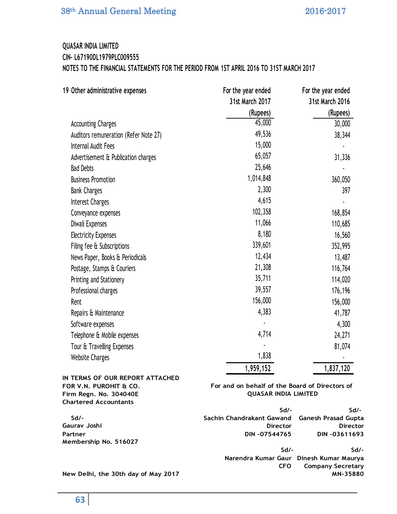# **QUASAR INDIA LIMITED**

**CIN- L67190DL1979PLC009555**

**NOTES TO THE FINANCIAL STATEMENTS FOR THE PERIOD FROM 1ST APRIL 2016 TO 31ST MARCH 2017**

| 19 Other administrative expenses      | For the year ended | For the year ended |
|---------------------------------------|--------------------|--------------------|
|                                       | 31st March 2017    | 31st March 2016    |
|                                       | (Rupees)           | (Rupees)           |
| <b>Accounting Charges</b>             | 45,000             | 30,000             |
| Auditors remuneration (Refer Note 27) | 49,536             | 38,344             |
| <b>Internal Audit Fees</b>            | 15,000             |                    |
| Advertisement & Publication charges   | 65,057             | 31,336             |
| <b>Bad Debts</b>                      | 25,646             |                    |
| <b>Business Promotion</b>             | 1,014,848          | 360,050            |
| <b>Bank Charges</b>                   | 2,300              | 397                |
| Interest Charges                      | 4,615              |                    |
| Conveyance expenses                   | 102,358            | 168,854            |
| Diwali Expenses                       | 11,066             | 110,685            |
| <b>Electricity Expenses</b>           | 8,180              | 16,560             |
| Filing fee & Subscriptions            | 339,601            | 352,995            |
| News Paper, Books & Periodicals       | 12,434             | 13,487             |
| Postage, Stamps & Couriers            | 21,308             | 116,764            |
| Printing and Stationery               | 35,711             | 114,020            |
| Professional charges                  | 39,557             | 176,196            |
| Rent                                  | 156,000            | 156,000            |
| Repairs & Maintenance                 | 4,383              | 41,787             |
| Software expenses                     |                    | 4,300              |
| Telephone & Mobile expenses           | 4,714              | 24,271             |
| Tour & Travelling Expenses            |                    | 81,074             |
| <b>Website Charges</b>                | 1,838              |                    |
|                                       | 1,959,152          | 1,837,120          |
| IN TERMS OF OUR REPORT ATTACHED       |                    |                    |

**FOR V.N. PUROHIT & CO. Firm Regn. No. 304040E Chartered Accountants**

**For and on behalf of the Board of Directors of QUASAR INDIA LIMITED**

| Chartered Accountants               |                                         |                          |
|-------------------------------------|-----------------------------------------|--------------------------|
|                                     | $Sd$ /-                                 | $Sd/-$                   |
| $Sd/-$                              | Sachin Chandrakant Gawand               | Ganesh Prasad Gupta      |
| Gauray Joshi                        | <b>Director</b>                         | <b>Director</b>          |
| <b>Partner</b>                      | DIN -07544765                           | DIN -03611693            |
| Membership No. 516027               |                                         |                          |
|                                     | $Sd/-$                                  | $Sd/-$                   |
|                                     | Narendra Kumar Gaur Dinesh Kumar Maurya |                          |
|                                     | <b>CFO</b>                              | <b>Company Secretary</b> |
| New Delhi, the 30th day of May 2017 |                                         | MN-35880                 |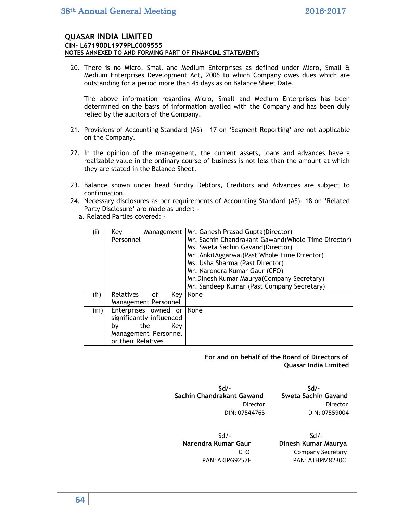#### **QUASAR INDIA LIMITED CIN- L67190DL1979PLC009555 NOTES ANNEXED TO AND FORMING PART OF FINANCIAL STATEMENTs**

20. There is no Micro, Small and Medium Enterprises as defined under Micro, Small & Medium Enterprises Development Act, 2006 to which Company owes dues which are outstanding for a period more than 45 days as on Balance Sheet Date.

The above information regarding Micro, Small and Medium Enterprises has been determined on the basis of information availed with the Company and has been duly relied by the auditors of the Company.

- 21. Provisions of Accounting Standard (AS) 17 on 'Segment Reporting' are not applicable on the Company.
- 22. In the opinion of the management, the current assets, loans and advances have a realizable value in the ordinary course of business is not less than the amount at which they are stated in the Balance Sheet.
- 23. Balance shown under head Sundry Debtors, Creditors and Advances are subject to confirmation.
- 24. Necessary disclosures as per requirements of Accounting Standard (AS)- 18 on 'Related Party Disclosure' are made as under:
	- a. Related Parties covered: -

| $\mathbf{(i)}$ | Key<br>Management<br>Personnel                                                                                     | Mr. Ganesh Prasad Gupta (Director)<br>Mr. Sachin Chandrakant Gawand (Whole Time Director)<br>Ms. Sweta Sachin Gavand (Director)<br>Mr. AnkitAggarwal(Past Whole Time Director)<br>Ms. Usha Sharma (Past Director)<br>Mr. Narendra Kumar Gaur (CFO)<br>Mr. Dinesh Kumar Maurya (Company Secretary) |
|----------------|--------------------------------------------------------------------------------------------------------------------|---------------------------------------------------------------------------------------------------------------------------------------------------------------------------------------------------------------------------------------------------------------------------------------------------|
|                |                                                                                                                    | Mr. Sandeep Kumar (Past Company Secretary)                                                                                                                                                                                                                                                        |
| (ii)           | Relatives<br>of<br>Kev                                                                                             | None                                                                                                                                                                                                                                                                                              |
|                | Management Personnel                                                                                               |                                                                                                                                                                                                                                                                                                   |
| (iii)          | Enterprises owned or<br>significantly influenced<br>the<br>bv<br>Kev<br>Management Personnel<br>or their Relatives | None                                                                                                                                                                                                                                                                                              |

#### **For and on behalf of the Board of Directors of Quasar India Limited**

 **Sd/- Sd/- Sachin Chandrakant Gawand Sweta Sachin Gavand** *Director* **Director Director Director** DIN: 07544765 DIN: 07559004

 $Sd/-$ 

 **Narendra Kumar Gaur Dinesh Kumar Maurya CFO** Company Secretary PAN: AKIPG9257F PAN: ATHPM8230C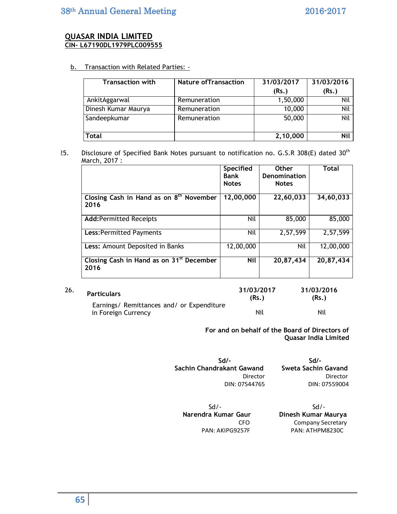#### **QUASAR INDIA LIMITED CIN- L67190DL1979PLC009555**

b. Transaction with Related Parties: -

| <b>Transaction with</b> | Nature of Transaction | 31/03/2017 | 31/03/2016 |
|-------------------------|-----------------------|------------|------------|
|                         |                       | (Rs.)      | (Rs.)      |
| AnkitAggarwal           | Remuneration          | 1,50,000   | Nil        |
| Dinesh Kumar Maurya     | Remuneration          | 10,000     | Nil        |
| Sandeepkumar            | Remuneration          | 50,000     | Nil        |
| <b>Total</b>            |                       | 2,10,000   | <b>Nil</b> |

<sup>25</sup>. Disclosure of Specified Bank Notes pursuant to notification no. G.S.R 308(E) dated 30<sup>th</sup> March, 2017 :

|                                                              | Specified<br><b>Bank</b><br><b>Notes</b> | <b>Other</b><br>Denomination<br><b>Notes</b> | Total     |
|--------------------------------------------------------------|------------------------------------------|----------------------------------------------|-----------|
| Closing Cash in Hand as on 8 <sup>th</sup> November<br>2016  | 12,00,000                                | 22,60,033                                    | 34,60,033 |
| <b>Add:Permitted Receipts</b>                                | Nil                                      | 85,000                                       | 85,000    |
| Less: Permitted Payments                                     | Nil                                      | 2,57,599                                     | 2,57,599  |
| Less: Amount Deposited in Banks                              | 12,00,000                                | Nil                                          | 12,00,000 |
| Closing Cash in Hand as on 31 <sup>st</sup> December<br>2016 | Nil                                      | 20,87,434                                    | 20,87,434 |

| 26. | <b>Particulars</b>                        | 31/03/2017<br>(Rs.) | 31/03/2016<br>(Rs.) |
|-----|-------------------------------------------|---------------------|---------------------|
|     | Earnings/ Remittances and/ or Expenditure |                     |                     |
|     | in Foreign Currency                       | Nil                 | Nil                 |

 **For and on behalf of the Board of Directors of Quasar India Limited** 

| $Sd$ /-                   | Sd/-                |
|---------------------------|---------------------|
| Sachin Chandrakant Gawand | Sweta Sachin Gavand |
| Director                  | Director            |
| DIN: 07544765             | DIN: 07559004       |

 $Sd/-$ **Narendra Kumar Gaur Dinesh Kumar Maurya** 

**CFO** Company Secretary PAN: AKIPG9257F PAN: ATHPM8230C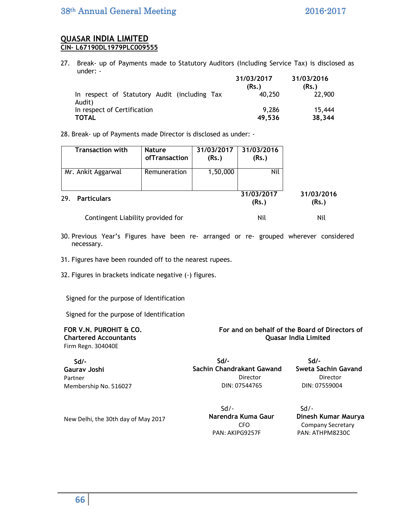27. Break- up of Payments made to Statutory Auditors (Including Service Tax) is disclosed as under: -

|                                                        | 31/03/2017 | 31/03/2016 |
|--------------------------------------------------------|------------|------------|
|                                                        | (Rs.)      | (Rs.)      |
| In respect of Statutory Audit (including Tax<br>Audit) | 40,250     | 22,900     |
| In respect of Certification                            | 9.286      | 15,444     |
| <b>TOTAL</b>                                           | 49,536     | 38,344     |

28. Break- up of Payments made Director is disclosed as under: -

| <b>Transaction with</b>           | <b>Nature</b><br>ofTransaction | $\overline{31/03/2017}$<br>(Rs.) | 31/03/2016<br>(Rs.) |                     |
|-----------------------------------|--------------------------------|----------------------------------|---------------------|---------------------|
| Mr. Ankit Aggarwal                | Remuneration                   | 1,50,000                         | Nil                 |                     |
| 29.<br><b>Particulars</b>         |                                |                                  | 31/03/2017<br>(Rs.) | 31/03/2016<br>(Rs.) |
| Contingent Liability provided for |                                |                                  | Nil                 | Nil                 |

- 30. Previous Year's Figures have been re- arranged or re- grouped wherever considered necessary.
- 31. Figures have been rounded off to the nearest rupees.
- 32. Figures in brackets indicate negative (-) figures.

Signed for the purpose of Identification

Signed for the purpose of Identification

**FOR V.N. PUROHIT & CO. Chartered Accountants**  Firm Regn. 304040E

#### **For and on behalf of the Board of Directors of Quasar India Limited**

| $Sd$ /-                   | $Sd$ /-                        |
|---------------------------|--------------------------------|
| Sachin Chandrakant Gawand | Sweta Sachin Gavand            |
| Director                  | Director                       |
| DIN: 07544765             | DIN: 07559004                  |
| $Sd$ .                    | $Sd$ /-<br>Dinesh Kumar Maurya |
|                           | Narendra Kuma Gaur             |

New Delhi, the 30th day of May 2017

PAN: AKIPG9257F PAN: ATHPM8230C

**CFO Company Secretary**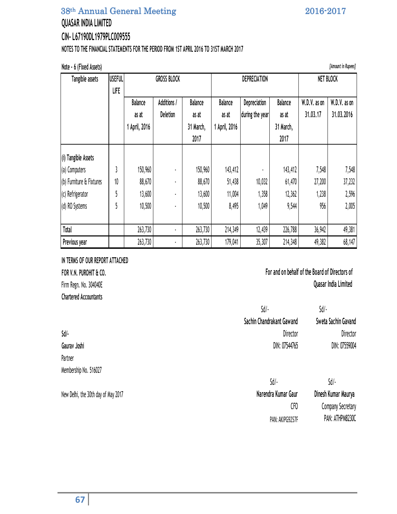# 38<sup>th</sup> Annual General Meeting 2016-2017 **CIN- L67190DL1979PLC009555 QUASAR INDIA LIMITED**

**NOTES TO THE FINANCIAL STATEMENTS FOR THE PERIOD FROM 1ST APRIL 2016 TO 31ST MARCH 2017**

| NOLE - O (FIXEU ASSELS)  |               |                |                    |                |                |                     |                |              | <b>HIIOUIL III RUPERS!</b> |
|--------------------------|---------------|----------------|--------------------|----------------|----------------|---------------------|----------------|--------------|----------------------------|
| Tangible assets          | <b>USEFUL</b> |                | <b>GROSS BLOCK</b> |                |                | <b>DEPRECIATION</b> |                |              | <b>NET BLOCK</b>           |
|                          | LIFE          |                |                    |                |                |                     |                |              |                            |
|                          |               | <b>Balance</b> | Additions /        | <b>Balance</b> | <b>Balance</b> | Depreciation        | <b>Balance</b> | W.D.V. as on | W.D.V. as on               |
|                          |               | as at          | <b>Deletion</b>    | as at          | as at          | during the year     | as at          | 31,03,17     | 31,03,2016                 |
|                          |               | 1 April, 2016  |                    | 31 March,      | 1 April, 2016  |                     | 31 March,      |              |                            |
|                          |               |                |                    | 2017           |                |                     | 2017           |              |                            |
| (i) Tangible Assets      |               |                |                    |                |                |                     |                |              |                            |
| (a) Computers            | }             | 150,960        |                    | 150,960        | 143,412        |                     | 143,412        | 7,548        | 7,548                      |
| (b) Furniture & Fixtures | 10            | 88,670         |                    | 88,670         | 51,438         | 10,032              | 61,470         | 27,200       | 37,232                     |
| (c) Refrigerator         | 5             | 13,600         |                    | 13,600         | 11,004         | 1,358               | 12,362         | 1,238        | 2,596                      |
| (d) RO Systems           | 5             | 10,500         |                    | 10,500         | 8,495          | 1,049               | 9,544          | 956          | 2,005                      |
| Total                    |               | 263,730        |                    | 263,730        | 214,349        | 12,439              | 226,788        | 36,942       | 49,381                     |
| Previous year            |               | 263,730        |                    | 263,730        | 179,041        | 35,307              | 214,348        | 49,382       | 68,147                     |

**IN TERMS OF OUR REPORT ATTACHED FOR V.N. PUROHIT & CO.** Firm Regn. No. 304040E

**Chartered Accountants**

 **For and on behalf of the Board of Directors of Quasar India Limited**

|              | Sd/-                      | Sd/-                |
|--------------|---------------------------|---------------------|
|              | Sachin Chandrakant Gawand | Sweta Sachin Gavand |
| Sd/-         | Director                  | Director            |
| Gaurav Joshi | DIN: 07544765             | DIN: 07559004       |

Sd/- Sd/- New Delhi, the 30th day of May 2017 **Narendra Kumar Gaur Dinesh Kumar Maurya**  CFO Company Secretary PAN: AKIPG9257F PAN: ATHPM8230C

Partner Membership No. 516027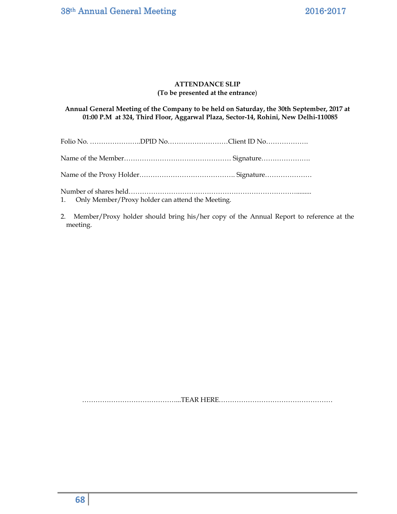#### **ATTENDANCE SLIP (To be presented at the entrance**)

#### **Annual General Meeting of the Company to be held on Saturday, the 30th September, 2017 at 01:00 P.M at 324, Third Floor, Aggarwal Plaza, Sector-14, Rohini, New Delhi-110085**

| Folio No. DPID NoClient ID No                       |  |
|-----------------------------------------------------|--|
|                                                     |  |
|                                                     |  |
| 1. Only Member/Proxy holder can attend the Meeting. |  |

2. Member/Proxy holder should bring his/her copy of the Annual Report to reference at the meeting.

……………………………………...TEAR HERE……………………………………………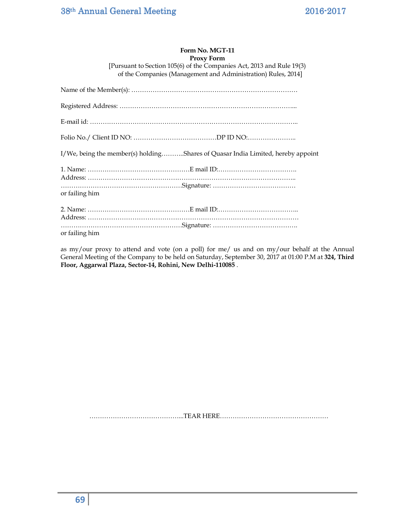# **Form No. MGT-11 Proxy Form**  [Pursuant to Section 105(6) of the Companies Act, 2013 and Rule 19(3) of the Companies (Management and Administration) Rules, 2014]

| I/We, being the member(s) holdingShares of Quasar India Limited, hereby appoint |
|---------------------------------------------------------------------------------|
|                                                                                 |
| or failing him                                                                  |
|                                                                                 |
| or failing him                                                                  |

as my/our proxy to attend and vote (on a poll) for me/ us and on my/our behalf at the Annual General Meeting of the Company to be held on Saturday, September 30, 2017 at 01:00 P.M at **324, Third Floor, Aggarwal Plaza, Sector-14, Rohini, New Delhi-110085** .

……………………………………...TEAR HERE……………………………………………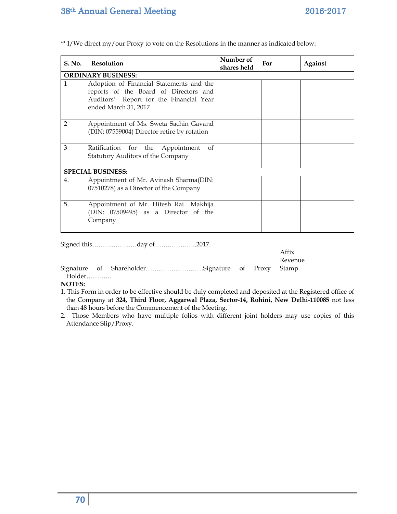# 38<sup>th</sup> Annual General Meeting 2016-2017

| <b>S. No.</b> | Resolution                                                                                                                                           | Number of<br>shares held | For | <b>Against</b> |  |
|---------------|------------------------------------------------------------------------------------------------------------------------------------------------------|--------------------------|-----|----------------|--|
|               | <b>ORDINARY BUSINESS:</b>                                                                                                                            |                          |     |                |  |
| $\mathbf{1}$  | Adoption of Financial Statements and the<br>reports of the Board of Directors and<br>Auditors' Report for the Financial Year<br>ended March 31, 2017 |                          |     |                |  |
| 2             | Appointment of Ms. Sweta Sachin Gavand<br>(DIN: 07559004) Director retire by rotation                                                                |                          |     |                |  |
| 3             | Ratification for the Appointment<br>of<br>Statutory Auditors of the Company                                                                          |                          |     |                |  |
|               | <b>SPECIAL BUSINESS:</b>                                                                                                                             |                          |     |                |  |
| 4.            | Appointment of Mr. Avinash Sharma(DIN:<br>07510278) as a Director of the Company                                                                     |                          |     |                |  |
| 5.            | Appointment of Mr. Hitesh Rai Makhija<br>$(DIN: 07509495)$ as a Director of the<br>Company                                                           |                          |     |                |  |

\*\* I/We direct my/our Proxy to vote on the Resolutions in the manner as indicated below:

Signed this…………………day of………………..2017

|        |                                                  |  | Affix   |
|--------|--------------------------------------------------|--|---------|
|        |                                                  |  | Revenue |
|        | Signature of ShareholderSignature of Proxy Stamp |  |         |
| Holder |                                                  |  |         |

### **NOTES:**

- 1. This Form in order to be effective should be duly completed and deposited at the Registered office of the Company at **324, Third Floor, Aggarwal Plaza, Sector-14, Rohini, New Delhi-110085** not less than 48 hours before the Commencement of the Meeting.
- 2. Those Members who have multiple folios with different joint holders may use copies of this Attendance Slip/Proxy.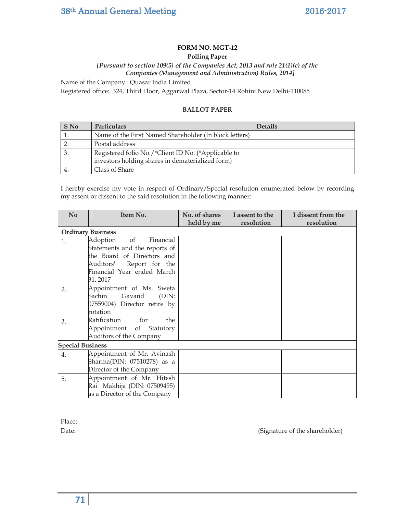## **FORM NO. MGT-12**

#### **Polling Paper**

## *[Pursuant to section 109(5) of the Companies Act, 2013 and rule 21(1)(c) of the Companies (Management and Administration) Rules, 2014]*

Name of the Company: Quasar India Limited

Registered office: 324, Third Floor, Aggarwal Plaza, Sector-14 Rohini New Delhi-110085

#### **BALLOT PAPER**

| $S$ No | <b>Particulars</b>                                     | <b>Details</b> |
|--------|--------------------------------------------------------|----------------|
|        | Name of the First Named Shareholder (In block letters) |                |
|        | Postal address                                         |                |
|        | Registered folio No./*Client ID No. (*Applicable to    |                |
|        | investors holding shares in dematerialized form)       |                |
|        | Class of Share                                         |                |

I hereby exercise my vote in respect of Ordinary/Special resolution enumerated below by recording my assent or dissent to the said resolution in the following manner:

| No                       | Item No.                                                                                                                                                         | No. of shares<br>held by me | I assent to the<br>resolution | I dissent from the<br>resolution |  |  |
|--------------------------|------------------------------------------------------------------------------------------------------------------------------------------------------------------|-----------------------------|-------------------------------|----------------------------------|--|--|
| <b>Ordinary Business</b> |                                                                                                                                                                  |                             |                               |                                  |  |  |
| $\mathbf{1}$ .           | Financial<br>Adoption<br>of<br>Statements and the reports of<br>the Board of Directors and<br>Auditors' Report for the<br>Financial Year ended March<br>31, 2017 |                             |                               |                                  |  |  |
| 2.                       | Appointment of Ms. Sweta<br>Sachin<br>Gavand<br>(DIN:<br>07559004) Director retire by<br>rotation                                                                |                             |                               |                                  |  |  |
| 3.                       | Ratification<br>for<br>the<br>Appointment of Statutory<br>Auditors of the Company                                                                                |                             |                               |                                  |  |  |
| <b>Special Business</b>  |                                                                                                                                                                  |                             |                               |                                  |  |  |
| 4.                       | Appointment of Mr. Avinash<br>Sharma(DIN: 07510278) as a<br>Director of the Company                                                                              |                             |                               |                                  |  |  |
| 5.                       | Appointment of Mr. Hitesh<br>Rai Makhija (DIN: 07509495)<br>as a Director of the Company                                                                         |                             |                               |                                  |  |  |

Place:

Date: (Signature of the shareholder)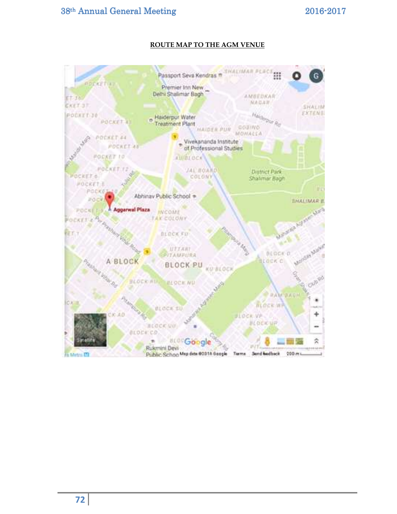#### SHALIMAR PLACE Passport Seva Kendras m **ROCKET 41** Premier Inn New Delhi Shalimar Bagh AMBEDKAR! **CERE NAGAR** CKET 37 SHALIN Haiderpur Re **EXTENT** - Haiderpur Water POCKETJO POCKET & **Treatment Plant** GOBINO. HAIDER PUR MONALLA POCKET 44 Vivekananda Institute **POCKET 48** ÷ of Professional Studies PODKET 10. **AUGICCA POCKET FI JAL ROARD District Park MOCKET'S** COLONY Shahmar Bagh POCKET 3 POCKE Abhinav Public School + POCK **NHALIMAR R A** Aggerwal Plaza POCK **JNCOM!** 4, **TAX COLONY OCKESS**  $\mathcal{A}^{\mathcal{Q}}$ BLOCK FOR m T шń **Contract** UTTANI. BEGGA-D **TAUTURA** LOCK C A BLOCK **BLOCK PU** KU-BLOCK **BLOCK AN BLOCKINU** Ò. **CRAMBARD C**a **MAGES WE** BLOCK SU 80 JIOCK VP **BLOCK VP BLOCK UO** BLOCK CD. aco Google Ğ,  $n =$ 試行 Rukmini Den m Public Schoo Mip dite 80314 Google Terms Send bodback 200 mil **The Martyra CO**

## **ROUTE MAP TO THE AGM VENUE**